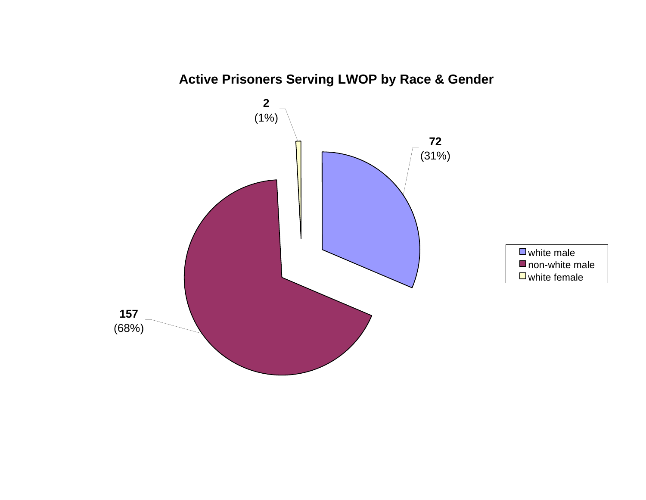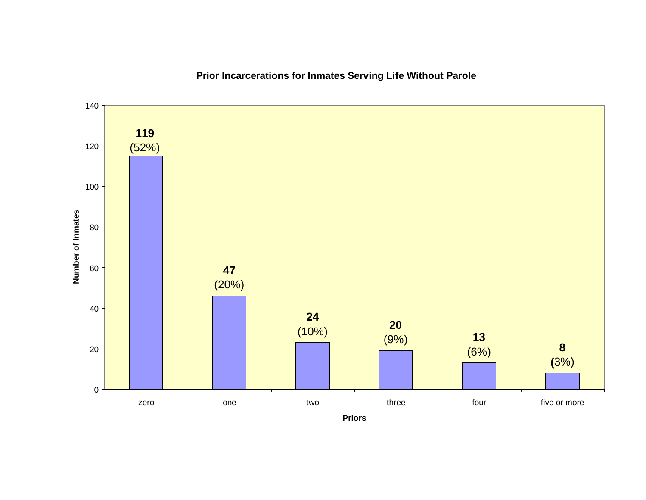

# **Prior Incarcerations for Inmates Serving Life Without Parole**

**Priors**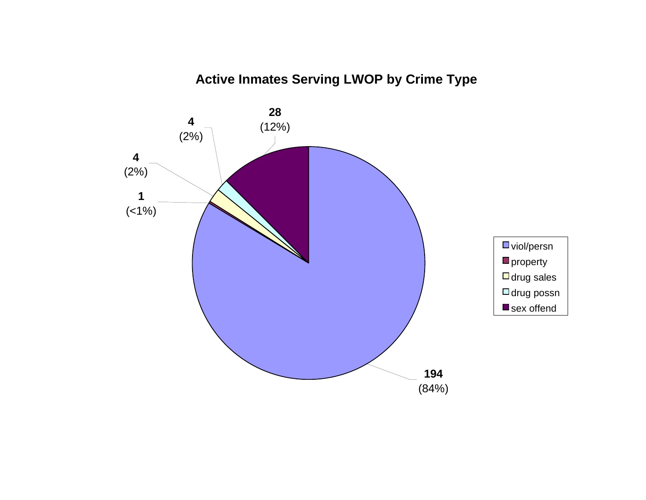# **Active Inmates Serving LWOP by Crime Type**

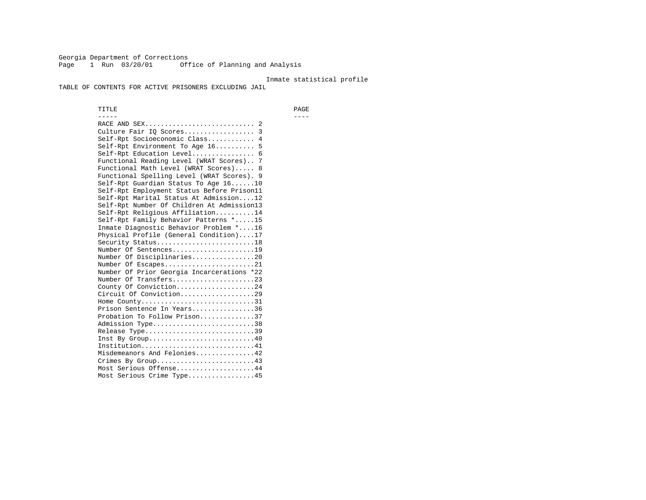Georgia Department of Corrections Page 1 Run 03/20/01 Office of Planning and Analysis

#### Inmate statistical profile

TABLE OF CONTENTS FOR ACTIVE PRISONERS EXCLUDING JAIL

 TITLE PAGE ----- ---- RACE AND SEX............................ 2 Culture Fair IQ Scores.................. 3 Self-Rpt Socioeconomic Class............ 4 Self-Rpt Environment To Age 16.......... 5 Self-Rpt Education Level................ 6 Functional Reading Level (WRAT Scores).. 7 Functional Math Level (WRAT Scores)..... 8 Functional Spelling Level (WRAT Scores). 9 Self-Rpt Guardian Status To Age 16......10 Self-Rpt Employment Status Before Prison11 Self-Rpt Marital Status At Admission....12 Self-Rpt Number Of Children At Admission13 Self-Rpt Religious Affiliation..........14 Self-Rpt Family Behavior Patterns \*.....15 Inmate Diagnostic Behavior Problem \*....16 Physical Profile (General Condition)....17 Security Status...........................18 Number Of Sentences.....................19 Number Of Disciplinaries................20 Number Of Escapes........................21 Number Of Prior Georgia Incarcerations \*22 Number Of Transfers.....................23 County Of Conviction....................24 Circuit Of Conviction...................29 Home County................................31 Prison Sentence In Years................36 Probation To Follow Prison..............37Admission Type.............................38 Release Type...............................39 Inst By Group..............................40 Institution.............................41 Misdemeanors And Felonies...............42 Crimes By Group.........................43 Most Serious Offense....................44 Most Serious Crime Type.................45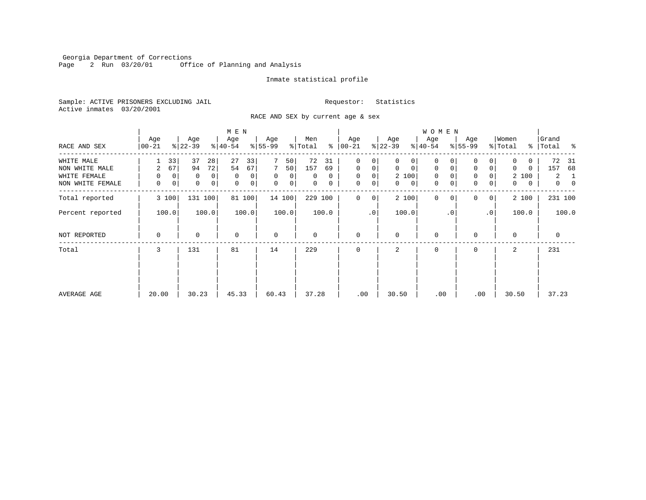Georgia Department of Corrections Page 2 Run 03/20/01 Office of Planning and Analysis

#### Inmate statistical profile

Sample: ACTIVE PRISONERS EXCLUDING JAIL **Requestor:** Statistics Active inmates 03/20/2001

RACE AND SEX by current age & sex

|                                                    |                                              |                                                    | M E N                                   |                                                                |                                      |                                                          |                                                          | <b>WOMEN</b>                              |                                                                     |                                             |                                                        |
|----------------------------------------------------|----------------------------------------------|----------------------------------------------------|-----------------------------------------|----------------------------------------------------------------|--------------------------------------|----------------------------------------------------------|----------------------------------------------------------|-------------------------------------------|---------------------------------------------------------------------|---------------------------------------------|--------------------------------------------------------|
| RACE AND SEX                                       | Age<br>$ 00 - 21 $                           | Age<br>$ 22-39 $                                   | Age<br>$ 40-54 $                        | Age<br>$8 55-99$                                               | Men<br>% Total                       | Age<br>$8   00 - 21$                                     | Age<br>$ 22-39 $                                         | Age<br>$ 40-54 $                          | Age<br>$8 55-99$                                                    | Women<br>% Total                            | Grand<br>% Total %                                     |
| WHITE MALE                                         | 33                                           | 37<br>28                                           | 27<br>33                                | 50                                                             | 72<br>31                             | $\mathbf 0$<br>0                                         | $\Omega$<br>0                                            | 0                                         | 0                                                                   | 0<br>0                                      | 72<br>-31                                              |
| NON WHITE MALE<br>WHITE FEMALE<br>NON WHITE FEMALE | 67<br>2<br>$\mathbf 0$<br>$\Omega$<br>0<br>0 | 72<br>94<br>0<br>0<br>$\mathsf{O}$<br>$\mathsf{O}$ | 54<br>67<br>0<br>0<br>$\mathbf{0}$<br>0 | 7<br>50 <br>$\mathbf 0$<br>$\overline{0}$<br>$\mathbf 0$<br> 0 | 157<br>69<br>$\Omega$<br>0<br>0<br>0 | $\mathbf 0$<br>0<br>$\mathbf 0$<br>0<br>0<br>$\mathbf 0$ | $\mathbf 0$<br>$\mathbf 0$<br>2 100<br>$\mathbf{0}$<br>0 | $\mathbf 0$<br>$\mathbf 0$<br>0<br>0<br>0 | $\mathbf 0$<br>$\overline{0}$<br>0<br>$\mathbf 0$<br>$\overline{0}$ | $\Omega$<br>0<br>2 100<br>$\mathbf{0}$<br>0 | 157<br>68<br>$\mathbf{2}$<br>-1<br>$\overline{0}$<br>0 |
| Total reported                                     | 3 100                                        | 131 100                                            | 81 100                                  | 14 100                                                         | 229 100                              | $\mathbf 0$<br>0                                         | 2 100                                                    | $\mathbf{0}$<br>$\Omega$                  | $\Omega$<br>0 <sup>1</sup>                                          | 2 100                                       | 231 100                                                |
| Percent reported                                   | 100.0                                        | 100.0                                              | 100.0                                   | 100.0                                                          | 100.0                                | $\cdot$ 0                                                | 100.0                                                    | $\cdot$ 0                                 | .0 <sup>1</sup>                                                     | 100.0                                       | 100.0                                                  |
| NOT REPORTED                                       | 0                                            | 0                                                  | $\mathbf 0$                             | $\mathbf 0$                                                    | 0                                    | $\mathbf 0$                                              | $\Omega$                                                 | 0                                         | $\Omega$                                                            | $\Omega$                                    | $\mathbf 0$                                            |
| Total                                              | 3                                            | 131                                                | 81                                      | 14                                                             | 229                                  | $\Omega$                                                 | 2                                                        | 0                                         | $\Omega$                                                            | 2                                           | 231                                                    |
|                                                    |                                              |                                                    |                                         |                                                                |                                      |                                                          |                                                          |                                           |                                                                     |                                             |                                                        |
| AVERAGE AGE                                        | 20.00                                        | 30.23                                              | 45.33                                   | 60.43                                                          | 37.28                                | .00                                                      | 30.50                                                    | .00                                       | .00                                                                 | 30.50                                       | 37.23                                                  |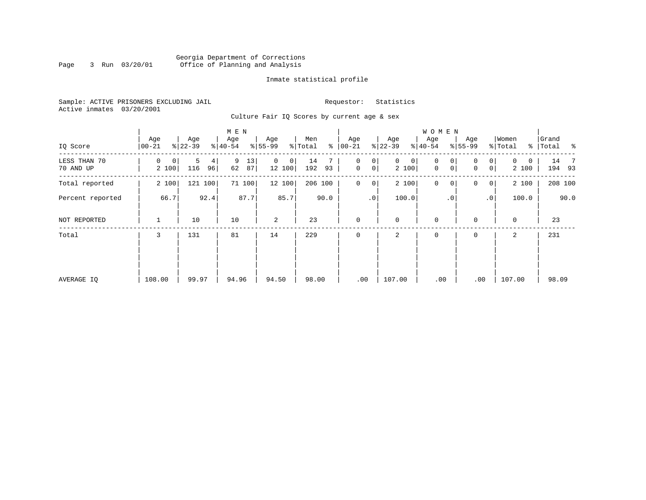# Georgia Department of Corrections Page 3 Run 03/20/01 Office of Planning and Analysis

#### Inmate statistical profile

Sample: ACTIVE PRISONERS EXCLUDING JAIL **Requestor:** Statistics Active inmates 03/20/2001

Culture Fair IQ Scores by current age & sex

| IQ Score                  | Age<br>$00 - 21$ | Age<br>$ 22-39 $                 | M E N<br>Age<br>$\frac{1}{6}$   40-54 | Age<br>$8 55-99$        | Men<br>နွ<br>% Total | Age<br>$ 00-21 $            | Age<br>$ 22-39 $          | W O M E N<br>Age<br>$8 40-54$ | Age<br>$ 55-99 $                          | Women<br>% Total       | Grand<br>% Total % |
|---------------------------|------------------|----------------------------------|---------------------------------------|-------------------------|----------------------|-----------------------------|---------------------------|-------------------------------|-------------------------------------------|------------------------|--------------------|
| LESS THAN 70<br>70 AND UP | 0<br>0<br>2 100  | 5<br>4 <sup>1</sup><br>116<br>96 | 9<br>13<br>62<br>87                   | $\Omega$<br>0<br>12 100 | 14<br>192<br>93      | 0<br>0<br>$\mathbf 0$<br> 0 | $\mathbf 0$<br>0<br>2 100 | $\mathbf 0$<br>0<br>0<br>0    | $\overline{0}$<br>0<br> 0 <br>$\mathbf 0$ | $\Omega$<br>0<br>2 100 | 14 7<br>194 93     |
| Total reported            | 2 100            | 121 100                          | 71 100                                | 12 100                  | 206 100              | 0<br>0                      | 2 100                     | $\mathbf 0$<br>$\mathbf 0$    | 0<br>$\overline{0}$                       | 2 100                  | 208 100            |
| Percent reported          | 66.7             | 92.4                             | 87.7                                  | 85.7                    | 90.0                 | .0 <sup>1</sup>             | 100.0                     | . 0                           | .0 <sup>1</sup>                           | 100.0                  | 90.0               |
| NOT REPORTED              | 1                | 10                               | 10                                    | 2                       | 23                   | $\mathbf 0$                 | $\mathbf 0$               | $\mathbf 0$                   | 0                                         | $\mathbf 0$            | 23                 |
| Total                     | 3                | 131                              | 81                                    | 14                      | 229                  | $\mathbf 0$                 | 2                         | 0                             | 0                                         | 2                      | 231                |
| AVERAGE IQ                | 108.00           | 99.97                            | 94.96                                 | 94.50                   | 98.00                | .00                         | 107.00                    | .00                           | .00                                       | 107.00                 | 98.09              |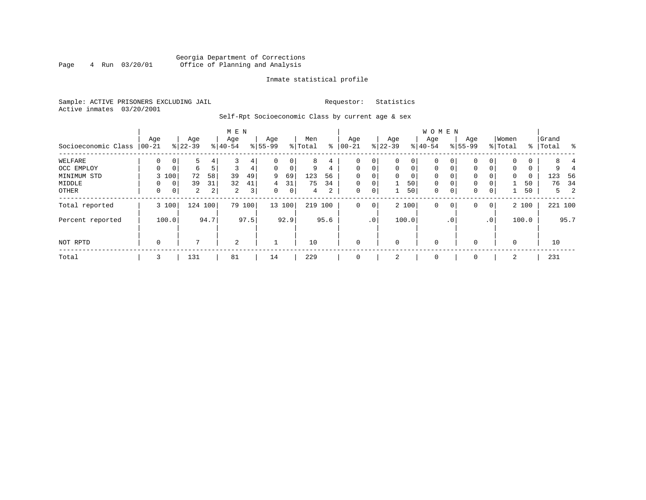# Georgia Department of Corrections<br>4 Run 03/20/01 Office of Planning and Analysis Page 4 Run 03/20/01 Office of Planning and Analysis

#### Inmate statistical profile

Sample: ACTIVE PRISONERS EXCLUDING JAIL **Requestor:** Statistics Active inmates 03/20/2001

Self-Rpt Socioeconomic Class by current age & sex

|                     |                 |             |                  |                | M E N            |        |                    |             |                |                |                  |                 |                  |             | <b>WOMEN</b>     |             |                    |                |                  |       |                    |         |
|---------------------|-----------------|-------------|------------------|----------------|------------------|--------|--------------------|-------------|----------------|----------------|------------------|-----------------|------------------|-------------|------------------|-------------|--------------------|----------------|------------------|-------|--------------------|---------|
| Socioeconomic Class | Age<br>$ 00-21$ |             | Age<br>$8 22-39$ |                | Age<br>$8 40-54$ |        | Age<br>$8155 - 99$ |             | Men<br>% Total | နွ             | Age<br>$00 - 21$ |                 | Age<br>$ 22-39 $ |             | Age<br>$8 40-54$ |             | Age<br>$8155 - 99$ |                | Women<br>% Total |       | Grand<br>%   Total | ႜ       |
| WELFARE             | 0               | 0           | 5                | 4              |                  | 4      | 0                  | 0           | 8              | 4              |                  | 0               | 0                | 0           | $\mathbf 0$      | 0           | 0                  | 0              |                  | 0     | 8                  |         |
| OCC EMPLOY          | $\Omega$        | $\mathbf 0$ | 6                | 5 <sup>1</sup> | 3                | 4      | 0                  | $\mathbf 0$ | 9              | 4              | 0                | $\mathbf 0$     | $\mathbf{0}$     | $\mathbf 0$ | $\mathbf 0$      | $\mathbf 0$ | $\Omega$           | $\Omega$       | 0                | 0     | 9                  |         |
| MINIMUM STD         |                 | 3 100       | 72               | 58             | 39               | 49     | 9                  | 69          | 123            | 56             |                  | 0               | $\Omega$         | 0           | $\mathbf 0$      | $\Omega$    | 0                  |                | $\Omega$         | 0     | 123                | - 56    |
| MIDDLE              | 0               | 0           | 39               | 31             | 32               | 41     | 4                  | 31          | 75             | 34             | $\mathbf 0$      | 0               |                  | 50          | $\mathbf 0$      | $\mathbf 0$ | 0                  |                |                  | 50    | 76                 | 34      |
| OTHER               | 0               | 0           | $\overline{a}$   | 2 <sub>1</sub> | 2                | 3      | 0                  | $\mathbf 0$ | 4              | $\overline{2}$ | 0                | 0               |                  | 50          | $\mathbf 0$      | $\mathbf 0$ | $\mathbf 0$        | $\mathbf 0$    |                  | 50    |                    | 2<br>5  |
| Total reported      |                 | 3 100       | 124 100          |                |                  | 79 100 |                    | 13 100      | 219            | 100            | $\mathbf{0}$     | 0               |                  | 2 100       | $\mathbf{0}$     | 0           | 0                  | $\overline{0}$ |                  | 2 100 |                    | 221 100 |
| Percent reported    |                 | 100.0       |                  | 94.7           |                  | 97.5   |                    | 92.9        |                | 95.6           |                  | .0 <sup>1</sup> |                  | 100.0       |                  | $\cdot$ 0   |                    | .0             |                  | 100.0 |                    | 95.7    |
| NOT RPTD            | 0               |             | 7                |                | 2                |        |                    |             | 10             |                | $\Omega$         |                 | 0                |             | $\mathbf 0$      |             | $\Omega$           |                | $\Omega$         |       | 10                 |         |
| Total               | 3               |             | 131              |                | 81               |        | 14                 |             | 229            |                | $\mathbf 0$      |                 | 2                |             | 0                |             | 0                  |                | 2                |       | 231                |         |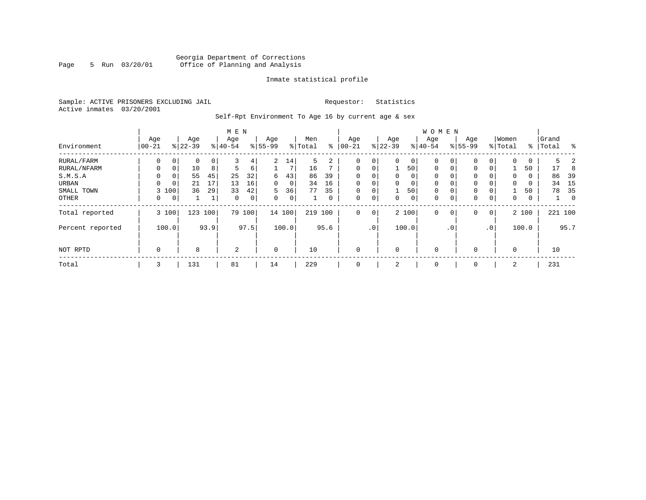# Georgia Department of Corrections<br>Page 5 Run 03/20/01 Office of Planning and Analysis Office of Planning and Analysis

#### Inmate statistical profile

Sample: ACTIVE PRISONERS EXCLUDING JAIL **Requestor:** Statistics Active inmates 03/20/2001

Self-Rpt Environment To Age 16 by current age & sex

|  | -- |  |
|--|----|--|
|  |    |  |
|  |    |  |
|  |    |  |
|  |    |  |
|  |    |  |
|  |    |  |

|                  |                  |                          |                  |                | M E N            |                |                  |                |                |              |                  |             |                 |          | WOMEN            |           |                    |                 |                  |       |                |                |
|------------------|------------------|--------------------------|------------------|----------------|------------------|----------------|------------------|----------------|----------------|--------------|------------------|-------------|-----------------|----------|------------------|-----------|--------------------|-----------------|------------------|-------|----------------|----------------|
| Environment      | Age<br>$ 00-21 $ |                          | Age<br>$8 22-39$ |                | Age<br>$8 40-54$ |                | Age<br>$8 55-99$ |                | Men<br>% Total | ႜ            | Age<br>$00 - 21$ |             | Age<br>$ 22-39$ |          | Age<br>$ 40-54 $ |           | Age<br>$8155 - 99$ |                 | Women<br>% Total | ွေ    | Grand<br>Total | ႜ              |
|                  |                  |                          |                  |                |                  |                |                  |                |                |              |                  |             |                 |          |                  |           |                    |                 |                  |       |                |                |
| RURAL/FARM       |                  | $\Omega$<br>0            |                  | $\overline{0}$ |                  | 4              | 2                | 14             | 5              | 2            | 0                | 0           | $\Omega$        | 0        | $\Omega$         |           |                    | 0               | $\Omega$         | 0     | 5              |                |
| RURAL/NFARM      |                  | $\Omega$<br>$\mathbf{0}$ | 10               | 8              | 5.               | 6              |                  | 7              | 16             |              | $\Omega$         | $\Omega$    |                 | 50       | $\Omega$         | $\Omega$  | $\Omega$           | $\Omega$        |                  | 50    | 17             | 8              |
| S.M.S.A          |                  | $\Omega$<br>0            | 55               | 45             | 25               | 32             | 6                | 43             | 86             | 39           | $\Omega$         | $\Omega$    | $\Omega$        | $\Omega$ | $\Omega$         |           | $\Omega$           | $\Omega$        | $\Omega$         | 0     | 86             | 39             |
| URBAN            |                  | 0<br>$\mathbf 0$         | 21               | 17             | 13               | 16             | 0                | 0              | 34             | 16           | $\Omega$         | $\Omega$    | $\Omega$        | $\Omega$ | $\Omega$         |           | $\Omega$           | 0 I             | 0                | 0     | 34             | 15             |
| SMALL TOWN       |                  | 3 100                    | 36               | 29             | 33               | 42             | 5                | 36             | 77             | 35           | 0                | $\mathbf 0$ |                 | 50       | $\mathbf 0$      | $\Omega$  | 0                  | $\overline{0}$  |                  | 50    | 78             | 35             |
| OTHER            |                  | 0<br>0                   |                  |                | 0                | $\overline{0}$ | 0                | 0 <sub>1</sub> |                | $\mathbf{0}$ | 0                | 0           | 0               | 0        | $\mathbf 0$      | 0         | 0                  | 0               | 0                | 0     |                | $\overline{0}$ |
| Total reported   |                  | 3 100                    | 123              | 100            | 79               | 100            |                  | 14 100         | 219            | 100          | $\mathbf 0$      | $\mathbf 0$ |                 | 2 100    | $\mathbf 0$      | 0         | 0                  | 0 <sup>1</sup>  |                  | 2 100 |                | 221 100        |
| Percent reported |                  | 100.0                    |                  | 93.9           |                  | 97.5           |                  | 100.0          |                | 95.6         |                  | $\cdot$ 0   |                 | 100.0    |                  | $\cdot$ 0 |                    | .0 <sup>1</sup> |                  | 100.0 |                | 95.7           |
| NOT RPTD         |                  | 0                        | 8                |                | 2                |                | $\mathbf 0$      |                | 10             |              | $\mathbf 0$      |             | $\Omega$        |          | $\mathbf 0$      |           | $\Omega$           |                 | $\mathbf 0$      |       | 10             |                |
|                  |                  |                          |                  |                |                  |                |                  |                |                |              |                  |             |                 |          |                  |           |                    |                 |                  |       |                |                |
| Total            |                  | 3                        | 131              |                | 81               |                | 14               |                | 229            |              | 0                |             | 2               |          | 0                |           | $\mathbf 0$        |                 | 2                |       | 231            |                |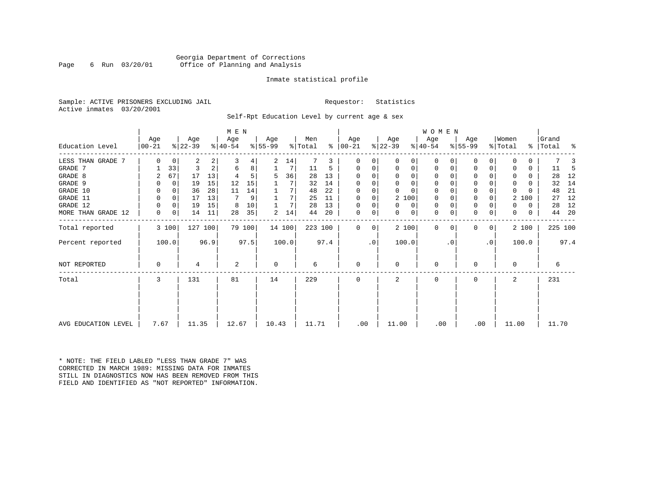#### Georgia Department of Corrections Page 6 Run 03/20/01 Office of Planning and Analysis

#### Inmate statistical profile

Sample: ACTIVE PRISONERS EXCLUDING JAIL **Requestor:** Statistics Active inmates 03/20/2001

Self-Rpt Education Level by current age & sex

|                     |                  |       |                  |      | M E N            |        |          |        |         |      |             |    |                |          | W O M E N   |          |           |           |              |       |           |         |
|---------------------|------------------|-------|------------------|------|------------------|--------|----------|--------|---------|------|-------------|----|----------------|----------|-------------|----------|-----------|-----------|--------------|-------|-----------|---------|
| Education Level     | Age<br>$00 - 21$ |       | Age<br>$ 22-39 $ |      | Age<br>$ 40-54 $ |        | Age      |        | Men     | ⊱    | Age         |    | Age            |          | Age         |          | Age       |           | Women        |       | Grand     |         |
|                     |                  |       |                  |      |                  |        | $ 55-99$ |        | % Total |      | $ 00-21$    |    | $ 22-39 $      |          | $ 40-54 $   |          | $ 55-99 $ |           | % Total      |       | % Total % |         |
| LESS THAN GRADE 7   |                  | 0     | 2                | 2    | 3                | 4      | 2        | 14     |         | 3    | $\Omega$    | 0  | 0              | 0        | $\mathbf 0$ | O        | 0         |           |              |       |           |         |
| GRADE 7             |                  | 33    | 3                | 2    | 6                | 8      |          | 7      | 11      | 5    | $\Omega$    | 0  | 0              | 0        | 0           | 0        | $\Omega$  |           |              | 0     | 11        | -5      |
| GRADE 8             | 2                | 67    | 17               | 13   |                  |        | 5        | 36     | 28      | 13   | $\Omega$    |    | $\Omega$       | $\Omega$ | $\Omega$    |          | $\Omega$  |           |              | 0     | 28        | 12      |
| GRADE 9             |                  | 0     | 19               | 15   | 12               | 15     |          |        | 32      | 14   | 0           |    | $\Omega$       | 0        | 0           | n        | 0         |           | 0            | 0     | 32        | 14      |
| GRADE 10            |                  | 0     | 36               | 28   | 11               | 14     |          | 7      | 48      | 22   | $\Omega$    | 0  | $\Omega$       | $\Omega$ | 0           | O        | 0         |           | $\Omega$     |       | 48        | 21      |
| GRADE 11            | $\Omega$         | 0     | 17               | 13   | 7                | 9      |          | 7      | 25      | 11   | $\Omega$    |    |                | 2 100    | 0           |          | 0         |           | 2            | 100   | 27        | 12      |
| GRADE 12            | 0                | 0     | 19               | 15   | 8                | 10     |          | 7      | 28      | 13   | $\Omega$    | 0  | $\Omega$       | 0        | 0           | $\Omega$ | 0         |           | 0            | 0     | 28        | 12      |
| MORE THAN GRADE 12  | 0                | 0     | 14               | 11   | 28               | 35     | 2        | 14     | 44      | 20   | 0           | 0  | $\Omega$       | 0        | 0           | 0        | 0         | 0         | $\Omega$     | 0     | 44        | -20     |
| Total reported      |                  | 3 100 | 127 100          |      |                  | 79 100 |          | 14 100 | 223 100 |      | $\Omega$    | 0  |                | 2 100    | $\mathbf 0$ | $\Omega$ | 0         | 0         |              | 2 100 |           | 225 100 |
| Percent reported    |                  | 100.0 |                  | 96.9 |                  | 97.5   |          | 100.0  |         | 97.4 |             | .0 | 100.0          |          |             | . 0      |           | $\cdot$ 0 |              | 100.0 |           | 97.4    |
| NOT REPORTED        | $\Omega$         |       | 4                |      | 2                |        | 0        |        | 6       |      | $\mathbf 0$ |    | 0              |          | 0           |          | $\Omega$  |           | $\Omega$     |       |           | 6       |
| Total               | 3                |       | 131              |      | 81               |        | 14       |        | 229     |      | $\Omega$    |    | $\overline{a}$ |          | $\Omega$    |          | $\Omega$  |           | $\mathbf{2}$ |       | 231       |         |
|                     |                  |       |                  |      |                  |        |          |        |         |      |             |    |                |          |             |          |           |           |              |       |           |         |
|                     |                  |       |                  |      |                  |        |          |        |         |      |             |    |                |          |             |          |           |           |              |       |           |         |
| AVG EDUCATION LEVEL | 7.67             |       | 11.35            |      | 12.67            |        | 10.43    |        | 11.71   |      | .00         |    | 11.00          |          | .00         |          | .00       |           | 11.00        |       |           | 11.70   |

\* NOTE: THE FIELD LABLED "LESS THAN GRADE 7" WAS CORRECTED IN MARCH 1989: MISSING DATA FOR INMATES STILL IN DIAGNOSTICS NOW HAS BEEN REMOVED FROM THIS FIELD AND IDENTIFIED AS "NOT REPORTED" INFORMATION.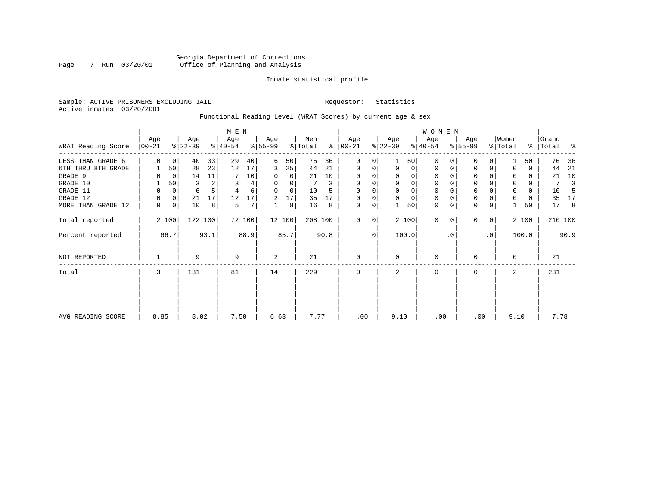# Georgia Department of Corrections Page 7 Run 03/20/01 Office of Planning and Analysis

#### Inmate statistical profile

Sample: ACTIVE PRISONERS EXCLUDING JAIL **Requestor:** Statistics Active inmates 03/20/2001

Functional Reading Level (WRAT Scores) by current age & sex

|                    |                   |       |                  |         | M E N            |        |                  |          |                |      |                      |           |                  |                | <b>WOMEN</b>     |           |                  |           |                  |       |                |         |
|--------------------|-------------------|-------|------------------|---------|------------------|--------|------------------|----------|----------------|------|----------------------|-----------|------------------|----------------|------------------|-----------|------------------|-----------|------------------|-------|----------------|---------|
| WRAT Reading Score | Age<br>$ 00 - 21$ |       | Age<br>$ 22-39 $ |         | Age<br>$ 40-54 $ |        | Age<br>$8 55-99$ |          | Men<br>% Total |      | Age<br>$8   00 - 21$ |           | Age<br>$ 22-39 $ |                | Age<br>$ 40-54 $ |           | Age<br>$ 55-99 $ |           | Women<br>% Total | ွေ    | Grand<br>Total | န္      |
| LESS THAN GRADE 6  | $\Omega$          | 0     | 40               | 33      | 29               | 40     | 6                | 50       | 75             | 36   | $\Omega$             | 0         |                  | 50             | $\Omega$         |           | 0                | 0         |                  | 50    | 76             | 36      |
| 6TH THRU 8TH GRADE |                   | 50    | 28               | 23      | 12               | 17     | 3                | 25       | 44             | 21   | $\mathbf 0$          | 0         | $\Omega$         | $\overline{0}$ | 0                |           | 0                | 0         |                  | 0     | 44             | 21      |
| GRADE 9            |                   | 0     | 14               | 11      |                  | 10     |                  | 0        | 21             | 10   | 0                    |           |                  |                |                  |           | 0                |           |                  | 0     | 21             | 10      |
| GRADE 10           |                   | 50    | 3                |         | 3                | 4      | 0                | 0        |                | 3    | $\mathbf 0$          | 0         |                  | $\Omega$       | 0                |           | $\mathbf 0$      |           | 0                | 0     | 7              |         |
| GRADE 11           | 0                 | 0     | 6                |         |                  | 6      | $\Omega$         | $\Omega$ | 10             |      |                      |           |                  |                |                  |           | $\mathbf 0$      |           |                  | 0     | 10             |         |
| GRADE 12           | $\Omega$          | 0     | 21               | 17      | 12               | 17     | 2                | 17       | 35             | 17   | $\Omega$             | 0         |                  |                | 0                |           | $\mathbf 0$      |           | 0                | 0     | 35             | 17      |
| MORE THAN GRADE 12 | 0                 | 0     | 10               | 8       | 5                | 7      |                  | 8        | 16             | 8    | $\mathbf 0$          | 0         |                  | 50             | $\mathbf 0$      | 0         | $\mathbf 0$      | 0         |                  | 50    | 17             | 8       |
| Total reported     |                   | 2 100 |                  | 122 100 |                  | 72 100 |                  | 12 100   | 208 100        |      | $\Omega$             | 0         |                  | 2 100          | $\mathbf 0$      | $\Omega$  | $\mathbf 0$      | 0         |                  | 2 100 |                | 210 100 |
| Percent reported   |                   | 66.7  |                  | 93.1    |                  | 88.9   |                  | 85.7     |                | 90.8 |                      | $\cdot$ 0 |                  | 100.0          |                  | $\cdot$ 0 |                  | $\cdot$ 0 |                  | 100.0 |                | 90.9    |
| NOT REPORTED       |                   |       | 9                |         | 9                |        | 2                |          | 21             |      | $\mathbf 0$          |           | $\Omega$         |                | 0                |           | 0                |           | $\Omega$         |       | 21             |         |
| Total              | 3                 |       | 131              |         | 81               |        | 14               |          | 229            |      | $\mathbf 0$          |           | 2                |                | 0                |           | 0                |           | 2                |       | 231            |         |
|                    |                   |       |                  |         |                  |        |                  |          |                |      |                      |           |                  |                |                  |           |                  |           |                  |       |                |         |
| AVG READING SCORE  | 8.85              |       | 8.02             |         | 7.50             |        | 6.63             |          | 7.77           |      | .00                  |           | 9.10             |                | .00              |           |                  | .00       | 9.10             |       | 7.78           |         |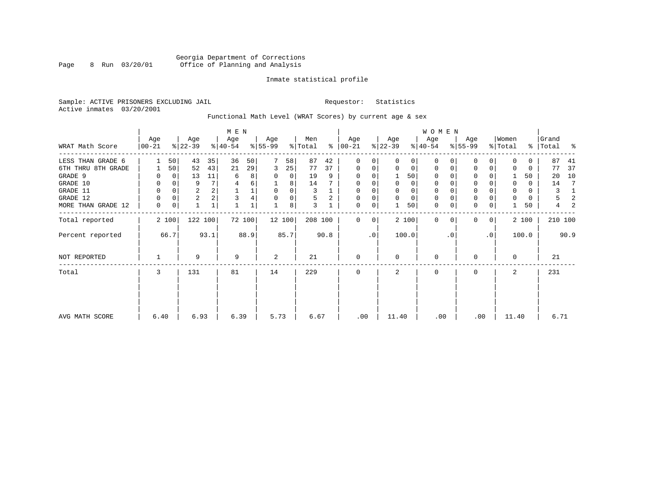# Georgia Department of Corrections Page 8 Run 03/20/01 Office of Planning and Analysis

#### Inmate statistical profile

Sample: ACTIVE PRISONERS EXCLUDING JAIL **Requestor:** Statistics Active inmates 03/20/2001

Functional Math Level (WRAT Scores) by current age & sex

|                    |                 |          |                  |              | M E N            |        |                  |        |                |      |                 |             |                  |       | W O M E N        |          |                  |           |                  |       |                    |      |
|--------------------|-----------------|----------|------------------|--------------|------------------|--------|------------------|--------|----------------|------|-----------------|-------------|------------------|-------|------------------|----------|------------------|-----------|------------------|-------|--------------------|------|
| WRAT Math Score    | Age<br>$ 00-21$ |          | Age<br>$ 22-39 $ |              | Age<br>$ 40-54 $ |        | Age<br>$ 55-99 $ |        | Men<br>% Total | ⊱    | Age<br>$ 00-21$ |             | Age<br>$ 22-39 $ |       | Age<br>$ 40-54 $ |          | Age<br>$8 55-99$ |           | Women<br>% Total |       | Grand<br>% Total % |      |
| LESS THAN GRADE 6  |                 | 50       | 43               | 35           | 36               | 50     |                  | 58     | 87             | 42   | 0               | $\Omega$    | $\Omega$         | 0     | $\mathbf 0$      | $\Omega$ | 0                | $\Omega$  | O                | 0     | 87                 | 41   |
| 6TH THRU 8TH GRADE |                 | 50       | 52               | 43           | 21               | 29     | 3                | 25     | 77             | 37   | 0               | 0           | $\mathbf 0$      | 0     | $\mathbf 0$      | 0        | 0                | 0         |                  | 0     | 77                 | 37   |
| GRADE 9            |                 |          | 13               | 11           | 6                | 8      | 0                | 0      | 19             | 9    | 0               |             |                  | 50    | 0                |          | $\Omega$         |           |                  | 50    | 20                 | 10   |
| GRADE 10           | 0               |          | 9                | 7            |                  | 6      |                  | 8      | 14             |      | 0               |             | 0                | 0     | 0                |          | 0                |           | 0                | 0     | 14                 | -7   |
| GRADE 11           | 0               |          | $\overline{2}$   |              |                  | 1      | 0                | 0      | 3              |      | 0               |             |                  | 0     | 0                |          | $\mathbf 0$      |           |                  | 0     | 3                  | 1    |
| GRADE 12           | $\Omega$        | $\Omega$ | $\overline{2}$   |              | 3                |        | 0                | 0      | 5              | 2    | 0               | 0           | 0                | 0     | 0                | $\Omega$ | 0                |           | $\Omega$         | 0     | 5                  | 2    |
| MORE THAN GRADE 12 | 0               | 0        |                  | $\mathbf{1}$ |                  |        |                  | 8      | 3              |      | 0               | 0           |                  | 50    | $\mathbf 0$      | 0        | $\mathbf 0$      | 0         |                  | 50    | 4                  | 2    |
| Total reported     |                 | 2 100    | 122 100          |              |                  | 72 100 |                  | 12 100 | 208 100        |      | $\mathbf{0}$    | $\mathbf 0$ |                  | 2 100 | $\mathbf 0$      | $\Omega$ | $\Omega$         | 0         |                  | 2 100 | 210 100            |      |
| Percent reported   |                 | 66.7     |                  | 93.1         |                  | 88.9   |                  | 85.7   |                | 90.8 |                 | $\cdot$ 0   |                  | 100.0 |                  | . 0      |                  | $\cdot$ 0 |                  | 100.0 |                    | 90.9 |
| NOT REPORTED       |                 |          | 9                |              | 9                |        | 2                |        | 21             |      | $\mathbf 0$     |             | $\Omega$         |       | 0                |          | 0                |           | $\Omega$         |       | 21                 |      |
| Total              | 3               |          | 131              |              | 81               |        | 14               |        | 229            |      | $\mathbf 0$     |             | 2                |       | 0                |          | 0                |           | 2                |       | 231                |      |
|                    |                 |          |                  |              |                  |        |                  |        |                |      |                 |             |                  |       |                  |          |                  |           |                  |       |                    |      |
| AVG MATH SCORE     | 6.40            |          | 6.93             |              | 6.39             |        | 5.73             |        | 6.67           |      | .00             |             | 11.40            |       | .00              |          |                  | .00       | 11.40            |       | 6.71               |      |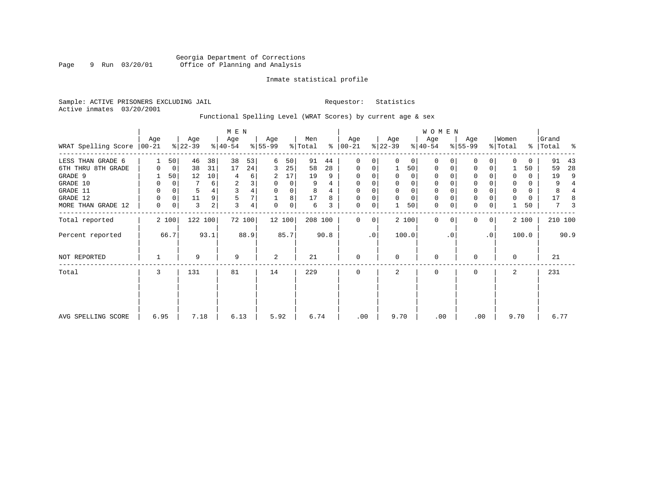# Georgia Department of Corrections Page 9 Run 03/20/01 Office of Planning and Analysis

#### Inmate statistical profile

Sample: ACTIVE PRISONERS EXCLUDING JAIL **Requestor:** Statistics Active inmates 03/20/2001

# Functional Spelling Level (WRAT Scores) by current age & sex

|                               |      |             |                  |      | M E N            |        |                  |          |                |      |                      |           |                  |             | W O M E N        |           |                 |                |                  |          |                    |      |
|-------------------------------|------|-------------|------------------|------|------------------|--------|------------------|----------|----------------|------|----------------------|-----------|------------------|-------------|------------------|-----------|-----------------|----------------|------------------|----------|--------------------|------|
| WRAT Spelling Score $ 00-21 $ | Age  |             | Age<br>$8 22-39$ |      | Age<br>$ 40-54 $ |        | Age<br>$8 55-99$ |          | Men<br>% Total |      | Age<br>$8   00 - 21$ |           | Age<br>$ 22-39 $ |             | Age<br>$ 40-54 $ |           | Age<br>$ 55-99$ |                | Women<br>% Total |          | Grand<br>%   Total | ႜ    |
| LESS THAN GRADE 6             |      | 50          | 46               | 38   | 38               | 53     | 6                | 50       | 91             | 44   | $\Omega$             | 0         |                  | $\Omega$    | $\Omega$         | 0         | $\Omega$        | 0              | $\Omega$         | $\Omega$ | 91                 | 43   |
| 6TH THRU 8TH GRADE            | 0    | 0           | 38               | 31   | 17               | 24     | 3                | 25       | 58             | 28   | $\mathbf 0$          | 0         |                  | 50          | 0                | 0         | $\mathbf 0$     | 0              |                  | 50       | 59                 | 28   |
| GRADE 9                       |      | 50          | 12               | 10   | 4                | 6      | 2                | 17       | 19             | 9    | $\Omega$             | 0         | $\Omega$         | $\Omega$    | 0                |           |                 |                | $\Omega$         | $\Omega$ | 19                 | 9    |
| GRADE 10                      | 0    | $\mathbf 0$ |                  | 6    | $\sqrt{2}$       | 3      | $\mathbf 0$      | $\Omega$ | 9              | 4    | 0                    | 0         |                  | $\Omega$    | $\mathbf 0$      |           | $\mathbf 0$     |                | 0                | $\Omega$ | 9                  | 4    |
| GRADE 11                      | 0    | $\mathbf 0$ | 5                |      | 3                | 4      | $\mathbf 0$      | 0        | 8              |      | $\Omega$             | 0         |                  | $\Omega$    | 0                |           | $\Omega$        |                | 0                | 0        | 8                  |      |
| GRADE 12                      | 0    | $\mathbf 0$ | 11               |      | 5                | 7      |                  | 8        | 17             | 8    | $\mathbf 0$          | 0         | $\Omega$         | $\mathbf 0$ | $\mathbf 0$      |           | $\mathbf 0$     |                | 0                | 0        | 17                 |      |
| MORE THAN GRADE 12            | 0    | 0           | 3                | 2    | 3                | 4      | $\Omega$         | 0        | 6              | 3    | $\mathbf 0$          | 0         |                  | 50          | $\mathbf 0$      | 0         | $\mathbf 0$     | 0              |                  | 50       | 7                  |      |
| Total reported                |      | 2 100       | 122 100          |      |                  | 72 100 |                  | 12 100   | 208 100        |      | $\Omega$             | $\Omega$  |                  | 2 100       | $\Omega$         | 0         | $\Omega$        | $\overline{0}$ |                  | 2 100    | 210 100            |      |
| Percent reported              |      | 66.7        |                  | 93.1 |                  | 88.9   |                  | 85.7     |                | 90.8 |                      | $\cdot$ 0 |                  | 100.0       |                  | $\cdot$ 0 |                 | $\cdot$ 0      |                  | 100.0    |                    | 90.9 |
| NOT REPORTED                  |      |             | 9                |      | 9                |        | 2                |          | 21             |      | $\mathbf 0$          |           | $\Omega$         |             | $\mathbf 0$      |           | $\Omega$        |                | 0                |          | 21                 |      |
| Total                         | 3    |             | 131              |      | 81               |        | 14               |          | 229            |      | $\mathbf 0$          |           | 2                |             | $\mathbf 0$      |           | $\mathbf 0$     |                | 2                |          | 231                |      |
|                               |      |             |                  |      |                  |        |                  |          |                |      |                      |           |                  |             |                  |           |                 |                |                  |          |                    |      |
|                               |      |             |                  |      |                  |        |                  |          |                |      |                      |           |                  |             |                  |           |                 |                |                  |          |                    |      |
| AVG SPELLING SCORE            | 6.95 |             | 7.18             |      | 6.13             |        | 5.92             |          | 6.74           |      | .00                  |           | 9.70             |             | .00              |           | .00             |                | 9.70             |          | 6.77               |      |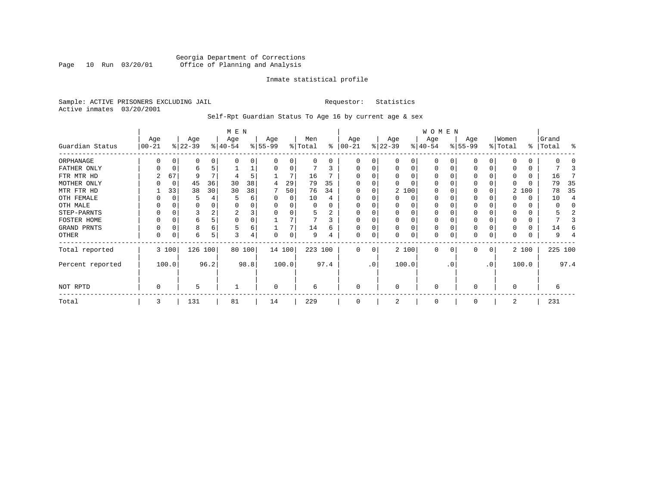### Georgia Department of Corrections Page 10 Run 03/20/01 Office of Planning and Analysis

#### Inmate statistical profile

Sample: ACTIVE PRISONERS EXCLUDING JAIL **Requestor:** Statistics Active inmates 03/20/2001

Self-Rpt Guardian Status To Age 16 by current age & sex

|                  |                  |             |                  |      | M E N            |        |                 |          |                |      |                  |                 |                  |          | WOMEN            |          |                  |    |                  |       |                    |         |
|------------------|------------------|-------------|------------------|------|------------------|--------|-----------------|----------|----------------|------|------------------|-----------------|------------------|----------|------------------|----------|------------------|----|------------------|-------|--------------------|---------|
| Guardian Status  | Age<br>$00 - 21$ |             | Age<br>$ 22-39 $ |      | Age<br>$ 40-54 $ |        | Age<br>$ 55-99$ |          | Men<br>% Total | ႜ    | Age<br>$ 00-21 $ |                 | Age<br>$ 22-39 $ |          | Age<br>$ 40-54 $ |          | Age<br>$8 55-99$ |    | Women<br>% Total |       | Grand<br>%   Total | ႜ       |
| ORPHANAGE        |                  |             | 0                | 0    | n                | 0      |                 | 0        | 0              | 0    | 0                | 0               |                  | 0        | $\Omega$         |          | O                |    |                  |       |                    |         |
| FATHER ONLY      | 0                | 0           | 6                |      |                  |        |                 | $\Omega$ |                | 3    | $\Omega$         | 0               | $\Omega$         | $\Omega$ | $\Omega$         |          | $\Omega$         |    |                  |       |                    |         |
| FTR MTR HD       |                  | 67          | 9                |      |                  | 5      |                 |          | 16             |      |                  |                 |                  |          | O                |          | <sup>0</sup>     |    |                  |       | 16                 |         |
| MOTHER ONLY      |                  | $\mathbf 0$ | 45               | 36   | 30               | 38     | 4               | 29       | 79             | 35   |                  |                 |                  |          | O                |          | 0                |    |                  |       | 79                 | 35      |
| MTR FTR HD       |                  | 33          | 38               | 30   | 30               | 38     |                 | 50       | 76             | 34   | $\Omega$         |                 |                  | 2 100    | $\Omega$         |          | <sup>0</sup>     |    |                  | 2 100 | 78                 | 35      |
| OTH FEMALE       |                  | C           |                  |      |                  | 6      |                 | $\Omega$ | 10             |      |                  |                 | ∩                | 0        | 0                |          | 0                |    |                  | 0     | 10                 |         |
| OTH MALE         |                  |             | 0                |      |                  | 0      |                 |          | 0              |      | 0                |                 |                  |          | 0                |          |                  |    |                  |       | O                  |         |
| STEP-PARNTS      | 0                | C           | 3                |      | 2                | 3      |                 |          | 5              | 2    | $\Omega$         |                 |                  | $\Omega$ | 0                |          | 0                |    |                  | 0     |                    |         |
| FOSTER HOME      |                  | C           | 6                |      | $\Omega$         | 0      |                 |          |                | 3    | $\Omega$         |                 |                  |          | 0                |          | $\Omega$         |    |                  |       |                    |         |
| GRAND PRNTS      | 0                | C           | 8                | 6    | 5                | 6      |                 |          | 14             | 6    | $\Omega$         | 0               | $\Omega$         | $\Omega$ | 0                |          | 0                |    |                  |       | 14                 |         |
| OTHER            | 0                | C           | 6                | 5    | 3                | 4      | U               | $\Omega$ | 9              |      | $\mathbf 0$      | 0               |                  | $\Omega$ | 0                |          | $\Omega$         |    |                  |       | 9                  |         |
| Total reported   |                  | 3 100       | 126 100          |      |                  | 80 100 |                 | 14 100   | 223 100        |      | $\Omega$         | 0               |                  | 2 100    | 0                | $\Omega$ | $\Omega$         | 0  |                  | 2 100 |                    | 225 100 |
| Percent reported |                  | 100.0       |                  | 96.2 |                  | 98.8   |                 | 100.0    |                | 97.4 |                  | .0 <sup>′</sup> |                  | 100.0    |                  | . 0      |                  | .0 |                  | 100.0 |                    | 97.4    |
| NOT RPTD         | 0                |             | 5                |      |                  |        | $\Omega$        |          | 6              |      | $\mathbf 0$      |                 | $\Omega$         |          | 0                |          | $\Omega$         |    | O                |       | 6                  |         |
| Total            | 3                |             | 131              |      | 81               |        | 14              |          | 229            |      | $\Omega$         |                 |                  |          | 0                |          | $\Omega$         |    | 2                |       | 231                |         |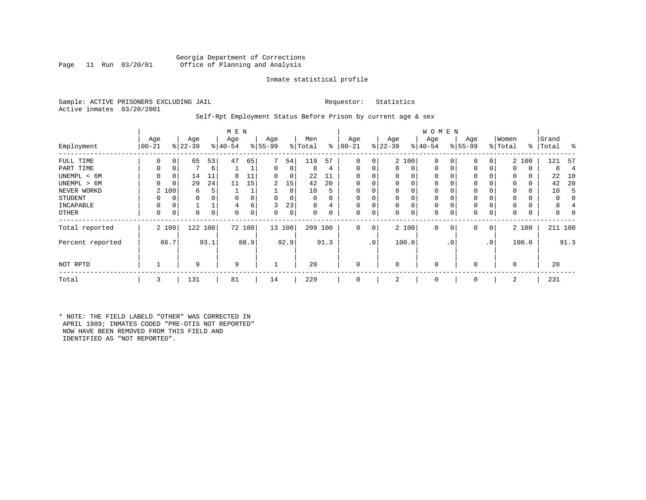#### Georgia Department of Corrections Office of Planning and Analysis

#### Inmate statistical profile

Sample: ACTIVE PRISONERS EXCLUDING JAIL **Requestor:** Statistics Active inmates 03/20/2001

#### Self-Rpt Employment Status Before Prison by current age & sex

|                  |                  |          |                  |      | M E N            |        |                 |        |                |          |                 |                 |                  |          | <b>WOMEN</b>     |             |                    |              |                  |       |                    |      |
|------------------|------------------|----------|------------------|------|------------------|--------|-----------------|--------|----------------|----------|-----------------|-----------------|------------------|----------|------------------|-------------|--------------------|--------------|------------------|-------|--------------------|------|
| Employment       | Age<br>$00 - 21$ |          | Age<br>$ 22-39 $ |      | Age<br>$ 40-54 $ |        | Age<br>$ 55-99$ |        | Men<br>% Total | ⊱        | Age<br>$ 00-21$ |                 | Age<br>$ 22-39 $ |          | Age<br>$ 40-54 $ |             | Age<br>$8155 - 99$ |              | Women<br>% Total |       | Grand<br>%   Total | ႜ    |
| FULL TIME        | 0                | 0        | 65               | 53   | 47               | 65     | 7               | 54     | 119            | 57       | 0               | 0               |                  | 2 100    | $\mathbf 0$      | $\Omega$    | 0                  | 0            |                  | 2 100 | 121                | 57   |
| PART TIME        | 0                | 0        |                  | 6    |                  |        | 0               | 0      | 8              | 4        | 0               | 0               | $\mathbf{0}$     | 0        | $\mathbf 0$      | $\Omega$    | 0                  |              | $\Omega$         | 0     | 8                  | 4    |
| UNEMPL < 6M      | 0                | 0        | 14               | 11   | 8                | 11     | 0               | 0      | 22             | 11       |                 |                 | 0                | 0        | 0                |             | $\Omega$           |              |                  | 0     | 22                 | 10   |
| UNEMPL > 6M      |                  | $\Omega$ | 29               | 24   | 11               | 15     | 2               | 15     | 42             | 20       | $\Omega$        |                 | $\Omega$         | $\Omega$ | $\Omega$         |             | $\Omega$           |              |                  | 0     | 42                 | 20   |
| NEVER WORKD      | $\overline{2}$   | 100      | 6                | 5.   |                  |        |                 | 8      | 10             | 5        |                 |                 | 0                |          | $\mathbf 0$      |             | $\Omega$           |              |                  | 0     | 10                 | Е    |
| <b>STUDENT</b>   |                  | 0        | 0                |      | 0                |        | $\Omega$        | 0      | 0              | $\Omega$ | $\Omega$        |                 | 0                | $\Omega$ | 0                | $\Omega$    | 0                  |              | <sup>0</sup>     | 0     | 0                  |      |
| INCAPABLE        | O                | 0        |                  |      | 4                | б      | 3               | 23     | 8              | 4        |                 |                 | 0                | $\Omega$ | $\mathbf 0$      |             | $\Omega$           |              |                  |       | 8                  |      |
| OTHER            | 0                | 0        | 0                | 0    | 0                | 0      | 0               | 0      | 0              | 0        | 0               | 0               | 0                | 0        | 0                | $\Omega$    | 0                  | 0            | $\Omega$         | 0     | 0                  |      |
| Total reported   |                  | 2 100    | 122 100          |      |                  | 72 100 |                 | 13 100 | 209            | 100      | 0               | 0               |                  | 2 100    | $\mathbf 0$      | $\mathbf 0$ | 0                  | $\mathbf{0}$ |                  | 2 100 | 211 100            |      |
| Percent reported |                  | 66.7     |                  | 93.1 |                  | 88.9   |                 | 92.9   |                | 91.3     |                 | .0 <sup>1</sup> |                  | 100.0    |                  | . 0         |                    | .0           |                  | 100.0 |                    | 91.3 |
| NOT RPTD         |                  |          | 9                |      | 9                |        |                 |        | 20             |          |                 |                 | $\Omega$         |          | $\mathbf 0$      |             | $\Omega$           |              | $\Omega$         |       | 20                 |      |
| Total            | 3                |          | 131              |      | 81               |        | 14              |        | 229            |          | $\Omega$        |                 | 2                |          | $\mathbf 0$      |             | $\Omega$           |              | 2                |       | 231                |      |

\* NOTE: THE FIELD LABELD "OTHER" WAS CORRECTED IN APRIL 1989; INMATES CODED "PRE-OTIS NOT REPORTED" NOW HAVE BEEN REMOVED FROM THIS FIELD AND IDENTIFIED AS "NOT REPORTED".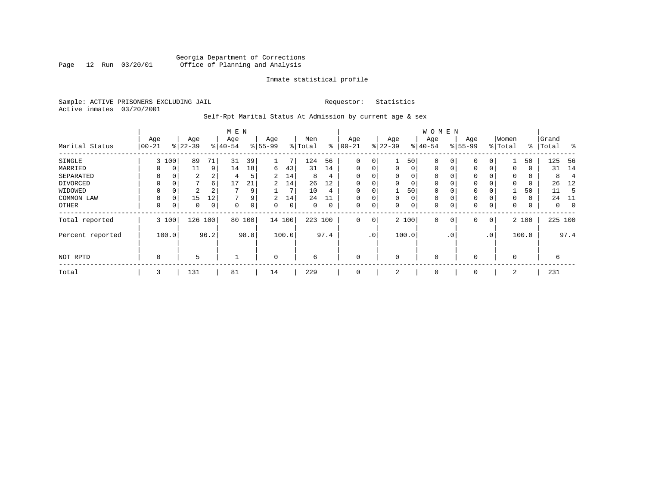### Georgia Department of Corrections Page 12 Run 03/20/01 Office of Planning and Analysis

#### Inmate statistical profile

Sample: ACTIVE PRISONERS EXCLUDING JAIL **Requestor:** Statistics Active inmates 03/20/2001

# Self-Rpt Marital Status At Admission by current age & sex

|                  |             |       |               |                | M E N                 |      |                |       |         |      |             |                 |             |       | <b>WOMEN</b> |             |           |              |          |       |           |                  |
|------------------|-------------|-------|---------------|----------------|-----------------------|------|----------------|-------|---------|------|-------------|-----------------|-------------|-------|--------------|-------------|-----------|--------------|----------|-------|-----------|------------------|
|                  | Age         |       | Age           |                | Age                   |      | Age            |       | Men     |      | Age         |                 | Age         |       | Age          |             | Age       |              | Women    |       | Grand     |                  |
| Marital Status   | $00 - 21$   |       | $ 22-39 $     |                | $\frac{1}{6}$   40-54 |      | $8 55-99$      |       | % Total | ⊱    | $ 00 - 21$  |                 | $ 22-39 $   |       | $ 40-54$     |             | $8 55-99$ |              | % Total  |       | %   Total | $\sim$ $\approx$ |
| SINGLE           | 3           | 100   | 89            | 71             | 31                    | 39   |                | 7     | 124     | 56   | 0           | 0               | 1           | 50    | $\mathbf 0$  | 0           | $\Omega$  | 0            |          | 50    | 125       | -56              |
| MARRIED          | 0           | 0     | 11            | 9              | 14                    | 18   | 6              | 43    | 31      | 14   | $\mathbf 0$ | 0               | 0           | 0     | $\mathbf 0$  | $\mathbf 0$ | 0         | 0            | 0        | 0     | 31        | 14               |
| SEPARATED        | $\Omega$    | 0     | 2             | $\overline{2}$ | 4                     | 5    | $\overline{2}$ | 14    | 8       | 4    | $\Omega$    | 0               | 0           | 0     | 0            | 0           | $\Omega$  |              | $\Omega$ | 0     | 8         | $\overline{4}$   |
| DIVORCED         | 0           | 0     | $\mathcal{L}$ | $6 \mid$       | 17                    | 21   | $\overline{2}$ | 14    | 26      | 12   | 0           | 0               | 0           | 0     | 0            | 0           | 0         |              | $\Omega$ | 0     | 26        | 12               |
| WIDOWED          | $\Omega$    | 0     | 2             | 2              |                       | 9    |                |       | 10      | 4    | 0           | 0               |             | 50    | $\mathbf 0$  | $\Omega$    | 0         |              |          | 50    | 11        | -5               |
| COMMON LAW       | 0           | 0     | 15            | 12             | ∍                     | 9    | 2              | 14    | 24      | 11   | $\Omega$    | 0               | $\mathbf 0$ | 0     | $\mathbf 0$  | $\Omega$    | $\Omega$  |              | $\Omega$ | 0     | 24        | 11               |
| OTHER            | 0           | 0     | 0             | 0              | $\Omega$              | 0    | 0              | 0     | 0       | 0    | 0           | 0               | 0           | 0     | 0            | $\mathbf 0$ | 0         | 0            | 0        | 0     | 0         | $\overline{0}$   |
| Total reported   |             | 3 100 | 126           | 100            | 80                    | 100  | 14 100         |       | 223 100 |      | 0           | 0               |             | 2 100 | $\mathbf 0$  | $\mathbf 0$ | 0         | $\mathbf{0}$ |          | 2 100 | 225 100   |                  |
| Percent reported |             | 100.0 |               | 96.2           |                       | 98.8 |                | 100.0 |         | 97.4 |             | .0 <sup>1</sup> |             | 100.0 |              | $\cdot$ 0   |           | $\cdot$ 0    |          | 100.0 |           | 97.4             |
| NOT RPTD         | $\mathbf 0$ |       | 5             |                |                       |      | $\mathbf 0$    |       | 6       |      | $\mathbf 0$ |                 | $\mathbf 0$ |       | $\mathbf 0$  |             | $\Omega$  |              | $\Omega$ |       | 6         |                  |
| Total            | 3           |       | 131           |                | 81                    |      | 14             |       | 229     |      | $\mathbf 0$ |                 | 2           |       | 0            |             | 0         |              | 2        |       | 231       |                  |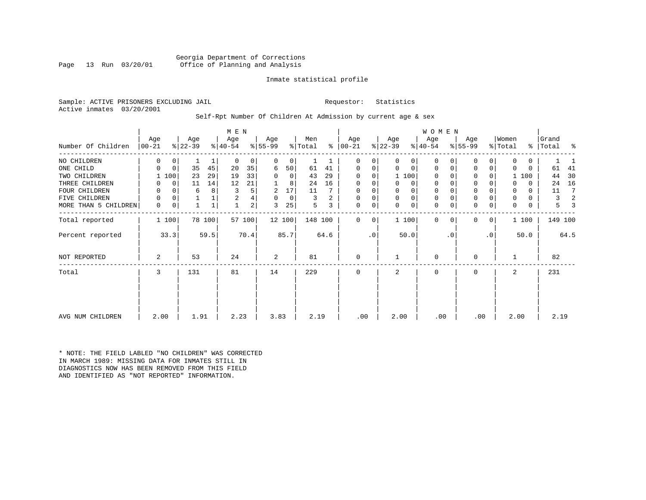Georgia Department of Corrections Office of Planning and Analysis

#### Inmate statistical profile

Sample: ACTIVE PRISONERS EXCLUDING JAIL **Requestor:** Statistics Active inmates 03/20/2001

# Self-Rpt Number Of Children At Admission by current age & sex

|                      |          |             |           |        | M E N     |                |           |             |         |      |               |           |             |             | <b>WOMEN</b> |           |             |           |          |          |         |                |
|----------------------|----------|-------------|-----------|--------|-----------|----------------|-----------|-------------|---------|------|---------------|-----------|-------------|-------------|--------------|-----------|-------------|-----------|----------|----------|---------|----------------|
|                      | Age      |             | Age       |        | Age       |                | Age       |             | Men     |      | Age           |           | Age         |             | Age          |           | Age         |           | Women    |          | Grand   |                |
| Number Of Children   | $ 00-21$ |             | $ 22-39 $ |        | $ 40-54 $ |                | $8 55-99$ |             | % Total |      | $8   00 - 21$ |           | $ 22-39 $   |             | $ 40-54 $    |           | $ 55-99 $   |           | % Total  | ႜၟ       | Total   | ႜ              |
| NO CHILDREN          | 0        | 0           |           | 1      | $\Omega$  | 0              | 0         | $\mathbf 0$ |         |      | 0             | 0         | 0           | $\mathbf 0$ | $\mathbf 0$  |           | 0           | 0         | $\Omega$ | 0        |         |                |
| ONE CHILD            | 0        | $\mathbf 0$ | 35        | 45     | 20        | 35             | 6         | 50          | 61      | 41   | $\mathbf 0$   | 0         | $\Omega$    | $\mathbf 0$ | $\mathbf 0$  | $\Omega$  | $\mathbf 0$ | 0         | $\Omega$ | $\Omega$ | 61      | 41             |
| TWO CHILDREN         |          | 100         | 23        | 29     | 19        | 33             | $\Omega$  | 0           | 43      | 29   | 0             | $\Omega$  |             | 1 100       | $\Omega$     |           | 0           | 0         |          | 1 100    | 44      | 30             |
| THREE CHILDREN       |          | 0           | 11        | 14     | 12        | 21             |           | 8           | 24      | 16   | 0             | 0         | 0           | 0           | 0            |           | $\mathbf 0$ | O         |          | $\Omega$ | 24      | 16             |
| FOUR CHILDREN        |          | 0           | 6         | 8      |           | 5              | 2         | 17          | 11      |      | 0             | 0         | 0           | 0           | 0            |           | $\mathbf 0$ |           | 0        | 0        | 11      | 7              |
| FIVE<br>CHILDREN     | 0        | 0           |           |        | 2         | 4              | 0         | 0           | 3       | 2    | 0             | 0         | $\mathbf 0$ | $\mathbf 0$ | $\mathbf 0$  |           | $\mathbf 0$ | 0         | 0        | 0        | 3       | $\mathfrak{D}$ |
| MORE THAN 5 CHILDREN | 0        | 0           |           |        | 1         | $\overline{a}$ | 3         | 25          | 5       | 3    | 0             | 0         | $\mathbf 0$ | $\mathbf 0$ | $\mathbf 0$  | 0         | $\mathbf 0$ | 0         | 0        | 0        | 5       |                |
| Total reported       |          | 1 100       |           | 78 100 |           | 57 100         |           | 12 100      | 148 100 |      | $\Omega$      | 0         |             | 1 100       | $\Omega$     | $\Omega$  | $\mathbf 0$ | 0         |          | 1 100    | 149 100 |                |
| Percent reported     |          | 33.3        |           | 59.5   |           | 70.4           |           | 85.7        |         | 64.6 |               | $\cdot$ 0 |             | 50.0        |              | $\cdot$ 0 |             | $\cdot$ 0 |          | 50.0     |         | 64.5           |
| NOT REPORTED         | 2        |             | 53        |        | 24        |                | 2         |             | 81      |      | $\mathbf 0$   |           |             |             | 0            |           | $\mathbf 0$ |           |          |          | 82      |                |
| Total                | 3        |             | 131       |        | 81        |                | 14        |             | 229     |      | 0             |           | 2           |             | $\mathbf 0$  |           | $\mathbf 0$ |           | 2        |          | 231     |                |
|                      |          |             |           |        |           |                |           |             |         |      |               |           |             |             |              |           |             |           |          |          |         |                |
|                      |          |             |           |        |           |                |           |             |         |      |               |           |             |             |              |           |             |           |          |          |         |                |
| AVG NUM CHILDREN     | 2.00     |             | 1.91      |        | 2.23      |                | 3.83      |             | 2.19    |      | .00           |           | 2.00        |             | .00          |           | .00         |           | 2.00     |          | 2.19    |                |

\* NOTE: THE FIELD LABLED "NO CHILDREN" WAS CORRECTED IN MARCH 1989: MISSING DATA FOR INMATES STILL IN DIAGNOSTICS NOW HAS BEEN REMOVED FROM THIS FIELD AND IDENTIFIED AS "NOT REPORTED" INFORMATION.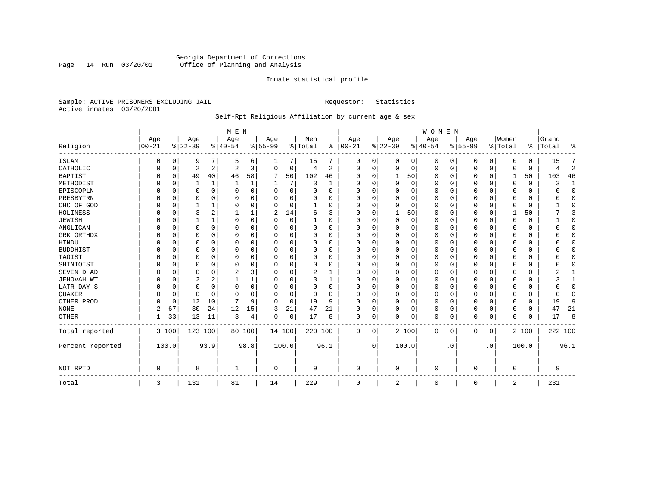# Georgia Department of Corrections<br>Page 14 Run 03/20/01 Office of Planning and Analysis Page 14 Run 03/20/01 Office of Planning and Analysis

#### Inmate statistical profile

Sample: ACTIVE PRISONERS EXCLUDING JAIL **Requestor:** Statistics Active inmates 03/20/2001

# Self-Rpt Religious Affiliation by current age & sex

|                  |                  |          |                  |             | M E N           |          |                  |          |                |              |                 |              |                 |       | <b>WOMEN</b>    |           |                  |             |                  |          |                    |                |
|------------------|------------------|----------|------------------|-------------|-----------------|----------|------------------|----------|----------------|--------------|-----------------|--------------|-----------------|-------|-----------------|-----------|------------------|-------------|------------------|----------|--------------------|----------------|
| Religion         | Age<br>$00 - 21$ |          | Age<br>$8 22-39$ |             | Age<br>$ 40-54$ |          | Age<br>$8 55-99$ |          | Men<br>% Total | ွေ           | Age<br>$ 00-21$ |              | Age<br>$ 22-39$ |       | Age<br>$ 40-54$ |           | Age<br>$8 55-99$ |             | Women<br>% Total |          | Grand<br>%   Total | ႜ              |
| <b>ISLAM</b>     | 0                | $\Omega$ | 9                | 7           | .5              | 6        |                  | 7        | 15             |              | 0               | 0            | 0               | 0     | $\mathbf 0$     | 0         | 0                | 0           | $\Omega$         | $\Omega$ | 15                 | 7              |
| CATHOLIC         | 0                | 0        | $\overline{2}$   | 2           | $\overline{c}$  | 3        | $\Omega$         | 0        | 4              | 2            | $\Omega$        | $\Omega$     | $\mathbf 0$     | 0     | $\Omega$        | 0         | 0                | 0           | $\Omega$         | $\Omega$ | 4                  | $\overline{2}$ |
| <b>BAPTIST</b>   | $\Omega$         | 0        | 49               | 40          | 46              | 58       | 7                | 50       | 102            | 46           | U               | $\Omega$     | 1               | 50    | 0               | 0         | 0                | $\mathbf 0$ | 1                | 50       | 103                | 46             |
| METHODIST        |                  | 0        |                  | 1           | 1               |          |                  | 7        | 3              | 1            | U               | <sup>0</sup> | 0               | 0     | $\Omega$        | 0         | 0                | $\Omega$    | $\Omega$         | $\Omega$ | 3                  | 1              |
| EPISCOPLN        |                  | 0        | $\Omega$         | $\mathbf 0$ | $\Omega$        | 0        | O                | 0        | O              | $\Omega$     | 0               | O            | 0               | 0     | $\Omega$        | 0         | 0                | 0           | $\Omega$         | $\Omega$ | U                  | $\mathbf 0$    |
| PRESBYTRN        |                  | $\Omega$ | 0                | $\Omega$    | $\Omega$        | $\Omega$ | O                | $\Omega$ | $\Omega$       | O            | U               | $\Omega$     | $\Omega$        | 0     | $\Omega$        | $\Omega$  | 0                | $\Omega$    | $\Omega$         | $\Omega$ | O                  | $\Omega$       |
| CHC OF GOD       |                  | $\Omega$ |                  |             | $\Omega$        | $\Omega$ | 0                | $\Omega$ |                | $\Omega$     | $\Omega$        | $\Omega$     | $\Omega$        | 0     | $\Omega$        | $\Omega$  | 0                | $\Omega$    | $\Omega$         | $\Omega$ |                    | $\Omega$       |
| HOLINESS         |                  | $\Omega$ | 3                | 2           |                 |          | 2                | 14       | 6              | ζ            | $\Omega$        | U            | $\mathbf{1}$    | 50    | $\Omega$        | 0         | 0                | $\Omega$    |                  | 50       |                    | 3              |
| <b>JEWISH</b>    |                  | $\Omega$ |                  | 1           | $\Omega$        | $\Omega$ | O                | 0        |                | O            | 0               | O            | 0               | 0     | $\Omega$        | 0         | 0                | $\Omega$    | $\Omega$         | $\Omega$ |                    | $\mathbf 0$    |
| ANGLICAN         |                  | 0        | 0                | 0           | $\Omega$        | 0        | U                | 0        | 0              | O            | 0               | U            | 0               | 0     | $\Omega$        | 0         | 0                | 0           | $\Omega$         | 0        |                    | $\mathbf 0$    |
| GRK ORTHDX       |                  | 0        | O                | $\Omega$    | $\Omega$        | $\Omega$ | U                | 0        | 0              | $\Omega$     | $\Omega$        | <sup>0</sup> | $\Omega$        | 0     | $\Omega$        | 0         | 0                | 0           | $\Omega$         | 0        |                    | 0              |
| HINDU            |                  | $\Omega$ | 0                | $\Omega$    | ∩               | $\Omega$ |                  | $\Omega$ | $\Omega$       | $\Omega$     | $\Omega$        |              | $\Omega$        | 0     | $\Omega$        | $\Omega$  | 0                | $\Omega$    | $\Omega$         | $\Omega$ |                    | $\Omega$       |
| <b>BUDDHIST</b>  |                  | $\Omega$ | 0                | $\Omega$    | $\Omega$        | $\Omega$ |                  | 0        | 0              | $\Omega$     | 0               | O            | $\Omega$        | 0     | $\Omega$        | $\Omega$  | 0                | $\Omega$    | $\Omega$         | $\Omega$ |                    | $\Omega$       |
| TAOIST           |                  | $\Omega$ | 0                | $\Omega$    |                 | $\Omega$ |                  | $\Omega$ |                | O            | U               | O            | 0               | 0     | $\Omega$        | 0         | 0                | $\Omega$    | $\Omega$         | 0        |                    | $\Omega$       |
| SHINTOIST        |                  | $\Omega$ | 0                | $\Omega$    | $\Omega$        | $\Omega$ | O                | $\Omega$ | 0              | O            | U               | $\Omega$     | $\Omega$        | 0     | $\Omega$        | $\Omega$  | 0                | $\Omega$    | $\Omega$         | $\Omega$ |                    | $\Omega$       |
| SEVEN D AD       |                  | $\Omega$ | 0                | $\Omega$    | 2               |          | O                | $\Omega$ | 2              |              | U               |              | $\mathbf 0$     | O     | $\Omega$        | $\Omega$  | 0                | $\Omega$    | $\Omega$         | $\Omega$ |                    |                |
| JEHOVAH WT       |                  | $\Omega$ | 2                | 2           |                 |          | O                | $\Omega$ | 3              | 1            | $\Omega$        | $\Omega$     | $\Omega$        | 0     | $\Omega$        | $\Omega$  | 0                | 0           | $\Omega$         | $\Omega$ |                    | $\mathbf{1}$   |
| LATR DAY S       |                  | $\Omega$ | $\Omega$         | $\Omega$    | $\Omega$        | O        | U                | 0        | 0              | O            | 0               |              | 0               | 0     | $\Omega$        | 0         | 0                | 0           | $\Omega$         | $\Omega$ |                    | $\Omega$       |
| QUAKER           |                  | 0        | 0                | $\Omega$    | ∩               | $\Omega$ | U                | 0        | 0              | <sup>0</sup> | $\Omega$        | <sup>0</sup> | 0               | 0     | 0               | 0         | 0                | 0           | $\Omega$         | 0        | ∩                  | 0              |
| OTHER PROD       |                  | 0        | 12               | 10          | 7               | 9        | U                | 0        | 19             | 9            | $\Omega$        | $\Omega$     | 0               | 0     | $\Omega$        | $\Omega$  | 0                | $\Omega$    | $\Omega$         | $\Omega$ | 19                 | 9              |
| <b>NONE</b>      | 2                | 67       | 30               | 24          | 12              | 15       | 3                | 21       | 47             | 21           | $\Omega$        | $\Omega$     | $\Omega$        | 0     | $\Omega$        | 0         | 0                | $\Omega$    | $\Omega$         | $\Omega$ | 47                 | 21             |
| <b>OTHER</b>     |                  | 33       | 13               | 11          | 3               | 4        | 0                | 0        | 17             | 8            | 0               | 0            | $\Omega$        | 0     | $\Omega$        | 0         | 0                | 0           | $\Omega$         | $\Omega$ | 17                 | 8              |
| Total reported   |                  | 3 100    | 123 100          |             |                 | 80 100   | 14 100           |          | 220 100        |              | 0               | 0            |                 | 2 100 | 0               | 0         | 0                | 0           |                  | 2 100    | 222 100            |                |
| Percent reported | 100.0            |          |                  | 93.9        |                 | 98.8     |                  | 100.0    |                | 96.1         |                 | $\cdot$ 0    |                 | 100.0 |                 | $\cdot$ 0 |                  | . 0         |                  | 100.0    |                    | 96.1           |
| NOT RPTD         | $\Omega$         |          | 8                |             | -1              |          | $\Omega$         |          | 9              |              | $\Omega$        |              | $\Omega$        |       | $\Omega$        |           | O                |             | $\mathbf 0$      |          | 9                  |                |
| Total            | 3                |          | 131              |             | 81              |          | 14               |          | 229            |              | $\Omega$        |              | 2               |       | 0               |           | 0                |             | 2                |          | 231                |                |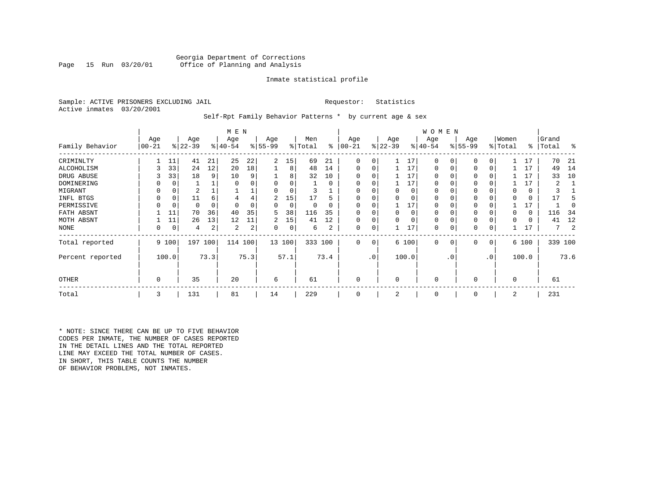#### Georgia Department of Corrections Office of Planning and Analysis

#### Inmate statistical profile

Sample: ACTIVE PRISONERS EXCLUDING JAIL **Requestor:** Statistics Active inmates 03/20/2001

#### Self-Rpt Family Behavior Patterns \* by current age & sex

|                  |          |       |           |          | M E N     |      |          |        |         |      |              |           |           |       | W O M E N   |          |           |           |             |       |           |      |
|------------------|----------|-------|-----------|----------|-----------|------|----------|--------|---------|------|--------------|-----------|-----------|-------|-------------|----------|-----------|-----------|-------------|-------|-----------|------|
|                  | Age      |       | Age       |          | Age       |      | Age      |        | Men     |      | Age          |           | Age       |       | Age         |          | Age       |           | Women       |       | Grand     |      |
| Family Behavior  | $ 00-21$ |       | $ 22-39 $ |          | $8 40-54$ |      | $ 55-99$ |        | % Total | ៖    | $00 - 21$    |           | $ 22-39 $ |       | $ 40-54 $   |          | $ 55-99 $ |           | % Total     |       | %   Total | ႜ    |
| CRIMINLTY        |          | 11    | 41        | 21       | 25        | 22   | 2        | 15     | 69      | 21   | $\Omega$     |           |           | 17    | 0           | 0        | 0         | 0         |             | 17    | 70        | 21   |
| ALCOHOLISM       | 3        | 33    | 24        | 12       | 20        | 18   |          | 8      | 48      | 14   | 0            | 0         |           | 17    | 0           | 0        | 0         | 0         |             | 17    | 49        | 14   |
| DRUG ABUSE       |          | 33    | 18        | 9        | 10        |      |          | 8      | 32      | 10   | O            |           |           | 17    |             |          | O         |           |             | 17    | 33        | 10   |
| DOMINERING       |          | 0     |           |          |           |      |          |        |         | 0    |              |           |           | 17    |             |          |           |           |             | 17    | 2         |      |
| MIGRANT          | 0        | 0     | 2         |          |           |      |          |        |         |      |              |           |           | 0     |             |          |           |           |             | 0     |           |      |
| INFL BTGS        |          | 0     | 11        | 6        |           |      | 2        | 15     | 17      |      |              |           |           |       |             |          | 0         |           |             | 0     |           |      |
| PERMISSIVE       | 0        | 0     | 0         | $\Omega$ | $\Omega$  |      | 0        | 0      | 0       |      | $\Omega$     |           |           | 17    |             |          | 0         |           |             | 17    |           |      |
| FATH ABSNT       |          | 11    | 70        | 36       | 40        | 35   | 5        | 38     | 116     | 35   | <sup>0</sup> |           | $\Omega$  | 0     |             | $\Omega$ | 0         |           |             | 0     | 116       | 34   |
| MOTH ABSNT       |          | 11    | 26        | 13       | 12        | 11   | 2        | 15     | 41      | 12   | $\Omega$     |           | $\Omega$  | 0     | $\Omega$    | $\Omega$ | 0         |           | $\Omega$    | 0     | 41        | 12   |
| NONE             | 0        | 0     | 4         | 2        | 2         | 2    | 0        | 0      | 6       | 2    | $\Omega$     |           |           | 17    | 0           |          | 0         |           |             | 17    |           | 2    |
| Total reported   |          | 9 100 | 197 100   |          | 114 100   |      |          | 13 100 | 333 100 |      | $\Omega$     | 0         |           | 6 100 | $\mathbf 0$ | 0        | 0         | 0         |             | 6 100 | 339 100   |      |
| Percent reported |          | 100.0 |           | 73.3     |           | 75.3 |          | 57.1   |         | 73.4 |              | $\cdot$ 0 |           | 100.0 |             | . 0      |           | $\cdot$ 0 |             | 100.0 |           | 73.6 |
| OTHER            | 0        |       | 35        |          | 20        |      | 6        |        | 61      |      | $\Omega$     |           | $\Omega$  |       | $\Omega$    |          | $\Omega$  |           | $\mathbf 0$ |       | 61        |      |
| Total            | 3        |       | 131       |          | 81        |      | 14       |        | 229     |      | $\Omega$     |           | 2         |       | 0           |          | 0         |           | 2           |       | 231       |      |

\* NOTE: SINCE THERE CAN BE UP TO FIVE BEHAVIOR CODES PER INMATE, THE NUMBER OF CASES REPORTED IN THE DETAIL LINES AND THE TOTAL REPORTED LINE MAY EXCEED THE TOTAL NUMBER OF CASES. IN SHORT, THIS TABLE COUNTS THE NUMBER OF BEHAVIOR PROBLEMS, NOT INMATES.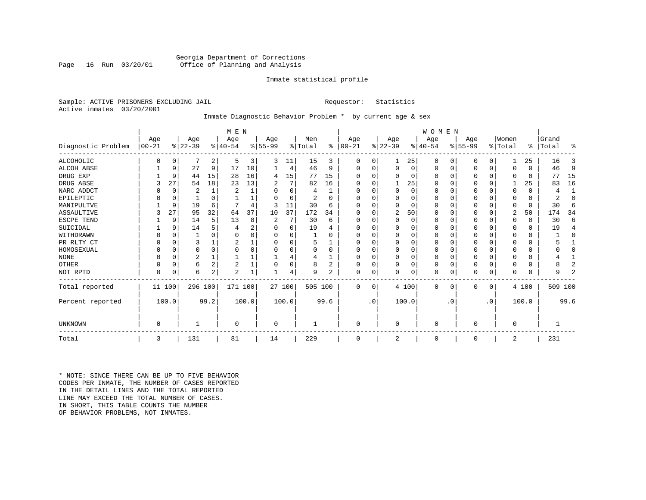#### Georgia Department of Corrections Office of Planning and Analysis

#### Inmate statistical profile

Sample: ACTIVE PRISONERS EXCLUDING JAIL **Requestor:** Statistics Active inmates 03/20/2001

# Inmate Diagnostic Behavior Problem \* by current age & sex

|                    |                   |          |                  |                | M E N           |       |                  |          |                |                |                   |           |                  |       | WOMEN            |           |                  |           |                  |          |                 |              |
|--------------------|-------------------|----------|------------------|----------------|-----------------|-------|------------------|----------|----------------|----------------|-------------------|-----------|------------------|-------|------------------|-----------|------------------|-----------|------------------|----------|-----------------|--------------|
| Diagnostic Problem | Age<br>$ 00 - 21$ |          | Age<br>$ 22-39 $ |                | Age<br>$ 40-54$ |       | Age<br>$8 55-99$ |          | Men<br>% Total | ႜ              | Age<br>$ 00 - 21$ |           | Age<br>$ 22-39 $ |       | Age<br>$ 40-54 $ |           | Age<br>$ 55-99 $ |           | Women<br>% Total | ⊱        | Grand<br> Total | ፠            |
| <b>ALCOHOLIC</b>   | 0                 | 0        |                  | 2              | 5               | 3     | 3                | 11       | 15             | 3              | 0                 | 0         |                  | 25    | 0                | 0         | 0                | 0         |                  | 25       | 16              | 3            |
| <b>ALCOH ABSE</b>  |                   | 9        | 27               | 9              | 17              | 10    |                  | 4        | 46             | 9              | 0                 | 0         | 0                | 0     | $\Omega$         | 0         | 0                | 0         | 0                | $\Omega$ | 46              | 9            |
| DRUG EXP           |                   | 9        | 44               | 15             | 28              | 16    | 4                | 15       | 77             | 15             |                   |           | $\Omega$         | 0     | $\Omega$         | 0         | 0                | $\Omega$  | $\Omega$         | $\Omega$ | 77              | 15           |
| DRUG ABSE          |                   | 27       | 54               | 18             | 23              | 13    |                  | 7        | 82             | 16             | U                 |           |                  | 25    | $\Omega$         | 0         | 0                | $\Omega$  |                  | 25       | 83              | 16           |
| NARC ADDCT         |                   | 0        | $\overline{2}$   |                | 2               |       |                  | $\Omega$ | 4              |                | U                 |           | $\Omega$         | O     | $\Omega$         | 0         |                  | $\Omega$  | $\Omega$         | $\Omega$ | 4               | $\mathbf{1}$ |
| EPILEPTIC          |                   | $\Omega$ |                  | $\Omega$       |                 |       |                  | $\Omega$ | 2              | U              | U                 |           | $\Omega$         | O     | $\Omega$         | $\Omega$  | U                | $\Omega$  | $\Omega$         | $\Omega$ |                 | 0            |
| MANIPULTVE         |                   | 9        | 19               | 6              |                 |       | 3                | 11       | 30             | 6              |                   |           | $\Omega$         | O     | $\Omega$         | O         |                  | $\Omega$  | $\Omega$         | 0        | 30              | 6            |
| <b>ASSAULTIVE</b>  | 3                 | 27       | 95               | 32             | 64              | 37    | 10               | 37       | 172            | 34             | ∩                 |           | $\overline{2}$   | 50    | $\Omega$         | O         | U                | U         | 2                | 50       | 174             | 34           |
| ESCPE TEND         |                   | 9        | 14               | 5              | 13              | 8     | 2                | 7        | 30             | 6              |                   |           | $\Omega$         | O     | O                | $\Omega$  |                  | O         | $\Omega$         | $\Omega$ | 30              | 6            |
| SUICIDAL           |                   | 9        | 14               |                |                 | ∠     |                  | 0        | 19             |                | ∩                 |           | n                | O     | O                | $\Omega$  |                  | O         | ∩                | $\Omega$ | 19              | 4            |
| WITHDRAWN          |                   | $\Omega$ |                  |                |                 |       |                  | U        |                |                |                   |           | $\Omega$         | U     | 0                | O         |                  | O         | O                | O        |                 | $\Omega$     |
| PR RLTY CT         |                   | $\Omega$ | 3                |                |                 |       |                  | U        | 5              |                | U                 |           | $\Omega$         | 0     | $\Omega$         | 0         |                  | $\Omega$  | $\Omega$         | $\Omega$ |                 |              |
| HOMOSEXUAL         |                   | $\Omega$ | 0                | $\Omega$       |                 |       |                  |          |                | O              | U                 |           | $\Omega$         | O     | $\Omega$         | $\Omega$  |                  | $\Omega$  |                  | U        |                 | $\Omega$     |
| <b>NONE</b>        |                   | $\Omega$ | 2                |                |                 |       |                  |          |                |                | ∩                 |           | $\Omega$         | 0     | $\Omega$         | 0         |                  | $\Omega$  |                  | $\Omega$ |                 |              |
| <b>OTHER</b>       |                   | $\Omega$ | 6                | $\overline{a}$ | $\overline{2}$  |       |                  | 0        | 8              | $\overline{2}$ | U                 |           | $\Omega$         | 0     | $\Omega$         | $\Omega$  | 0                | $\Omega$  | $\Omega$         | $\Omega$ |                 | 2            |
| NOT RPTD           | $\Omega$          | 0        | б                | 2              | $\overline{2}$  |       |                  | 4        | 9              | 2              | $\Omega$          | 0         | $\Omega$         | 0     | $\Omega$         | 0         | U                | 0         | $\Omega$         | $\Omega$ | 9               | 2            |
| Total reported     | 11 100            |          | 296 100          |                | 171             | 100   |                  | 27 100   | 505 100        |                | $\Omega$          | $\Omega$  |                  | 4 100 | $\Omega$         | 0         | 0                | 0         |                  | 4 100    | 509 100         |              |
| Percent reported   |                   | 100.0    |                  | 99.2           |                 | 100.0 |                  | 100.0    |                | 99.6           |                   | $\cdot$ 0 |                  | 100.0 |                  | $\cdot$ 0 |                  | $\cdot$ 0 |                  | 100.0    |                 | 99.6         |
| <b>UNKNOWN</b>     | 0                 |          |                  |                | $\Omega$        |       | 0                |          |                |                | U                 |           | $\mathbf 0$      |       | 0                |           | 0                |           | 0                |          |                 |              |
| Total              | 3                 |          | 131              |                | 81              |       | 14               |          | 229            |                | 0                 |           | 2                |       | 0                |           | 0                |           | 2                |          | 231             |              |

\* NOTE: SINCE THERE CAN BE UP TO FIVE BEHAVIOR CODES PER INMATE, THE NUMBER OF CASES REPORTED IN THE DETAIL LINES AND THE TOTAL REPORTED LINE MAY EXCEED THE TOTAL NUMBER OF CASES.IN SHORT, THIS TABLE COUNTS THE NUMBER OF BEHAVIOR PROBLEMS, NOT INMATES.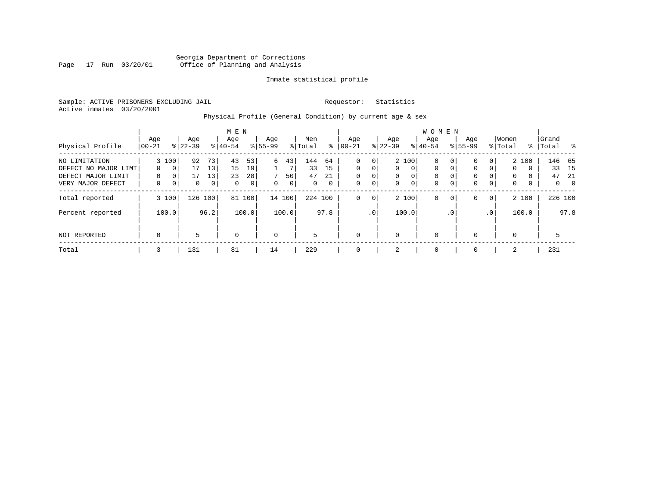### Georgia Department of Corrections Page 17 Run 03/20/01 Office of Planning and Analysis

#### Inmate statistical profile

Sample: ACTIVE PRISONERS EXCLUDING JAIL **Requestor:** Statistics Active inmates 03/20/2001

# Physical Profile (General Condition) by current age & sex

|                                                                                  |                                  |                                 |                     |                                               | M E N                      |                     |                    |                              |                             |                               |                                |                         |                                          |                                | <b>WOMEN</b>                                |                                   |                            |                                       |                                         |                      |                      |                                       |
|----------------------------------------------------------------------------------|----------------------------------|---------------------------------|---------------------|-----------------------------------------------|----------------------------|---------------------|--------------------|------------------------------|-----------------------------|-------------------------------|--------------------------------|-------------------------|------------------------------------------|--------------------------------|---------------------------------------------|-----------------------------------|----------------------------|---------------------------------------|-----------------------------------------|----------------------|----------------------|---------------------------------------|
| Physical Profile                                                                 | Age<br>$ 00-21$                  |                                 | Age<br>$8 22-39$    |                                               | Age<br>$8 40-54$           |                     | Age<br>$8155 - 99$ |                              | Men<br>% Total              | ⊱                             | Age<br>$ 00-21$                |                         | Age<br>$ 22-39 $                         |                                | Aqe<br>$8 40-54$                            |                                   | Age<br>$8155 - 99$         |                                       | Women<br>% Total                        |                      | Grand<br>%   Total   | $\frac{8}{6}$                         |
| NO LIMITATION<br>DEFECT NO MAJOR LIMT<br>DEFECT MAJOR LIMIT<br>VERY MAJOR DEFECT | $\Omega$<br>$\Omega$<br>$\Omega$ | 3 100<br>$\mathbf{0}$<br>0<br>0 | 92<br>17<br>17<br>0 | 73 <sub>1</sub><br>13<br>13<br>0 <sup>1</sup> | 43<br>15<br>23<br>$\Omega$ | 53<br>19<br>28<br>0 | 6<br>$\Omega$      | 43<br>7<br>50<br>$\mathbf 0$ | 144<br>33<br>47<br>$\Omega$ | 64<br>15<br>21<br>$\mathbf 0$ | $\Omega$<br>$\Omega$<br>0<br>0 | 0<br>$\Omega$<br>0<br>0 | $\mathbf{0}$<br>$\mathbf{0}$<br>$\Omega$ | 2 100<br>$\mathbf 0$<br>0<br>0 | $\mathbf 0$<br>$\mathbf 0$<br>0<br>$\Omega$ | 0<br>0<br>$\Omega$<br>$\mathbf 0$ | 0<br>0<br>0<br>$\mathbf 0$ | $\Omega$<br>$\Omega$<br>$\Omega$<br>0 | $\mathbf{0}$<br>$\Omega$<br>$\mathbf 0$ | 2 100<br>0<br>0<br>0 | 33<br>47<br>$\Omega$ | 146 65<br>15<br>-21<br>$\overline{0}$ |
| Total reported                                                                   |                                  | 3 100                           | 126 100             |                                               | 81                         | 100                 |                    | 14 100                       | 224 100                     |                               | 0                              | 0                       |                                          | 2 100                          | $\mathbf 0$                                 | $\mathbf 0$                       | 0                          | $\overline{0}$                        |                                         | 2 100                | 226 100              |                                       |
| Percent reported                                                                 |                                  | 100.0                           |                     | 96.2                                          |                            | 100.0               |                    | 100.0                        |                             | 97.8                          |                                | .0 <sup>1</sup>         |                                          | 100.0                          |                                             | . 0                               |                            | .0 <sup>1</sup>                       |                                         | 100.0                |                      | 97.8                                  |
| NOT REPORTED                                                                     | $\mathbf 0$                      |                                 | 5                   |                                               | 0                          |                     | 0                  |                              | 5                           |                               | $\mathbf 0$                    |                         | 0                                        |                                | $\mathbf 0$                                 |                                   | $\Omega$                   |                                       | 0                                       |                      | 5                    |                                       |
| Total                                                                            | 3                                |                                 | 131                 |                                               | 81                         |                     | 14                 |                              | 229                         |                               | 0                              |                         | 2                                        |                                | 0                                           |                                   | $\Omega$                   |                                       | 2                                       |                      | 231                  |                                       |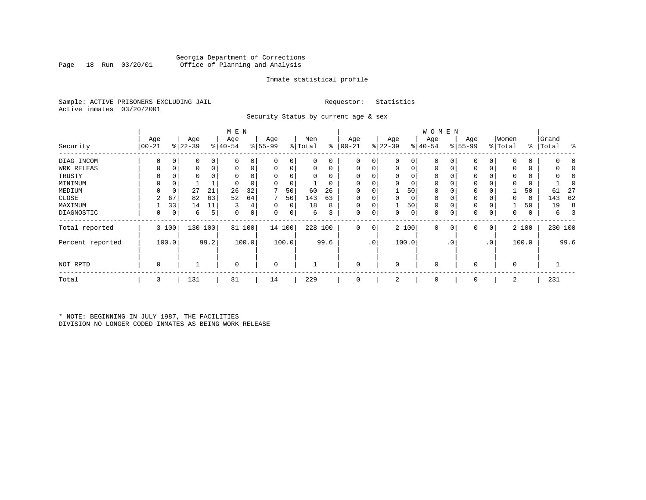### Georgia Department of Corrections Office of Planning and Analysis

#### Inmate statistical profile

Sample: ACTIVE PRISONERS EXCLUDING JAIL **Requestor:** Statistics Active inmates 03/20/2001

Security Status by current age & sex

|                  |             |       |           |      | M E N       |       |             |        |         |          |             |                 |             |       | W O M E N    |                |           |           |             |       |           |      |
|------------------|-------------|-------|-----------|------|-------------|-------|-------------|--------|---------|----------|-------------|-----------------|-------------|-------|--------------|----------------|-----------|-----------|-------------|-------|-----------|------|
|                  | Age         |       | Age       |      | Age         |       | Age         |        | Men     |          | Age         |                 | Age         |       | Age          |                | Age       |           | Women       |       | Grand     |      |
| Security         | $ 00-21$    |       | $ 22-39 $ |      | $8 40-54$   |       | $8 55-99$   |        | % Total | နွ       | $ 00 - 21$  |                 | $ 22-39 $   |       | $ 40-54 $    |                | $ 55-99 $ |           | % Total     |       | %   Total | ႜ    |
| DIAG INCOM       | 0           | 0     |           | 0    | $\Omega$    |       | 0           | 0      | 0       | 0        | $\Omega$    | 0               | $\Omega$    | 0     | $\Omega$     | $\Omega$       | $\Omega$  | 0         | $\Omega$    | 0     |           |      |
| WRK RELEAS       | 0           | 0     |           | 0    | $\Omega$    | 0     | 0           | 0      | 0       | 0        | $\mathbf 0$ | 0               | $\mathbf 0$ | 0     | 0            |                | 0         | 0         | 0           | 0     |           |      |
| TRUSTY           |             |       |           |      |             |       | $\Omega$    | 0      | 0       | $\Omega$ |             |                 | $\Omega$    |       | $\Omega$     |                |           |           | $\Omega$    |       |           |      |
| MINIMUM          | 0           | 0     |           |      |             |       | $\Omega$    | 0      |         | 0        |             |                 |             | 0     |              |                | $\Omega$  |           | $\Omega$    | 0     |           |      |
| MEDIUM           |             | 0     | 27        | 21   | 26          | 32    | 7           | 50     | 60      | 26       | $\Omega$    |                 |             | 50    | 0            |                | $\Omega$  |           |             | 50    | 61        | 27   |
| CLOSE            | 2           | 67    | 82        | 63   | 52          | 64    | 7           | 50     | 143     | 63       |             |                 | 0           | 0     | 0            |                | 0         |           | 0           | 0     | 143       | 62   |
| MAXIMUM          |             | 33    | 14        | 11   | 3           | 4     | $\Omega$    | 0      | 18      | 8        | $\Omega$    |                 |             | 50    | $\Omega$     |                | $\Omega$  |           |             | 50    | 19        | 8    |
| DIAGNOSTIC       | 0           | 0     | 6         | 5    | 0           | 0     | 0           | 0      | 6       | 3        | 0           | 0               | 0           | 0     | 0            | 0              | 0         | 0         | 0           | 0     | 6         | 3    |
| Total reported   |             | 3 100 | 130       | 100  | 81          | 100   |             | 14 100 |         | 228 100  | 0           | 0               |             | 2 100 | $\mathbf 0$  | 0 <sup>1</sup> | 0         | 0         |             | 2 100 | 230 100   |      |
| Percent reported |             | 100.0 |           | 99.2 |             | 100.0 |             | 100.0  |         | 99.6     |             | .0 <sup>1</sup> |             | 100.0 |              | . 0            |           | $\cdot$ 0 |             | 100.0 |           | 99.6 |
| NOT RPTD         | $\mathbf 0$ |       |           |      | $\mathbf 0$ |       | $\mathbf 0$ |        |         |          | $\Omega$    |                 | $\mathbf 0$ |       | $\mathbf{0}$ |                | $\Omega$  |           | $\mathbf 0$ |       |           |      |
| Total            | 3           |       | 131       |      | 81          |       | 14          |        | 229     |          | $\Omega$    |                 | 2           |       | 0            |                | 0         |           | 2           |       | 231       |      |

\* NOTE: BEGINNING IN JULY 1987, THE FACILITIES DIVISION NO LONGER CODED INMATES AS BEING WORK RELEASE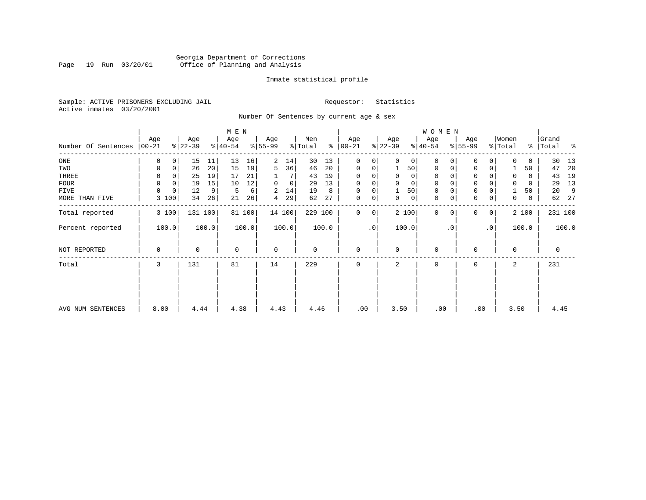# Georgia Department of Corrections<br>Page 19 Run 03/20/01 Office of Planning and Analysis Page 19 Run 03/20/01 Office of Planning and Analysis

#### Inmate statistical profile

Sample: ACTIVE PRISONERS EXCLUDING JAIL **Requestor:** Statistics Active inmates 03/20/2001

Number Of Sentences by current age & sex

|                             |          |                   |         |           |        |             |                |         |       |               |                |                |                | WOMEN       |           |                     |           |          |             |       |         |
|-----------------------------|----------|-------------------|---------|-----------|--------|-------------|----------------|---------|-------|---------------|----------------|----------------|----------------|-------------|-----------|---------------------|-----------|----------|-------------|-------|---------|
|                             | Age      | Age               |         | Age       |        | Age         |                | Men     |       | Age           |                | Age            |                | Age         |           | Age                 |           | Women    |             | Grand |         |
| Number Of Sentences   00-21 |          | $ 22-39 $         |         | $ 40-54 $ |        | $8 55-99$   |                | % Total |       | $8   00 - 21$ |                | $ 22-39 $      |                | $8 40-54$   |           | $8 55-99$           |           | % Total  | %           | Total | ႜ       |
| $_{\rm ONE}$                | 0        | 15<br>0           | 11      | 13        | 16     | 2           | 14             | 30      | 13    | 0             | 0              | $\Omega$       | 0 <sup>1</sup> | $\mathbf 0$ |           | $\mathbf 0$         | 0         | $\Omega$ | 0           | 30    | 13      |
| TWO                         | 0        | 26<br>$\mathbf 0$ | 20      | 15        | 19     | 5           | 36             | 46      | 20    | 0             | 0              | 1              | 50             | $\mathbf 0$ |           | $\mathbf 0$         | 0         |          | 50          | 47    | 20      |
| THREE                       | 0        | 25                | 19      | 17        | 21     |             |                | 43      | 19    | 0             | 0              | 0              | $\overline{0}$ | 0           |           | 0                   |           | 0        | 0           | 43    | 19      |
| FOUR                        | $\Omega$ | $\Omega$<br>19    | 15      | 10        | 12     | $\Omega$    | 0 <sup>1</sup> | 29      | 13    | $\Omega$      | 0              |                | $\mathbf 0$    | 0           |           | $\mathsf 0$         |           | $\Omega$ | 0           | 29    | 13      |
| <b>FIVE</b>                 | $\Omega$ | $\mathbf 0$<br>12 | 9       | 5         | 6      | 2           | 14             | 19      | 8     | 0             | 0              |                | 50             | 0           |           | $\mathbf 0$         |           |          | 50          | 20    | 9       |
| MORE THAN FIVE              | 3        | 100<br>34         | 26      | 21        | 26     | 4           | 29             | 62      | 27    | 0             | 0 <sup>1</sup> | 0              | 0              | 0           |           | $\mathsf{O}\xspace$ | 0         | 0        | $\mathbf 0$ | 62    | 27      |
| Total reported              | 3 100    |                   | 131 100 |           | 81 100 |             | 14 100         | 229 100 |       | $\Omega$      | 0              |                | 2 100          | $\Omega$    |           | $\Omega$            | 0         |          | 2 100       |       | 231 100 |
| Percent reported            | 100.0    |                   | 100.0   |           | 100.0  |             | 100.0          |         | 100.0 |               | $\cdot$ 0      |                | 100.0          |             | $\cdot$ 0 |                     | $\cdot$ 0 |          | 100.0       |       | 100.0   |
| NOT REPORTED                | 0        |                   | 0       | $\Omega$  |        | $\mathbf 0$ |                | 0       |       | $\Omega$      |                | $\Omega$       |                | 0           |           | 0                   |           | $\Omega$ |             | 0     |         |
| Total                       | 3        | 131               |         | 81        |        | 14          |                | 229     |       | $\Omega$      |                | $\mathfrak{D}$ |                | 0           |           | 0                   |           | 2        |             | 231   |         |
|                             |          |                   |         |           |        |             |                |         |       |               |                |                |                |             |           |                     |           |          |             |       |         |
| AVG NUM SENTENCES           | 8.00     |                   | 4.44    | 4.38      |        | 4.43        |                | 4.46    |       | .00           |                | 3.50           |                | .00         |           | .00                 |           | 3.50     |             | 4.45  |         |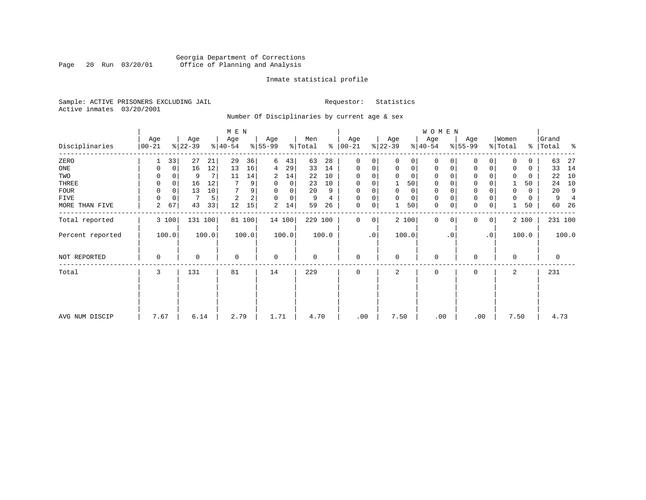# Georgia Department of Corrections Page 20 Run 03/20/01 Office of Planning and Analysis

#### Inmate statistical profile

Sample: ACTIVE PRISONERS EXCLUDING JAIL **Requestor:** Statistics Active inmates 03/20/2001

Number Of Disciplinaries by current age & sex

|                  |                  |              |                  |         |                  |        |                 |        |                |       |                  |             |                 |             | <b>WOMEN</b>     |           |                 |                |                  |       |                |       |
|------------------|------------------|--------------|------------------|---------|------------------|--------|-----------------|--------|----------------|-------|------------------|-------------|-----------------|-------------|------------------|-----------|-----------------|----------------|------------------|-------|----------------|-------|
| Disciplinaries   | Age<br>$00 - 21$ |              | Age<br>$ 22-39 $ |         | Age<br>$ 40-54 $ |        | Age<br>$ 55-99$ |        | Men<br>% Total | ៖     | Age<br>$00 - 21$ |             | Age<br>$ 22-39$ |             | Age<br>$ 40-54 $ |           | Age<br>$ 55-99$ |                | Women<br>% Total | ွေ    | Grand<br>Total | ႜ     |
| ZERO             |                  | 33           | 27               | 21      | 29               | 36     | 6               | 43     | 63             | 28    | 0                | 0           | $\Omega$        | 0           | 0                |           | 0               | 0              | $\Omega$         | 0     | 63             | 27    |
| ONE              |                  | $\mathbf{0}$ | 16               | 12      | 13               | 16     | 4               | 29     | 33             | 14    | 0                | 0           | 0               | 0           | 0                | 0         | 0               | 0              | $\Omega$         | 0     | 33             | 14    |
| TWO              |                  |              | 9                | 7       | 11               | 14     | 2               | 14     | 22             | 10    | $\Omega$         |             | $\Omega$        | 0           | 0                |           |                 |                | $\Omega$         | 0     | 22             | 10    |
| THREE            | $\Omega$         | 0            | 16               | 12      |                  | 9      | $\Omega$        | 0      | 23             | 10    | 0                |             |                 | 50          | 0                |           | 0               |                |                  | 50    | 24             | 10    |
| <b>FOUR</b>      | $\Omega$         | $\Omega$     | 13               | 10      |                  | 9      | $\Omega$        | 0      | 20             | 9     | $\Omega$         |             | $\Omega$        | $\mathbf 0$ | $\Omega$         |           | $\Omega$        |                | $\Omega$         | 0     | 20             | 9     |
| FIVE             |                  | 0            |                  | 5       | $\overline{2}$   | 2      | $\Omega$        | 0      | 9              | 4     | $\Omega$         | 0           | $\Omega$        | $\mathbf 0$ | 0                |           | $\mathbf 0$     |                | $\Omega$         | 0     | 9              |       |
| MORE THAN FIVE   | 2                | 67           | 43               | 33      | 12               | 15     | 2               | 14     | 59             | 26    | 0                | 0           |                 | 50          | $\mathbf 0$      |           | $\Omega$        | 0              |                  | 50    | 60             | -26   |
| Total reported   |                  | 3 100        |                  | 131 100 |                  | 81 100 |                 | 14 100 | 229 100        |       | 0                | $\mathbf 0$ |                 | 2 100       | $\mathbf 0$      | $\Omega$  | 0               | $\overline{0}$ |                  | 2 100 | 231 100        |       |
| Percent reported |                  | 100.0        |                  | 100.0   |                  | 100.0  |                 | 100.0  |                | 100.0 |                  | $\cdot$ 0   |                 | 100.0       |                  | $\cdot$ 0 |                 | $\cdot$ 0      |                  | 100.0 |                | 100.0 |
| NOT REPORTED     | 0                |              | 0                |         | $\mathbf 0$      |        | $\mathbf 0$     |        | $\mathbf 0$    |       | 0                |             | 0               |             | 0                |           | $\Omega$        |                | $\mathbf 0$      |       | 0              |       |
| Total            | 3                |              | 131              |         | 81               |        | 14              |        | 229            |       | 0                |             | 2               |             | 0                |           | 0               |                | 2                |       | 231            |       |
|                  |                  |              |                  |         |                  |        |                 |        |                |       |                  |             |                 |             |                  |           |                 |                |                  |       |                |       |
|                  |                  |              |                  |         |                  |        |                 |        |                |       |                  |             |                 |             |                  |           |                 |                |                  |       |                |       |
| AVG NUM DISCIP   | 7.67             |              | 6.14             |         | 2.79             |        | 1.71            |        | 4.70           |       | .00              |             | 7.50            |             | .00              |           | .00             |                | 7.50             |       | 4.73           |       |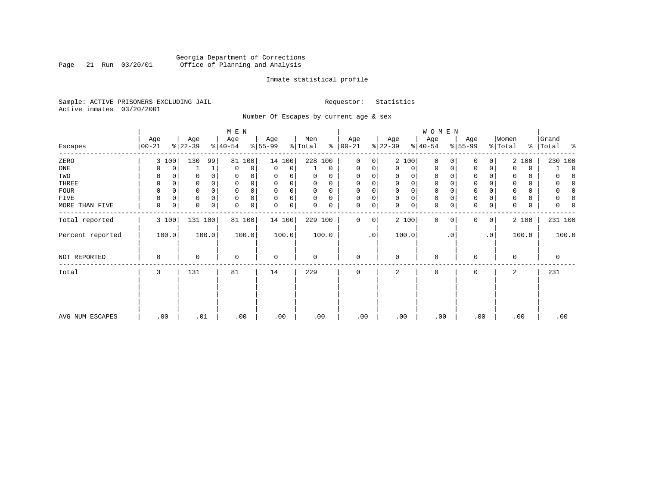# Georgia Department of Corrections<br>Page 21 Run 03/20/01 Office of Planning and Analysis Page 21 Run 03/20/01 Office of Planning and Analysis

#### Inmate statistical profile

Sample: ACTIVE PRISONERS EXCLUDING JAIL **Requestor:** Statistics Active inmates 03/20/2001

Number Of Escapes by current age & sex

|                  |             |       |           |       | M E N       |        |             |        |          |          |             |    |             |       | W O M E N    |             |                 |             |          |       |           |
|------------------|-------------|-------|-----------|-------|-------------|--------|-------------|--------|----------|----------|-------------|----|-------------|-------|--------------|-------------|-----------------|-------------|----------|-------|-----------|
|                  | Age         |       | Age       |       | Age         |        | Age         |        | Men      | ៖        | Age         |    | Age         |       | Age          |             | Age<br>$ 55-99$ |             | Women    |       | Grand     |
| Escapes          | $00 - 21$   |       | $ 22-39 $ |       | $ 40-54 $   |        | $ 55-99$    |        | % Total  |          | $ 00-21$    |    | $ 22-39 $   |       | $ 40-54 $    |             |                 |             | % Total  |       | % Total % |
| ZERO             |             | 3 100 | 130       | 99    | 81          | 100    |             | 14 100 | 228 100  |          | 0           | 0  |             | 2 100 | $\mathbf 0$  | $\Omega$    | $\Omega$        | 0           |          | 2 100 | 230 100   |
| ONE              |             | 0     |           | 1     | $\mathbf 0$ | 0      | 0           | 0      |          | 0        | $\mathbf 0$ | 0  | 0           | 0     | 0            | 0           | 0               | 0           | $\Omega$ | 0     | $\Omega$  |
| TWO              | 0           | 0     | 0         |       | 0           |        | 0           |        | 0        | O        | $\Omega$    |    | 0           | 0     | 0            | $\Omega$    | $\Omega$        |             | 0        | 0     | n         |
| THREE            | 0           |       |           |       | $\Omega$    |        | $\Omega$    |        | 0        | 0        | $\Omega$    |    | 0           | 0     | 0            |             | 0               |             |          | 0     | $\left($  |
| <b>FOUR</b>      | $\Omega$    |       |           |       | $\Omega$    |        | $\Omega$    |        | $\Omega$ | $\Omega$ | $\Omega$    |    | $\Omega$    | 0     | $\mathbf 0$  | O           | 0               |             |          | 0     | O         |
| FIVE             | 0           | 0     | 0         | 0     | $\mathbf 0$ | 0      | $\mathbf 0$ | 0      | 0        | 0        | $\Omega$    | 0  | 0           | 0     | 0            | $\Omega$    | 0               |             |          | 0     | 0         |
| MORE THAN FIVE   | $\mathbf 0$ | 0     | 0         | 0     | $\mathbf 0$ | 0      | $\mathbf 0$ | 0      | 0        | 0        | 0           | 0  | $\mathbf 0$ | 0     | $\mathbf 0$  | 0           | $\mathbf 0$     | $\mathsf 0$ | 0        | 0     | N         |
| Total reported   |             | 3 100 | 131 100   |       |             | 81 100 |             | 14 100 | 229 100  |          | $\Omega$    | 0  |             | 2 100 | $\mathbf{0}$ | $\mathbf 0$ | 0               | 0           |          | 2 100 | 231 100   |
| Percent reported |             | 100.0 |           | 100.0 |             | 100.0  |             | 100.0  |          | 100.0    |             | .0 |             | 100.0 |              | . 0         |                 | $\cdot$ 0   |          | 100.0 | 100.0     |
| NOT REPORTED     | 0           |       | 0         |       | $\mathbf 0$ |        | $\mathbf 0$ |        | 0        |          | $\mathbf 0$ |    | $\mathbf 0$ |       | 0            |             | 0               |             | 0        |       | 0         |
| Total            | 3           |       | 131       |       | 81          |        | 14          |        | 229      |          | $\mathbf 0$ |    | 2           |       | 0            |             | 0               |             | 2        |       | 231       |
|                  |             |       |           |       |             |        |             |        |          |          |             |    |             |       |              |             |                 |             |          |       |           |
|                  |             |       |           |       |             |        |             |        |          |          |             |    |             |       |              |             |                 |             |          |       |           |
| AVG NUM ESCAPES  | .00         |       | .01       |       | .00         |        | .00         |        | .00      |          | .00         |    | .00         |       | .00          |             | .00             |             | .00      |       | .00       |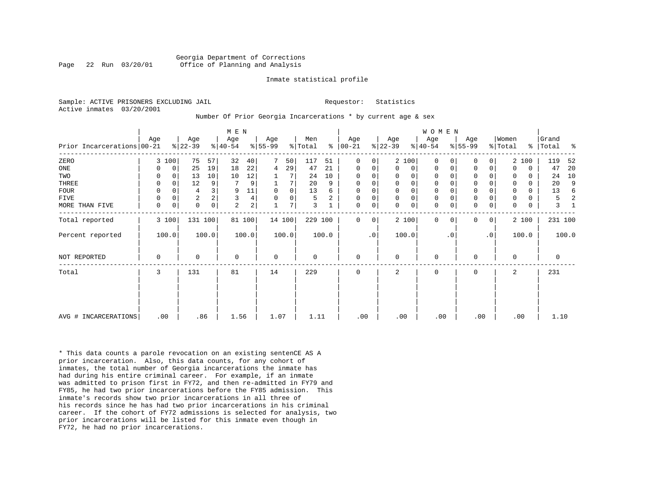#### Georgia Department of Corrections Page 22 Run 03/20/01 Office of Planning and Analysis

#### Inmate statistical profile

Sample: ACTIVE PRISONERS EXCLUDING JAIL **Requestor:** Statistics Active inmates 03/20/2001

#### Number Of Prior Georgia Incarcerations \* by current age & sex

|                            |             |             |                  |       | M E N            |                |                  |             |                |       |                 |           |                  |                     | WOMEN           |           |                  |                |                  |             |                |       |
|----------------------------|-------------|-------------|------------------|-------|------------------|----------------|------------------|-------------|----------------|-------|-----------------|-----------|------------------|---------------------|-----------------|-----------|------------------|----------------|------------------|-------------|----------------|-------|
| Prior Incarcerations 00-21 | Age         |             | Age<br>$8 22-39$ |       | Age<br>$ 40-54 $ |                | Age<br>$8 55-99$ |             | Men<br>% Total | န္    | Age<br>$ 00-21$ |           | Age<br>$ 22-39 $ |                     | Age<br>$ 40-54$ |           | Age<br>$ 55-99 $ |                | Women<br>% Total | $\approx$   | Grand<br>Total | န္    |
| ZERO                       |             | 3 100       | 75               | 57    | 32               | 40             | 7                | 50          | 117            | 51    | 0               | 0         |                  | 2 100               | $\Omega$        | 0         | 0                | 0              |                  | 2 100       | 119            | 52    |
| ONE                        | 0           | $\mathbf 0$ | 25               | 19    | 18               | 22             | 4                | 29          | 47             | 21    | 0               | 0         | 0                | 0                   | 0               | 0         | $\mathbf 0$      | 0              | $\Omega$         | $\mathbf 0$ | 47             | 20    |
| TWO                        | 0           | $\Omega$    | 13               | 10    | 10               | 12             |                  |             | 24             | 10    | $\Omega$        | 0         | $\Omega$         | 0                   | 0               |           | 0                |                | $\Omega$         | $\Omega$    | 24             | 10    |
| THREE                      | 0           | $\Omega$    | 12               | 9     |                  | 9              |                  | 7           | 20             | 9     | 0               | 0         | $\Omega$         | $\mathsf{O}$        | $\mathbf 0$     |           | $\mathbf 0$      | 0              | $\Omega$         | $\Omega$    | 20             | 9     |
| <b>FOUR</b>                | 0           | $\Omega$    | 4                |       | 9                | 11             | $\mathbf 0$      | $\mathbf 0$ | 13             | 6     | 0               | 0         | $\Omega$         | $\mathsf{O}\xspace$ | 0               |           | $\mathbf 0$      |                | 0                | $\Omega$    | 13             | 6     |
| FIVE                       | 0           | 0           | $\overline{2}$   | 2     | 3                | 4              | $\Omega$         | 0           | 5              | 2     | $\mathbf 0$     | 0         | $\mathbf 0$      | $\mathbf 0$         | $\mathbb O$     |           | $\mathsf 0$      | 0              | 0                | 0           | 5              |       |
| MORE THAN FIVE             | $\mathbf 0$ | 0           | $\mathbf 0$      | 0     | $\overline{a}$   | $\overline{c}$ |                  | 7           | 3              |       | 0               | 0         | $\Omega$         | $\mathsf{O}$        | $\mathbf 0$     | 0         | $\mathbf 0$      | 0              | $\mathbf 0$      | $\mathbf 0$ | 3              |       |
| Total reported             |             | 3 100       | 131 100          |       |                  | 81 100         |                  | 14 100      | 229 100        |       | $\Omega$        | 0         |                  | 2 100               | $\Omega$        | $\Omega$  | 0                | $\overline{0}$ |                  | 2 100       | 231 100        |       |
| Percent reported           |             | 100.0       |                  | 100.0 |                  | 100.0          |                  | 100.0       |                | 100.0 |                 | $\cdot$ 0 |                  | 100.0               |                 | $\cdot$ 0 |                  | $\cdot$ 0      |                  | 100.0       |                | 100.0 |
| NOT REPORTED               | 0           |             | $\Omega$         |       | 0                |                | 0                |             | 0              |       | 0               |           | $\Omega$         |                     | 0               |           | $\mathbf 0$      |                | $\Omega$         |             | 0              |       |
| Total                      | 3           |             | 131              |       | 81               |                | 14               |             | 229            |       | 0               |           | 2                |                     | $\mathbf 0$     |           | $\mathbf 0$      |                | 2                |             | 231            |       |
|                            |             |             |                  |       |                  |                |                  |             |                |       |                 |           |                  |                     |                 |           |                  |                |                  |             |                |       |
| AVG # INCARCERATIONS       |             | .00         |                  | .86   | 1.56             |                | 1.07             |             | 1.11           |       | .00             |           | .00              |                     | .00             |           | .00              |                | .00              |             | 1.10           |       |

\* This data counts a parole revocation on an existing sentenCE AS A prior incarceration. Also, this data counts, for any cohort of inmates, the total number of Georgia incarcerations the inmate has had during his entire criminal career. For example, if an inmate was admitted to prison first in FY72, and then re-admitted in FY79 and FY85, he had two prior incarcerations before the FY85 admission. This inmate's records show two prior incarcerations in all three of his records since he has had two prior incarcerations in his criminal career. If the cohort of FY72 admissions is selected for analysis, two prior incarcerations will be listed for this inmate even though in FY72, he had no prior incarcerations.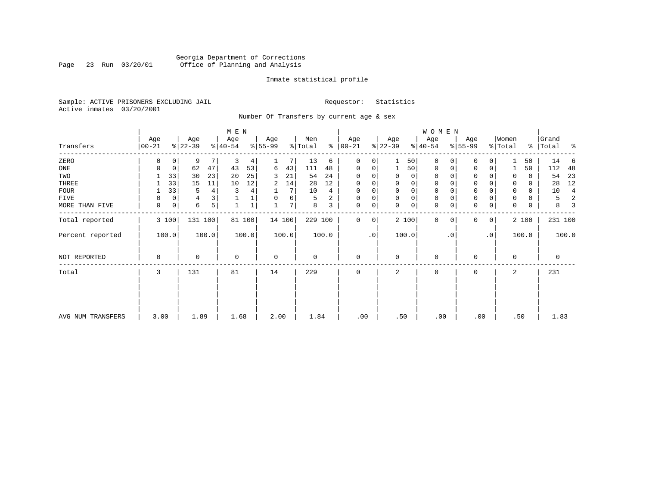# Georgia Department of Corrections<br>Page 23 Run 03/20/01 Office of Planning and Analysis Page 23 Run 03/20/01 Office of Planning and Analysis

#### Inmate statistical profile

Sample: ACTIVE PRISONERS EXCLUDING JAIL **Requestor:** Statistics Active inmates 03/20/2001

Number Of Transfers by current age & sex

|                   |                |                  | M E N            |                  |                     |                  |                  | W O M E N            |                     |                       |                      |
|-------------------|----------------|------------------|------------------|------------------|---------------------|------------------|------------------|----------------------|---------------------|-----------------------|----------------------|
| Transfers         | Age<br>  00-21 | Age<br>$ 22-39 $ | Age<br>$ 40-54 $ | Age<br>$ 55-99 $ | Men<br>% Total<br>៖ | Age<br>$ 00-21$  | Age<br>$ 22-39 $ | Age<br>$ 40-54 $     | Age<br>$8 55-99$    | Women<br>% Total<br>ိ | Grand<br> Total<br>ႜ |
| ZERO              | 0              | 9<br>7<br>0      | 3<br>4           |                  | 13<br>6             | 0<br>0           | 50               | $\mathbf 0$<br>0     | 0<br>$\Omega$       | 50                    | 14<br>6              |
| ONE               | 0              | 62<br>47<br>0    | 43<br>53         | 43<br>6          | 111<br>48           | 0<br>0           | 50               | 0<br>0               | $\mathbf 0$<br>0    | 50                    | 112<br>48            |
| TWO               | 33             | 23<br>30         | 20<br>25         | 21<br>3          | 24<br>54            | $\Omega$         | 0<br>0           | 0                    | $\Omega$            | 0<br>0                | 23<br>54             |
| THREE             | 33             | 15<br>11         | 12<br>10         | 14<br>2          | 12<br>28            | 0                | 0<br>0           | 0                    | $\mathbf 0$         | 0<br>0                | 12<br>28             |
| <b>FOUR</b>       | 33             | 4<br>5           | 3<br>4           | 7                | 10<br>4             | 0                | 0<br>$\Omega$    | $\mathbf 0$          | $\mathbf{0}$        | 0<br>0                | 10<br>4              |
| FIVE              | 0              | 3<br>0<br>4      |                  | 0<br>0           | 2<br>5              | 0<br>0           | 0<br>$\mathbf 0$ | 0                    | $\mathbf 0$         | 0<br>0                | 2<br>5               |
| MORE THAN FIVE    | 0              | 5<br>6<br>0      |                  | 7                | 8<br>3              | $\mathbf 0$<br>0 | 0<br>$\Omega$    | $\mathbf 0$<br>0     | $\mathbf 0$<br>0    | 0<br>0                | 8<br>3               |
| Total reported    | 3 100          | 131 100          | 81 100           | 14 100           | 229 100             | $\Omega$<br>0    | 2 100            | $\Omega$<br>$\Omega$ | $\overline{0}$<br>0 | 2 100                 | 231 100              |
| Percent reported  | 100.0          | 100.0            | 100.0            | 100.0            | 100.0               | $\cdot$ 0        | 100.0            | $\cdot$ 0            | $\cdot$ 0           | 100.0                 | 100.0                |
| NOT REPORTED      | 0              | $\Omega$         | $\mathbf 0$      | 0                | 0                   | $\mathbf 0$      | $\Omega$         | $\mathbf 0$          | $\Omega$            | $\Omega$              | $\mathbf 0$          |
| Total             | 3              | 131              | 81               | 14               | 229                 | $\mathbf 0$      | 2                | $\mathbf 0$          | $\mathbf 0$         | 2                     | 231                  |
|                   |                |                  |                  |                  |                     |                  |                  |                      |                     |                       |                      |
| AVG NUM TRANSFERS | 3.00           | 1.89             | 1.68             | 2.00             | 1.84                | .00              | .50              | .00                  | .00                 | .50                   | 1.83                 |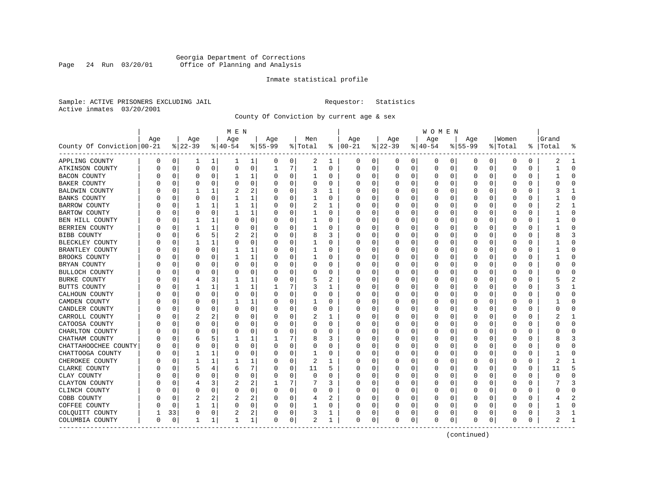### Georgia Department of Corrections Page 24 Run 03/20/01 Office of Planning and Analysis

#### Inmate statistical profile

Sample: ACTIVE PRISONERS EXCLUDING JAIL **Requestor:** Statistics Active inmates 03/20/2001

County Of Conviction by current age & sex

|                            |     |          |          |             | M E N        |   |           |          |              |   |               |             |          |          | W O M E N |             |             |          |              |             |           |                |
|----------------------------|-----|----------|----------|-------------|--------------|---|-----------|----------|--------------|---|---------------|-------------|----------|----------|-----------|-------------|-------------|----------|--------------|-------------|-----------|----------------|
|                            | Age |          | Age      |             | Age          |   | Age       |          | Men          |   | Age           |             | Age      |          | Age       |             | Age         |          | Women        |             | Grand     |                |
| County Of Conviction 00-21 |     |          | $ 22-39$ |             | $ 40-54$     |   | $8 55-99$ |          | % Total      |   | $8   00 - 21$ |             | $ 22-39$ |          | $ 40-54$  |             | $8155 - 99$ |          | % Total      |             | %   Total |                |
| APPLING COUNTY             | 0   | 0        | 1        | 1           | 1            | 1 | 0         | 0        | 2            | 1 | 0             | 0           | 0        | 0        | 0         | 0           | 0           | 0        | 0            | 0           | 2         | -1             |
| ATKINSON COUNTY            | U   | 0        | $\Omega$ | $\mathbf 0$ | 0            | 0 | 1         | 7        | $\mathbf{1}$ | 0 | 0             | 0           | 0        | 0        | 0         | 0           | 0           | 0        | 0            | 0           |           | $\Omega$       |
| <b>BACON COUNTY</b>        |     | 0        | 0        | $\Omega$    | 1            | 1 | O         | 0        | 1            | 0 | O             | 0           | $\Omega$ | 0        | $\Omega$  | 0           | 0           | $\Omega$ | 0            | 0           |           | $\Omega$       |
| <b>BAKER COUNTY</b>        | U   | 0        | O        | 0           | $\Omega$     | 0 | O         | 0        | 0            | 0 | C             | 0           | O        | 0        | 0         | 0           | O           | 0        | 0            | O           |           | $\Omega$       |
| <b>BALDWIN COUNTY</b>      |     | $\Omega$ |          |             |              | 2 |           | $\Omega$ | 3            |   | O             | 0           | 0        | 0        | 0         | 0           | O           | U        | O            | O           |           | -1             |
| <b>BANKS COUNTY</b>        |     | $\Omega$ | O        | 0           |              | 1 | O         | 0        | 1            | 0 | C             | 0           | $\Omega$ | 0        | $\Omega$  | 0           | 0           | 0        | 0            | 0           |           | ∩              |
| BARROW COUNTY              |     | 0        |          | 1           | 1            | 1 |           | 0        | 2            | 1 | O             | 0           | $\Omega$ | 0        | $\Omega$  | $\mathbf 0$ | $\Omega$    | 0        | 0            | $\Omega$    |           | 1              |
| <b>BARTOW COUNTY</b>       |     | 0        | 0        | 0           |              | 1 |           | 0        |              | 0 |               | 0           | 0        | 0        | 0         | 0           | 0           | 0        | 0            | 0           |           | $\Omega$       |
| BEN HILL COUNTY            |     | 0        | 1        | 1           | 0            | 0 | ∩         | 0        | 1            | U | $\cap$        | 0           | 0        | 0        | $\Omega$  | 0           | 0           | $\Omega$ | <sup>0</sup> | 0           |           | $\Omega$       |
| BERRIEN COUNTY             | U   | $\Omega$ | 1        |             | 0            | 0 | O         | 0        | 1            | 0 | O             | 0           | $\Omega$ | 0        | $\Omega$  | 0           | $\Omega$    | $\Omega$ | 0            | 0           |           | $\Omega$       |
| BIBB COUNTY                |     | 0        | 6        | 5           | 2            | 2 |           | $\Omega$ | 8            | 3 | O             | 0           | 0        | $\Omega$ | 0         | 0           | 0           | $\Omega$ | $\Omega$     | $\Omega$    |           | 3              |
| BLECKLEY COUNTY            |     | $\Omega$ |          | 1           | $\Omega$     | 0 | O         | $\Omega$ |              | U | C             | $\Omega$    | $\Omega$ | 0        | O         | 0           | O           | O        | $\Omega$     | O           |           | $\Omega$       |
| BRANTLEY COUNTY            |     | 0        | 0        | 0           | 1            | 1 |           | 0        |              | 0 | 0             | 0           | 0        | 0        | 0         | 0           | 0           | 0        | 0            | 0           |           | ∩              |
| BROOKS COUNTY              |     | 0        | 0        | O           |              | 1 |           | 0        |              | 0 | O             | 0           | 0        | 0        |           | 0           | 0           | 0        | 0            | 0           |           | $\Omega$       |
| BRYAN COUNTY               |     | 0        | 0        | 0           | $\Omega$     | 0 | $\Omega$  | 0        | 0            | 0 | $\Omega$      | 0           | 0        | 0        | 0         | 0           | 0           | 0        | 0            | 0           |           | $\Omega$       |
| BULLOCH COUNTY             | O   | $\Omega$ | O        | O           | 0            | 0 | O         | 0        | 0            | 0 | C             | 0           | 0        | 0        | 0         | 0           | 0           | 0        | 0            | 0           |           | $\Omega$       |
| <b>BURKE COUNTY</b>        |     | 0        |          | 3           |              | 1 |           | 0        | 5            | 2 |               | 0           | C        | 0        | 0         | 0           | 0           | O        | 0            | 0           |           | $\overline{2}$ |
| BUTTS COUNTY               | U   | $\Omega$ |          | 1           |              | 1 |           | 7        | 3            | 1 | O             | 0           | $\Omega$ | 0        | $\Omega$  | 0           | 0           | O        | $\Omega$     | O           |           | -1             |
| CALHOUN COUNTY             |     | 0        | $\Omega$ | $\Omega$    | $\Omega$     | 0 | $\Omega$  | 0        | 0            | 0 | O             | 0           | $\Omega$ | 0        | $\Omega$  | $\mathbf 0$ | $\Omega$    | $\Omega$ | 0            | 0           |           | $\Omega$       |
| CAMDEN COUNTY              |     | 0        | 0        | 0           |              | 1 |           | 0        |              | 0 |               | 0           | C        | $\Omega$ | 0         | 0           | 0           | $\Omega$ | 0            | 0           |           | $\Omega$       |
| CANDLER COUNTY             |     | 0        | O        | 0           | O            | 0 |           | 0        | 0            | U | C             | 0           | 0        | 0        | $\Omega$  | 0           | 0           | 0        | <sup>0</sup> | 0           |           | $\Omega$       |
| CARROLL COUNTY             | U   | 0        | 2        | 2           | 0            | 0 | ∩         | 0        | 2            | 1 | O             | 0           | $\Omega$ | 0        | $\Omega$  | 0           | 0           | $\Omega$ | 0            | 0           |           | -1             |
| CATOOSA COUNTY             |     | 0        | 0        | 0           | 0            | 0 | O         | $\Omega$ | 0            | 0 | O             | 0           | C        | 0        | 0         | 0           | 0           | 0        | 0            | 0           |           | $\Omega$       |
| CHARLTON COUNTY            |     | 0        | O        | O           | $\Omega$     | 0 | 0         | $\Omega$ | 0            | 0 | O             | $\Omega$    | $\Omega$ | $\Omega$ | 0         | 0           | 0           | $\Omega$ | $\Omega$     | 0           |           | $\Omega$       |
| CHATHAM COUNTY             |     | n        | 6        | 5           |              | 1 |           | 7        | 8            | 3 | O             | $\Omega$    | 0        | $\Omega$ | O         | 0           | 0           | $\Omega$ | $\Omega$     | O           |           | 3              |
| CHATTAHOOCHEE COUNTY       |     | 0        | 0        | 0           | 0            | 0 | $\Omega$  | 0        | 0            | 0 | O             | 0           | C        | 0        | 0         | 0           | 0           | 0        | 0            | 0           |           | $\Omega$       |
| CHATTOOGA COUNTY           | በ   | $\Omega$ | 1        | 1           | 0            | 0 | $\Omega$  | 0        | 1            | 0 | $\Omega$      | 0           | 0        | 0        | 0         | $\mathbf 0$ | $\Omega$    | $\Omega$ | $\mathbf 0$  | 0           |           | $\Omega$       |
| CHEROKEE COUNTY            | O   | n        | 1        | 1           |              | 1 | O         | 0        | 2            | 1 | C             | 0           | 0        | 0        | 0         | 0           | 0           | 0        | 0            | 0           | 2         | -1             |
| CLARKE COUNTY              |     | 0        | 5        | 4           | 6            | 7 | O         | 0        | 11           | 5 | C             | 0           | 0        | $\Omega$ | 0         | 0           | 0           | 0        | 0            | $\mathbf 0$ | 11        | 5              |
| CLAY COUNTY                |     | n        | O        | O           | $\Omega$     | 0 |           | 0        | 0            | U | C             | $\Omega$    | $\Omega$ | 0        | $\Omega$  | 0           | O           | U        | $\Omega$     | O           |           | $\Omega$       |
| CLAYTON COUNTY             |     | n        | 4        | 3           | 2            | 2 |           | 7        | 7            | 3 | O             | 0           | $\Omega$ | $\Omega$ | $\Omega$  | 0           | $\Omega$    | $\Omega$ | 0            | 0           |           | 3              |
| CLINCH COUNTY              |     | 0        | $\Omega$ | $\Omega$    | 0            | 0 | 0         | 0        | 0            | 0 | O             | $\mathbf 0$ | C        | 0        | 0         | $\mathbf 0$ | 0           | $\Omega$ | 0            | 0           |           | $\Omega$       |
| COBB COUNTY                |     | 0        |          | 2           | 2            | 2 |           | 0        | 4            | 2 |               | 0           | C        | 0        | 0         | 0           | 0           | O        | O            | 0           |           | $\overline{c}$ |
| COFFEE COUNTY              |     | 0        | 1        | 1           | 0            | 0 |           | 0        | 1            | 0 | C             | 0           | 0        | 0        | $\Omega$  | 0           | 0           | 0        | 0            | 0           |           | $\Omega$       |
| COLQUITT COUNTY            |     | 33       | $\Omega$ | 0           | 2            | 2 | 0         | 0        | 3            | 1 | O             | 0           | 0        | 0        | 0         | 0           | 0           | 0        | 0            | 0           |           | 1              |
| COLUMBIA COUNTY            | 0   | $\Omega$ | 1        | 1           | $\mathbf{1}$ | 1 | $\Omega$  | 0        | 2            | 1 | $\mathbf 0$   | 0           | $\Omega$ | 0        | $\Omega$  | 0           | 0           | 0        | $\Omega$     | 0           |           | $\mathbf{1}$   |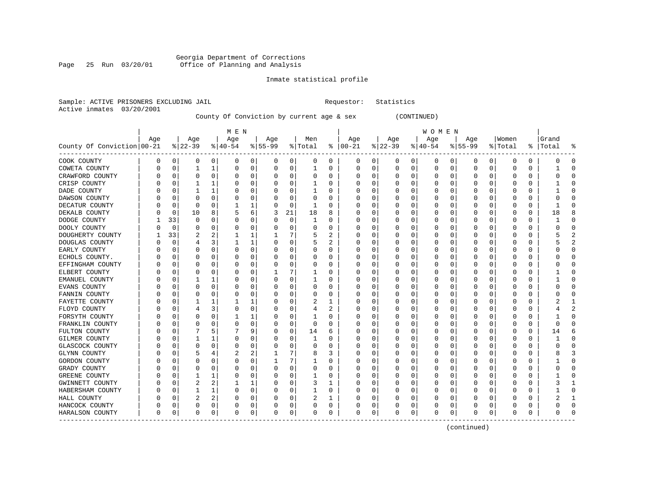### Georgia Department of Corrections Page 25 Run 03/20/01 Office of Planning and Analysis

#### Inmate statistical profile

|                           | Sample: ACTIVE PRISONERS EXCLUDING JAIL | Requestor: Statistics |  |
|---------------------------|-----------------------------------------|-----------------------|--|
| Active inmates 03/20/2001 |                                         |                       |  |

# County Of Conviction by current age & sex (CONTINUED)

|                            |     |          |                |                | M E N     |   |           |             |         |   |               |          |              |          | W O M E N |          |             |          |          |          |           |          |
|----------------------------|-----|----------|----------------|----------------|-----------|---|-----------|-------------|---------|---|---------------|----------|--------------|----------|-----------|----------|-------------|----------|----------|----------|-----------|----------|
|                            | Age |          | Age            |                | Age       |   | Age       |             | Men     |   | Age           |          | Age          |          | Age       |          | Age         |          | Women    |          | Grand     |          |
| County Of Conviction 00-21 |     |          | $ 22-39$       |                | $8 40-54$ |   | $8 55-99$ |             | % Total |   | $8   00 - 21$ |          | $ 22-39 $    |          | $ 40-54$  |          | $8 55-99$   |          | % Total  |          | %   Total | န္       |
| COOK COUNTY                | 0   | 0        | 0              | 0              | 0         | 0 | 0         | 0           | 0       | 0 | 0             | 0        | 0            | 0        | 0         | 0        | 0           | 0        | 0        | 0        |           | $\Omega$ |
| COWETA COUNTY              | 0   | $\Omega$ |                |                | 0         | 0 |           | 0           | 1       | 0 | 0             | 0        | 0            | 0        | 0         | 0        | $\mathbf 0$ | 0        | 0        | 0        |           | ∩        |
| CRAWFORD COUNTY            |     | n        | $\Omega$       | $\Omega$       | C         | 0 |           | $\Omega$    | 0       | 0 | O             | O        | <sup>0</sup> | $\Omega$ | 0         | 0        | $\Omega$    | $\Omega$ | $\Omega$ | $\Omega$ |           |          |
| CRISP COUNTY               |     | $\Omega$ |                |                | C         | 0 |           | $\Omega$    |         | 0 | O             | 0        | O            | 0        | O         | 0        | O           | O        | $\Omega$ | 0        |           |          |
| DADE COUNTY                |     | n        |                |                | 0         | 0 |           | $\Omega$    |         | 0 | 0             | $\Omega$ | O            | $\Omega$ | $\left($  | 0        | O           | 0        | $\Omega$ | 0        |           |          |
| DAWSON COUNTY              |     | 0        |                | $\Omega$       | C         | 0 |           | 0           | 0       | 0 | 0             | 0        | 0            | $\Omega$ | C         | 0        | 0           | O        | $\Omega$ | 0        |           |          |
| DECATUR COUNTY             |     | $\Omega$ | $\Omega$       | $\Omega$       |           | 1 |           | 0           | 1       | O | 0             | $\Omega$ | 0            | $\Omega$ | Ω         | 0        | O           | O        | $\Omega$ | $\Omega$ |           |          |
| DEKALB COUNTY              |     | 0        | 10             | 8              | 5         | 6 | 3         | 21          | 18      | 8 | O             | $\Omega$ | 0            | 0        | O         | 0        | 0           | O        | $\Omega$ | 0        | 18        |          |
| DODGE COUNTY               |     | 33       | $\Omega$       | $\Omega$       | C         | 0 |           | 0           | -1      | 0 | 0             | 0        | 0            | 0        | 0         | 0        | 0           | 0        | 0        | 0        |           | ∩        |
| DOOLY COUNTY               |     | 0        | O              | O              | C         | 0 |           | 0           | 0       | 0 | 0             | 0        | 0            | 0        | 0         | 0        | 0           | 0        | 0        | 0        |           | ∩        |
| DOUGHERTY COUNTY           |     | 33       |                |                |           |   |           |             | 5       | 2 | 0             | 0        | 0            | 0        | 0         | 0        | 0           | O        | 0        | 0        |           |          |
| DOUGLAS COUNTY             |     | $\Omega$ |                | ٦              |           | 1 |           | $\Omega$    | 5       |   | 0             | O        | <sup>0</sup> | 0        | 0         | 0        | O           | U        | $\Omega$ | O        |           |          |
| EARLY COUNTY               |     | n        | ∩              | $\Omega$       | C         | 0 |           | 0           | 0       | O | O             | 0        | O            | 0        | 0         | 0        | O           | 0        | n        | 0        |           | ∩        |
| ECHOLS COUNTY.             |     | n        |                | $\Omega$       | C         | 0 |           | 0           | 0       | 0 | O             | $\Omega$ | 0            | $\Omega$ | $\Omega$  | 0        | O           | 0        | 0        | 0        |           |          |
| EFFINGHAM COUNTY           |     | 0        |                | $\Omega$       | C         | 0 |           | $\mathbf 0$ | 0       | 0 |               | 0        | 0            | 0        | C         | 0        | 0           | 0        | $\Omega$ | 0        |           |          |
| ELBERT COUNTY              |     | 0        |                | O              | C         | 0 |           | 7           |         | 0 |               | 0        | 0            | 0        |           | 0        | 0           | 0        | O        | 0        |           |          |
| EMANUEL COUNTY             |     | 0        |                |                | C         | 0 |           | 0           |         | 0 | O             | 0        | 0            | 0        | 0         | 0        | 0           | 0        | $\Omega$ | 0        |           | ∩        |
| EVANS COUNTY               |     | 0        | 0              | $\Omega$       | C         | 0 |           | 0           | 0       | 0 | 0             | 0        | 0            | 0        | 0         | 0        | 0           | 0        | 0        | 0        |           | ∩        |
| FANNIN COUNTY              |     | 0        | 0              | O              | C         | 0 |           | 0           | 0       | 0 | 0             | 0        | 0            | 0        | 0         | 0        | 0           | O        | 0        | 0        |           |          |
| FAYETTE COUNTY             |     | 0        |                |                |           |   |           | $\Omega$    | 2       | 1 | 0             | 0        | 0            | 0        | 0         | 0        | 0           | 0        | 0        | 0        |           | -1       |
| FLOYD COUNTY               |     | n        | 4              | 3              | C         | 0 |           | $\Omega$    | 4       | 2 | 0             | 0        | O            | 0        | 0         | 0        | O           | O        | 0        | O        |           | 2        |
| FORSYTH COUNTY             |     | n        | 0              | $\Omega$       |           | 1 |           | $\Omega$    |         | 0 | 0             | 0        | 0            | 0        | 0         | $\Omega$ | 0           | O        | $\Omega$ | 0        |           | ∩        |
| FRANKLIN COUNTY            |     | 0        | 0              | $\Omega$       | 0         | 0 |           | 0           | 0       | 0 | 0             | 0        | 0            | 0        | 0         | $\Omega$ | 0           | 0        | $\Omega$ | 0        |           |          |
| FULTON COUNTY              |     | 0        |                | 5              |           | 9 |           | 0           | 14      | 6 | 0             | 0        | C            | 0        |           | 0        | 0           | 0        | $\Omega$ | 0        | 14        | б        |
| <b>GILMER COUNTY</b>       |     | 0        | 1              |                | C         | 0 |           | 0           | 1       | 0 | O             | 0        | 0            | 0        | 0         | 0        | 0           | O        | $\Omega$ | 0        |           | $\Omega$ |
| <b>GLASCOCK COUNTY</b>     |     | 0        | $\Omega$       | $\Omega$       | C         | 0 |           | $\Omega$    | 0       | 0 | 0             | $\Omega$ | 0            | 0        | 0         | 0        | 0           | 0        | $\Omega$ | 0        |           | $\Omega$ |
| <b>GLYNN COUNTY</b>        |     | 0        | .5             |                | 2         | 2 |           | 7           | 8       | 3 | 0             | $\Omega$ | 0            | 0        | 0         | 0        | 0           | 0        | $\Omega$ | 0        |           | 3        |
| GORDON COUNTY              | C   | 0        | O              | $\Omega$       | C         | 0 |           | 7           |         | 0 | 0             | 0        | 0            | 0        | 0         | 0        | 0           | 0        | 0        | 0        |           | $\Omega$ |
| GRADY COUNTY               |     | n        |                |                | C         | 0 |           | $\Omega$    | 0       | 0 | 0             | 0        | 0            | 0        | 0         | 0        | 0           | O        | 0        | 0        |           |          |
| GREENE COUNTY              |     | n        |                |                |           | 0 |           | $\Omega$    |         | O | O             | O        | <sup>0</sup> | 0        | O         | 0        | O           | O        | $\Omega$ | O        |           |          |
| GWINNETT COUNTY            |     | n        | $\overline{2}$ | 2              |           | 1 |           | $\Omega$    | 3       | 1 | O             | 0        | O            | 0        | O         | 0        | O           | 0        | $\Omega$ | 0        |           |          |
| HABERSHAM COUNTY           |     | n        |                |                | C         | 0 |           | 0           |         | 0 | 0             | $\Omega$ | O            | $\Omega$ | O         | 0        | O           | $\Omega$ | $\Omega$ | 0        |           | $\Omega$ |
| HALL COUNTY                |     | n        | 2              | $\overline{2}$ | C         | 0 |           | 0           | 2       |   | O             | 0        | 0            | 0        | 0         | 0        | 0           | O        | 0        | 0        |           |          |
| HANCOCK COUNTY             |     | 0        | $\Omega$       | 0              | C         | 0 |           | 0           | 0       | 0 | C             | 0        | 0            | 0        | 0         | 0        | O           | 0        | 0        | 0        |           | $\Omega$ |
| HARALSON COUNTY            | 0   | 0        | $\Omega$       | 0              | $\Omega$  | 0 | $\Omega$  | 0           | 0       | 0 | $\mathbf 0$   | 0        | 0            | 0        | $\Omega$  | 0        | 0           | 0        | 0        | 0        |           |          |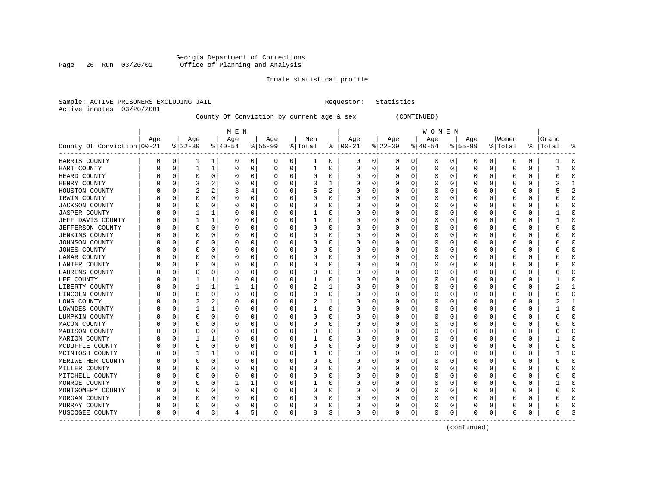### Georgia Department of Corrections Page 26 Run 03/20/01 Office of Planning and Analysis

#### Inmate statistical profile

Sample: ACTIVE PRISONERS EXCLUDING JAIL **Requestor:** Statistics Active inmates 03/20/2001

County Of Conviction by current age & sex (CONTINUED)

|                            |     |          |                |              | M E N     |   |           |             |          |   |               |             |           |          | W O M E N |              |                  |          |          |          |       |          |
|----------------------------|-----|----------|----------------|--------------|-----------|---|-----------|-------------|----------|---|---------------|-------------|-----------|----------|-----------|--------------|------------------|----------|----------|----------|-------|----------|
|                            | Age |          | Age            |              | Age       |   | Age       |             | Men      |   | Age           |             | Age       |          | Age       |              | Age              |          | Women    |          | Grand |          |
| County Of Conviction 00-21 |     |          | $8 22-39$      |              | $ 40-54 $ |   | $8 55-99$ |             | % Total  |   | $8   00 - 21$ |             | $ 22-39 $ |          | $ 40-54$  |              | $8 55-99$        |          | % Total  | ႜ        | Total |          |
| HARRIS COUNTY              | 0   | 0        | 1              | 1            | 0         | 0 | 0         | 0           | 1        | 0 | 0             | 0           | 0         | 0        | 0         | 0            | 0                | 0        | 0        | 0        |       | $\Omega$ |
| HART COUNTY                | 0   | 0        | 1              | 1            | 0         | 0 | 0         | 0           | 1        | 0 | 0             | 0           | 0         | 0        | 0         | 0            | 0                | 0        | $\Omega$ | 0        |       |          |
| HEARD COUNTY               | O   | 0        |                | 0            | 0         | 0 | 0         | 0           | 0        | 0 | O             | 0           | 0         | 0        | $\Omega$  | 0            | Ω                | 0        |          | 0        |       |          |
| HENRY COUNTY               | O   | 0        | 3              | 2            | U         | 0 | O         | $\Omega$    | 3        |   | O             | $\Omega$    | Ω         | O        | $\Omega$  | O            | U                | U        |          | $\Omega$ |       |          |
| HOUSTON COUNTY             | Ω   | n        | $\overline{c}$ | 2            |           | 4 | O         | $\Omega$    | 5        | 2 | 0             | $\Omega$    | 0         | O        | $\Omega$  | $\Omega$     | Ω                | $\Omega$ | 0        | $\Omega$ |       |          |
| IRWIN COUNTY               |     | 0        | $\Omega$       | $\Omega$     | 0         | 0 | O         | 0           | O        | 0 | O             | $\mathbf 0$ | 0         | 0        | $\Omega$  | $\Omega$     | $\left( \right)$ | 0        | 0        | 0        |       |          |
| <b>JACKSON COUNTY</b>      | U   | 0        | $\Omega$       | 0            | 0         | 0 | O         | $\mathbf 0$ | O        | 0 | U             | 0           | 0         | 0        | $\Omega$  | $\Omega$     | Ω                | 0        | $\Omega$ | 0        |       |          |
| <b>JASPER COUNTY</b>       | Ω   | 0        |                | 1            | O         | 0 | O         | 0           | 1        | 0 | U             | 0           | 0         | 0        | $\Omega$  | $\Omega$     | U                | 0        | $\Omega$ | 0        |       | U        |
| JEFF DAVIS COUNTY          | U   | 0        |                | 1            | 0         | 0 | 0         | 0           | 1        | 0 | O             | 0           | 0         | 0        | $\Omega$  | 0            | O                | 0        | 0        | 0        |       |          |
| JEFFERSON COUNTY           | Ω   | $\Omega$ |                | O            | 0         | 0 | 0         | $\mathbf 0$ | O        | 0 | 0             | 0           | Ω         | 0        | $\Omega$  |              | C                | 0        |          | 0        |       |          |
| JENKINS COUNTY             | Λ   | 0        | O              | $\Omega$     | O         | 0 | O         | 0           | O        | 0 | 0             | 0           | Ω         | 0        | $\Omega$  | O            | Ω                | 0        | O        | $\Omega$ |       |          |
| JOHNSON COUNTY             | 0   | 0        | 0              | $\Omega$     | 0         | 0 | $\Omega$  | $\Omega$    | 0        | 0 | 0             | $\Omega$    | 0         | 0        | $\Omega$  | $\Omega$     | $\left( \right)$ | $\Omega$ | 0        | $\Omega$ |       |          |
| <b>JONES COUNTY</b>        |     | 0        |                | $\Omega$     | 0         | 0 | 0         | 0           | 0        | 0 | 0             | 0           | C         | 0        | $\Omega$  | O            |                  | 0        |          | 0        |       |          |
| LAMAR COUNTY               | Λ   | 0        | $\Omega$       | 0            | 0         | 0 | 0         | 0           | 0        | 0 | 0             | 0           | 0         | 0        | $\Omega$  | $\Omega$     | Ω                | 0        | $\Omega$ | 0        |       |          |
| LANIER COUNTY              | 0   | 0        | 0              | $\Omega$     | 0         | 0 | $\Omega$  | 0           | 0        | 0 | 0             | 0           | 0         | 0        | $\Omega$  | 0            | O                | 0        | 0        | 0        | n     |          |
| LAURENS COUNTY             | U   | 0        | 0              | 0            | 0         | 0 | $\Omega$  | 0           | 0        | 0 | 0             | 0           | 0         | 0        | $\Omega$  | O            | Ω                | 0        | 0        | 0        |       |          |
| LEE COUNTY                 | Ω   | 0        |                | $\mathbf{1}$ | 0         | 0 | O         | $\Omega$    | 1        | 0 | 0             | $\Omega$    | Ω         | 0        | $\Omega$  | O            | Ω                | O        |          | $\Omega$ |       |          |
| LIBERTY COUNTY             | U   | n        |                | 1            | 1         | 1 | O         | 0           | 2        | 1 | O             | 0           | Ω         | O        | $\Omega$  | <sup>0</sup> | U                | 0        | O        | $\Omega$ | 2     |          |
| LINCOLN COUNTY             | 0   | 0        | $\Omega$       | 0            | 0         | 0 | 0         | 0           | $\Omega$ | 0 | 0             | $\mathbf 0$ | 0         | 0        | $\Omega$  | $\Omega$     |                  | 0        | 0        | 0        |       |          |
| LONG COUNTY                |     | 0        |                | 2            | $\Omega$  | 0 | N         | $\mathbf 0$ |          | 1 | U             | $\mathbf 0$ | Ω         | 0        | $\Omega$  | $\Omega$     | Ω                | $\Omega$ | C        | $\Omega$ |       |          |
| LOWNDES COUNTY             | Λ   | 0        | 1              | 1            | O         | 0 | 0         | 0           | 1        | 0 | U             | 0           | 0         | 0        | $\Omega$  | $\Omega$     | U                | 0        | $\Omega$ | 0        |       | $\Omega$ |
| LUMPKIN COUNTY             | O   | 0        | O              | $\Omega$     | O         | 0 | O         | 0           | O        | 0 | O             | 0           | 0         | 0        | $\Omega$  | 0            | O                | 0        | 0        | 0        | n     |          |
| MACON COUNTY               | Λ   | 0        |                | 0            | 0         | 0 | 0         | 0           | 0        | 0 | 0             | 0           | 0         | 0        | $\Omega$  |              | C                | 0        |          | 0        |       |          |
| MADISON COUNTY             | Ω   | 0        | $\Omega$       | $\Omega$     | 0         | 0 | $\Omega$  | $\Omega$    | 0        | 0 | 0             | $\Omega$    | 0         | 0        | $\Omega$  | $\Omega$     | Ω                | $\Omega$ | $\Omega$ | $\Omega$ |       |          |
| MARION COUNTY              | Ω   | n        |                | 1            | 0         | 0 | 0         | 0           |          | 0 | O             | 0           | 0         | O        | $\Omega$  | O            | Ω                | $\Omega$ | 0        | 0        |       |          |
| MCDUFFIE COUNTY            |     | 0        | $\Omega$       | 0            | 0         | 0 | 0         | 0           | 0        | 0 | 0             | $\mathbf 0$ | C         | 0        | $\Omega$  | $\Omega$     | 0                | 0        | C        | 0        |       |          |
| MCINTOSH COUNTY            | Ω   | 0        |                | 1            | 0         | 0 | O         | $\mathbf 0$ | 1        | 0 | O             | 0           | 0         | 0        | $\Omega$  | O            | Ω                | 0        | C        | 0        |       |          |
| MERIWETHER COUNTY          | Λ   | 0        | $\Omega$       | 0            | 0         | 0 | $\Omega$  | 0           | 0        | 0 | 0             | 0           | 0         | 0        | $\Omega$  | $\Omega$     | U                | 0        | 0        | 0        | n     |          |
| MILLER COUNTY              | Ω   | 0        |                | $\Omega$     | O         | 0 | $\Omega$  | 0           | O        | 0 | O             | 0           | 0         | 0        | $\Omega$  | O            | O                | U        | $\Box$   | 0        |       |          |
| MITCHELL COUNTY            | Λ   | n        |                | O            | 0         | 0 | O         | 0           | O        | 0 | O             | 0           | Ω         | 0        | $\Omega$  | O            | C                | U        |          | 0        |       |          |
| MONROE COUNTY              | Ω   | 0        | O              | $\Omega$     | 1         | 1 | 0         | $\Omega$    |          | 0 | 0             | $\Omega$    | 0         | 0        | $\Omega$  | $\Omega$     | Ω                | 0        | O        | $\Omega$ |       |          |
| MONTGOMERY COUNTY          | 0   | 0        | O              | $\Omega$     | O         | 0 | O         | 0           | O        | 0 | O             | $\mathbf 0$ | 0         | 0        | $\Omega$  | O            | $\left( \right)$ | U        | O        | $\Omega$ |       |          |
| MORGAN COUNTY              |     | 0        |                | $\Omega$     |           | 0 | 0         | $\mathbf 0$ | 0        | 0 | 0             | 0           | C         | $\Omega$ | $\Omega$  |              | C                | $\Omega$ |          | $\Omega$ |       |          |
| MURRAY COUNTY              | U   | 0        | $\Omega$       | 0            | 0         | 0 | O         | 0           | O        | 0 | U             | 0           | Ω         | 0        | $\Omega$  | O            | Ω                | 0        |          | $\Omega$ |       |          |
| MUSCOGEE COUNTY            | 0   | 0        | 4              | 3            | 4         | 5 | 0         | 0           | 8        | 3 | $\Omega$      | 0           | 0         | 0        | $\Omega$  | 0            | 0                | 0        | $\Omega$ | 0        | 8     |          |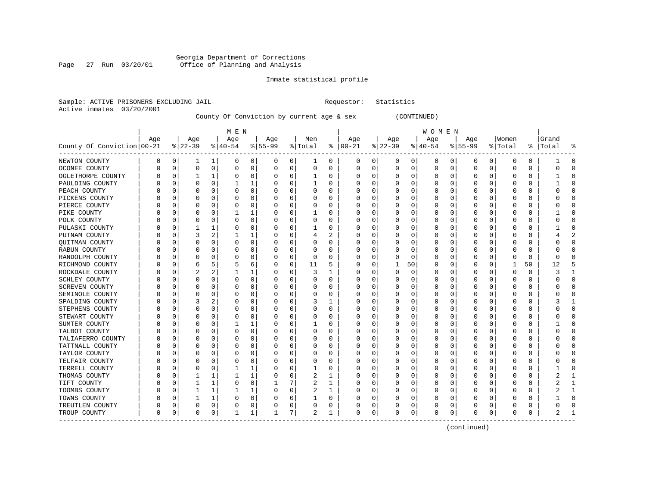### Georgia Department of Corrections Page 27 Run 03/20/01 Office of Planning and Analysis

#### Inmate statistical profile

|                           | Sample: ACTIVE PRISONERS EXCLUDING JAIL | Requestor: Statistics |  |
|---------------------------|-----------------------------------------|-----------------------|--|
| Active inmates 03/20/2001 |                                         |                       |  |

# County Of Conviction by current age & sex (CONTINUED)

|                            |          |          |           |              | M E N    |   |           |             |         |    |              |          |              |          | W O M E N |             |             |          |          |          |           |          |
|----------------------------|----------|----------|-----------|--------------|----------|---|-----------|-------------|---------|----|--------------|----------|--------------|----------|-----------|-------------|-------------|----------|----------|----------|-----------|----------|
|                            | Age      |          | Age       |              | Age      |   | Age       |             | Men     |    | Age          |          | Age          |          | Age       |             | Age         |          | Women    |          | Grand     |          |
| County Of Conviction 00-21 |          |          | $8 22-39$ |              | $ 40-54$ |   | $8 55-99$ |             | % Total | ႜ  | $ 00-21$     |          | $ 22-39 $    |          | $ 40-54$  |             | $ 55-99$    |          | % Total  |          | %   Total | ႜ        |
| NEWTON COUNTY              | 0        | 0        | 1         | 1            | 0        | 0 | 0         | 0           | 1       | 0  | 0            | 0        | 0            | 0        | 0         | 0           | 0           | 0        | 0        | 0        |           | n        |
| OCONEE COUNTY              | 0        | $\Omega$ | $\Omega$  | 0            | C        | 0 | $\Omega$  | 0           | 0       | 0  | 0            | 0        | 0            | 0        | 0         | 0           | $\mathbf 0$ | 0        | 0        | 0        |           | ∩        |
| OGLETHORPE COUNTY          |          | 0        |           |              | C        | 0 |           | $\Omega$    |         | 0  | 0            | 0        | 0            | 0        | 0         | 0           | 0           | O        | $\Omega$ | 0        |           | ∩        |
| PAULDING COUNTY            |          | $\Omega$ | $\Omega$  | $\Omega$     |          | 1 |           | $\Omega$    |         | 0  | 0            | 0        | 0            | 0        | 0         | $\Omega$    | 0           | 0        | $\Omega$ | 0        |           | ∩        |
| PEACH COUNTY               |          | n        |           | $\Omega$     | 0        | 0 |           | 0           | 0       | O  | 0            | $\Omega$ | C            | $\Omega$ | Ω         | 0           | O           | O        | $\Omega$ | U        |           |          |
| PICKENS COUNTY             |          | n        | $\Omega$  | $\Omega$     | C        | 0 |           | 0           | 0       | O  | C            | $\Omega$ | O            | $\Omega$ | Ω         | $\mathbf 0$ | O           | O        | $\Omega$ | $\Omega$ |           | $\Omega$ |
| PIERCE COUNTY              | C        | n        | $\Omega$  | $\Omega$     | C        | 0 |           | 0           | 0       | O  | <sup>0</sup> | $\Omega$ | O            | $\Omega$ | O         | 0           | O           | O        | $\Omega$ | 0        |           | $\Omega$ |
| PIKE COUNTY                |          | n        | O         | $\Omega$     |          | 1 |           | 0           |         | 0  | 0            | 0        | 0            | 0        | 0         | 0           | 0           | 0        | 0        | 0        |           | ∩        |
| POLK COUNTY                |          | 0        | O         | 0            | C        | 0 |           | 0           | 0       | 0  | 0            | 0        | 0            | 0        | 0         | 0           | 0           | 0        | 0        | 0        |           | ∩        |
| PULASKI COUNTY             |          | 0        |           |              | C        | 0 |           | $\Omega$    |         | 0  | 0            | 0        | 0            | 0        | 0         | 0           | 0           | O        | 0        | 0        |           | ∩        |
| PUTNAM COUNTY              |          | n        | 3         |              |          |   |           | $\Omega$    | 4       |    | 0            | 0        | <sup>0</sup> | 0        | 0         | 0           | O           | U        | $\Omega$ | O        |           |          |
| QUITMAN COUNTY             |          | n        | ∩         | <sup>0</sup> | C        | 0 |           | $\Omega$    | 0       | O  | O            | 0        | O            | 0        | 0         | 0           | O           | 0        | n        | 0        |           | ∩        |
| RABUN COUNTY               |          | n        |           | 0            | C        | 0 |           | 0           | 0       | O  | C            | 0        | O            | 0        | 0         | 0           | O           | 0        | 0        | 0        |           |          |
| RANDOLPH COUNTY            |          | 0        |           | $\Omega$     | C        | 0 |           | $\mathbf 0$ | 0       | 0  |              | 0        | 0            | 0        | 0         | 0           | 0           | 0        | $\Omega$ | 0        |           |          |
| RICHMOND COUNTY            |          | 0        | 6         | 5            | 5        | 6 |           | 0           | 11      | 5  | 0            | 0        | 1            | 50       | 0         | 0           | 0           | 0        | 1        | 50       | 12        |          |
| ROCKDALE COUNTY            |          | 0        |           | 2            |          | 1 |           | $\Omega$    | 3       | 1  | O            | $\Omega$ | 0            | 0        | 0         | 0           | 0           | 0        | 0        | $\Omega$ |           | -1       |
| SCHLEY COUNTY              |          | 0        | $\Omega$  | $\Omega$     | C        | 0 |           | 0           | 0       | 0  | 0            | $\Omega$ | 0            | 0        | 0         | 0           | 0           | 0        | $\Omega$ | 0        |           | ∩        |
| <b>SCREVEN COUNTY</b>      |          | 0        |           | O            | C        | 0 |           | 0           | 0       | 0  | 0            | $\Omega$ | 0            | 0        | 0         | 0           | 0           | 0        | $\Omega$ | 0        |           |          |
| SEMINOLE COUNTY            |          | 0        |           |              |          | 0 |           | $\Omega$    | 0       | 0  |              | 0        | 0            | 0        | 0         | 0           | 0           | O        | O        | 0        |           | C        |
| SPALDING COUNTY            |          | 0        |           | 2            | C        | 0 |           | $\Omega$    | 3       | 1  | O            | 0        | O            | 0        | 0         | $\Omega$    | O           | O        | $\Omega$ | 0        |           | -1       |
| STEPHENS COUNTY            |          | n        | O         | $\Omega$     | C        | 0 |           | $\Omega$    | 0       | O  | O            | $\Omega$ | O            | $\Omega$ | O         | 0           | O           | $\Omega$ | $\Omega$ | O        |           | $\Omega$ |
| STEWART COUNTY             |          | n        | $\left($  | $\Omega$     | $\left($ | 0 |           | 0           | 0       | 0  | 0            | $\Omega$ | 0            | $\Omega$ | $\Omega$  | 0           | 0           | 0        | 0        | 0        |           | ∩        |
| SUMTER COUNTY              |          | 0        |           | $\Omega$     |          | 1 |           | $\mathbf 0$ |         | 0  | 0            | 0        | 0            | 0        | 0         | 0           | 0           | 0        | $\Omega$ | 0        |           |          |
| TALBOT COUNTY              |          | 0        | $\Omega$  | $\Omega$     | C        | 0 |           | 0           | 0       | 0  | 0            | $\Omega$ | 0            | $\Omega$ | 0         | 0           | 0           | O        | O        | $\Omega$ |           | $\Omega$ |
| TALIAFERRO COUNTY          |          | 0        | $\Omega$  | $\Omega$     | C        | 0 |           | 0           | 0       | O  | C            | $\Omega$ | 0            | 0        | O         | 0           | 0           | O        | $\Omega$ | 0        |           | $\Omega$ |
| TATTNALL COUNTY            | C        | 0        | 0         | 0            | $\Omega$ | 0 |           | 0           | 0       | 0  | 0            | 0        | 0            | 0        | 0         | 0           | 0           | 0        | 0        | 0        |           | ∩        |
| TAYLOR COUNTY              | O        | 0        |           | 0            | C        | 0 |           | 0           | 0       | 0  | 0            | 0        | 0            | 0        | 0         | 0           | 0           | O        | 0        | 0        |           |          |
| TELFAIR COUNTY             |          | 0        |           | 0            | C        | 0 |           | $\Omega$    | 0       | 0  | 0            | 0        | 0            | 0        | 0         | 0           | 0           | 0        | 0        | 0        |           |          |
| TERRELL COUNTY             |          | 0        |           | ∩            |          |   |           | $\Omega$    |         | O  | O            | O        | 0            | 0        | 0         | $\Omega$    | O           | U        | $\Omega$ | 0        |           |          |
| THOMAS COUNTY              |          | n        |           |              |          | 1 |           | $\Omega$    | 2       | -1 | 0            | 0        | 0            | 0        | 0         | $\Omega$    | O           | U        | $\Omega$ | 0        |           |          |
| TIFT COUNTY                | $\Omega$ | 0        |           |              | 0        | 0 |           | 7           | 2       | 1  | 0            | 0        | 0            | 0        | 0         | $\Omega$    | O           | 0        | $\Omega$ | 0        |           | -1       |
| TOOMBS COUNTY              | $\Omega$ | 0        |           |              |          | 1 |           | 0           | 2       | 1  | 0            | 0        | 0            | 0        | 0         | 0           | 0           | 0        | $\Omega$ | 0        |           | -1       |
| TOWNS COUNTY               |          | n        |           |              | C        | 0 |           | 0           |         | 0  |              | 0        |              | $\Omega$ |           | 0           | 0           | O        | O        | 0        |           | $\Omega$ |
| TREUTLEN COUNTY            | 0        | 0        | $\Omega$  | 0            |          | 0 |           | 0           | 0       | 0  | O            | 0        | 0            | 0        | 0         | 0           | O           | 0        | $\Omega$ | 0        |           | $\Omega$ |
| TROUP COUNTY               | 0        | 0        | 0         | 0            | -1       | 1 |           | 7           | 2       | 1  | 0            | 0        | 0            | 0        | $\Omega$  | 0           | 0           | 0        | 0        | 0        |           |          |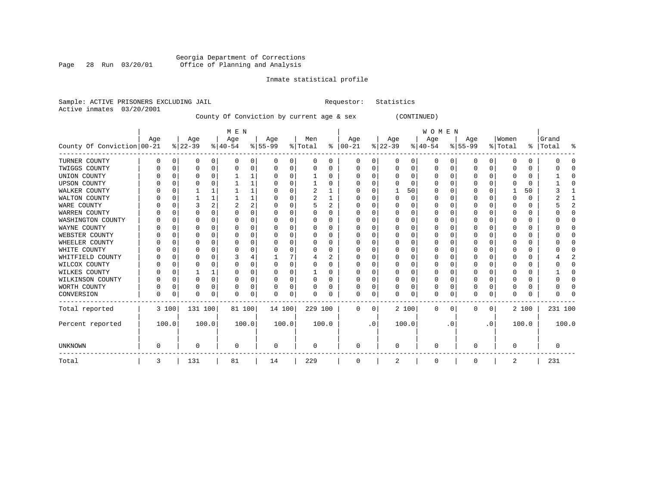#### Georgia Department of Corrections Page 28 Run 03/20/01 Office of Planning and Analysis

# Inmate statistical profile

(CONTINUED)

|  | Sample: ACTIVE PRISONERS EXCLUDING JAIL |  |                                           |  |  | Requestor: Statistics |
|--|-----------------------------------------|--|-------------------------------------------|--|--|-----------------------|
|  | Active inmates 03/20/2001               |  |                                           |  |  |                       |
|  |                                         |  | County Of Conviction by current age & sex |  |  | CONT.                 |

|                            |     |              |           |   | M E N     |                |           |          |                |          |               |           |              |             | WOMEN    |          |          |           |          |          |         |       |
|----------------------------|-----|--------------|-----------|---|-----------|----------------|-----------|----------|----------------|----------|---------------|-----------|--------------|-------------|----------|----------|----------|-----------|----------|----------|---------|-------|
|                            | Age |              | Age       |   | Age       |                | Age       |          | Men            |          | Age           |           | Age          |             | Age      |          | Age      |           | Women    |          | Grand   |       |
| County Of Conviction 00-21 |     |              | $ 22-39 $ |   | $ 40-54 $ |                | $8 55-99$ |          | % Total        |          | $8   00 - 21$ |           | $ 22-39 $    |             | $ 40-54$ |          | $ 55-99$ |           | % Total  | ⊱        | Total   | 昙     |
| TURNER COUNTY              | U   | <sup>0</sup> | 0         | 0 |           | 0              | 0         | 0        | 0              | $\Omega$ | 0             | 0         | 0            | 0           | $\Omega$ | $\Omega$ | 0        | 0         |          | $\Omega$ |         |       |
| TWIGGS COUNTY              |     |              | 0         | 0 |           | 0              | 0         | 0        |                | 0        | 0             | 0         | 0            | $\Omega$    | $\Omega$ |          | 0        | 0         |          | 0        |         |       |
| UNION COUNTY               |     |              |           | U |           |                |           | O        |                | 0        |               | 0         |              | O           | $\Omega$ |          | C        | U         |          | $\Omega$ |         |       |
| <b>UPSON COUNTY</b>        |     |              | ∩         |   |           |                |           | U        |                |          | U             | $\Omega$  | U            | $\cap$      | ∩        |          | O        | U         |          | $\Omega$ |         |       |
| WALKER COUNTY              |     |              |           |   |           |                |           | O        |                |          | U             | $\Omega$  |              | 50          | ∩        |          | O        | O         |          | 50       |         |       |
| WALTON COUNTY              |     |              |           |   |           |                |           | O        | $\overline{c}$ |          |               | $\Omega$  | Ω            | $\Omega$    | $\Omega$ |          | C        | U         |          | $\Omega$ |         |       |
| WARE COUNTY                |     |              | 3         | 2 |           | $\overline{2}$ | O         | O        |                | 2        | U             | O         | Ω            | $\Omega$    | ∩        |          | O        | U         |          | 0        |         |       |
| WARREN COUNTY              |     |              | U         | U |           | $\Omega$       |           | O        |                |          | U             | O         |              | O           | $\Omega$ |          | O        |           |          | $\Omega$ |         |       |
| WASHINGTON COUNTY          |     |              | 0         |   |           | $\Omega$       |           |          |                |          |               | O         |              | O           |          |          | O        |           |          | $\Omega$ |         |       |
| WAYNE COUNTY               |     |              | ∩         | N |           | $\Omega$       |           | U        |                | 0        | U             | $\Omega$  | Λ            | n           | ∩        |          | C        | U         |          | $\Omega$ |         |       |
| WEBSTER COUNTY             |     |              | n         | U |           | $\Omega$       |           | U        |                |          | U             | $\Omega$  | U            | U           | ∩        |          | O        |           |          | 0        |         |       |
| WHEELER COUNTY             |     |              |           | U |           | $\Omega$       |           | C        |                | O        |               | $\Omega$  |              | O           |          |          | C        | U         |          | $\Omega$ |         |       |
| WHITE COUNTY               |     |              | O         | N |           | $\Omega$       |           |          |                | O        | U             | O         |              | n           | ∩        |          | C        | N         |          | $\Omega$ |         |       |
| WHITFIELD COUNTY           |     |              | 0         |   |           |                |           |          |                | 2        | U             | O         |              | O           | $\Omega$ |          | O        |           |          | $\Omega$ |         |       |
| WILCOX COUNTY              |     |              |           |   |           | $\Omega$       |           |          |                |          |               | $\Omega$  |              | n           | $\Omega$ |          |          |           |          | $\Omega$ |         |       |
| WILKES COUNTY              |     |              |           |   |           | $\Omega$       | 0         | C        |                | O        | O             | 0         | Ω            | O           | $\Omega$ |          | $\Omega$ | U         |          | 0        |         |       |
| WILKINSON COUNTY           |     | n            | n         | O |           | $\Omega$       | U         | $\Omega$ |                | 0        | U             | $\Omega$  | Ω            | $\Omega$    | $\Omega$ |          | O        | U         |          | $\Omega$ |         |       |
| WORTH COUNTY               |     |              | 0         | 0 |           | 0              |           | $\Omega$ |                |          |               | 0         |              | n           | $\Omega$ |          | C        | 0         |          | 0        |         |       |
| CONVERSION                 | O   |              | $\Omega$  | 0 | $\Omega$  | 0              | 0         | $\Omega$ | O              |          | <sup>0</sup>  | 0         | U            | $\mathbf 0$ | $\Omega$ | $\Omega$ | $\Omega$ | 0         | $\Omega$ | 0        |         |       |
| Total reported             |     | 3 100        | 131 100   |   | 81 100    |                | 14 100    |          | 229 100        |          | 0             | 0         |              | 2 100       | $\Omega$ | $\Omega$ | 0        | 0         |          | 2 100    | 231 100 |       |
| Percent reported           |     | 100.0        | 100.0     |   |           | 100.0          | 100.0     |          |                | 100.0    |               | $\cdot$ 0 |              | 100.0       |          | . 0      |          | $\cdot$ 0 |          | 100.0    |         | 100.0 |
| <b>UNKNOWN</b>             | O   |              | $\Omega$  |   | $\Omega$  |                | $\Omega$  |          | $\Omega$       |          | $\Omega$      |           | <sup>0</sup> |             | $\Omega$ |          | $\Omega$ |           | $\Omega$ |          | O       |       |
| Total                      | 3   |              | 131       |   | 81        |                | 14        |          | 229            |          | 0             |           | 2            |             | 0        |          | 0        |           | 2        |          | 231     |       |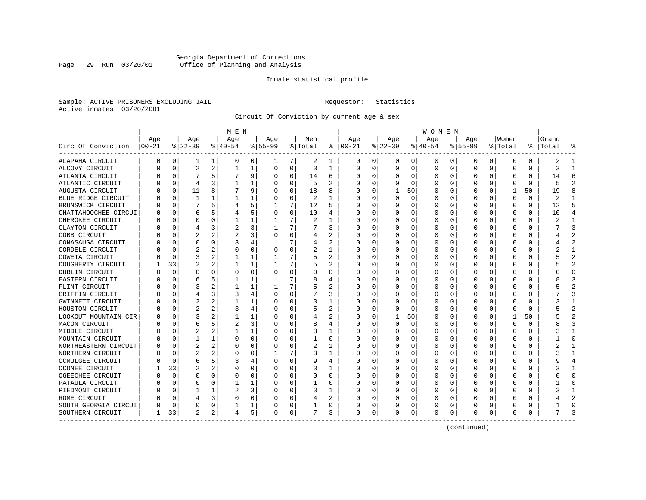### Georgia Department of Corrections Page 29 Run 03/20/01 Office of Planning and Analysis

#### Inmate statistical profile

Sample: ACTIVE PRISONERS EXCLUDING JAIL **Requestor:** Statistics Active inmates 03/20/2001

Circuit Of Conviction by current age & sex

|                       |          |             |                |                | M E N    |          |           |          |         |    |              |          |          |          | <b>WOMEN</b> |          |           |          |         |          |           |                |
|-----------------------|----------|-------------|----------------|----------------|----------|----------|-----------|----------|---------|----|--------------|----------|----------|----------|--------------|----------|-----------|----------|---------|----------|-----------|----------------|
|                       | Age      |             | Age            |                | Age      |          | Age       |          | Men     |    | Age          |          | Age      |          | Age          |          | Aqe       |          | Women   |          | Grand     |                |
| Circ Of Conviction    | $ 00-21$ |             | $ 22-39$       |                | $ 40-54$ |          | $8 55-99$ |          | % Total | ႜ  | $ 00-21$     |          | $ 22-39$ |          | $ 40-54$     |          | $8 55-99$ |          | % Total |          | %   Total |                |
| ALAPAHA CIRCUIT       | 0        | 0           | 1              | 1              | 0        | 0        |           | 7        | 2       | 1  | 0            | 0        | 0        | 0        | 0            | 0        | 0         | 0        | 0       | 0        | 2         |                |
| ALCOVY CIRCUIT        |          | $\Omega$    | $\overline{2}$ | 2              | 1        | 1        | 0         | 0        | 3       | -1 | 0            | $\Omega$ | $\Omega$ | 0        | 0            | $\Omega$ | $\Omega$  | $\Omega$ | O       | 0        | 3         | ำ              |
| ATLANTA CIRCUIT       |          | $\Omega$    | 7              | 5              |          | 9        | O         | $\Omega$ | 14      | 6  | 0            | $\Omega$ | U        | O        | Ω            | $\Omega$ | O         | $\Omega$ | O       | 0        | 14        | h              |
| ATLANTIC CIRCUIT      |          | $\Omega$    | 4              | ς              |          | 1        |           | $\Omega$ | 5       | 2  | C            | $\Omega$ | O        | $\Omega$ | 0            | $\Omega$ | O         | $\Omega$ |         | $\Omega$ | 5         |                |
| AUGUSTA CIRCUIT       |          | $\mathbf 0$ | 11             | 8              |          | 9        |           | 0        | 18      | 8  |              | 0        |          | 50       |              | 0        |           | $\Omega$ |         | 50       | 19        |                |
| BLUE RIDGE CIRCUIT    |          | $\mathbf 0$ | $\mathbf{1}$   | 1              |          | 1        |           | 0        | 2       | 1  | C            | 0        | U        | $\Omega$ | Ω            | $\Omega$ | $\Omega$  | $\Omega$ | O       | 0        | 2         |                |
| BRUNSWICK CIRCUIT     |          | $\mathbf 0$ | 7              | 5              | 4        | 5        |           | 7        | 12      | 5  | <sup>0</sup> | 0        | O        | 0        | U            | 0        | O         | O        | O       | 0        | 12        | 5              |
| CHATTAHOOCHEE CIRCUI  |          | $\Omega$    | 6              | 5              |          | 5        | O         | $\Omega$ | 10      | 4  | 0            | $\Omega$ | 0        | 0        | 0            | 0        | 0         | O        | 0       | 0        | 10        |                |
| CHEROKEE CIRCUIT      |          | $\Omega$    | 0              | 0              |          | 1        |           | 7        | 2       |    | 0            | 0        | 0        | 0        | 0            | 0        | 0         | O        | C       | 0        |           |                |
| CLAYTON CIRCUIT       |          | $\Omega$    |                |                |          | 3        |           | 7        |         | 3  |              | O        |          | O        | Ω            | n        |           |          |         | U        |           |                |
| COBB CIRCUIT          |          | O           |                |                |          | 3        | O         | $\Omega$ | 4       | 2  |              | O        | O        | O        | Ω            | n        | O         | O        |         | O        |           |                |
| CONASAUGA CIRCUIT     |          | $\Omega$    | U              | O              |          | 4        |           | 7        | 4       | 2  | O            | 0        | O        | O        | Ω            | n        |           | $\Omega$ | O       | 0        |           |                |
| CORDELE CIRCUIT       |          | $\Omega$    | 2              |                | C        | 0        | U         | $\Omega$ | 2       | 1  | $\Box$       | $\Omega$ | O        | 0        | 0            | n        |           | $\Omega$ |         | U        |           |                |
| COWETA CIRCUIT        |          | $\mathbf 0$ | 3              |                |          | 1        |           | 7        | 5       | 2  |              | $\Omega$ |          | 0        |              | 0        |           | $\Omega$ |         | 0        |           | $\overline{c}$ |
| DOUGHERTY CIRCUIT     |          | 33          | $\overline{2}$ | 2              |          | 1        |           | 7        | 5       | 2  | C            | $\Omega$ | O        | O        | Ω            | 0        | O         | $\Omega$ |         | 0        |           | $\mathcal{L}$  |
| DUBLIN CIRCUIT        |          | $\Omega$    | U              | U              | C        | 0        |           | 0        | 0       | 0  | O            | $\Omega$ | O        | 0        | 0            | $\Omega$ | $\Omega$  | $\Omega$ |         | 0        |           | ∩              |
| EASTERN CIRCUIT       |          | $\Omega$    | 6              | 5              |          | 1        |           | 7        | 8       | 4  | O            | 0        | 0        | 0        | 0            | 0        | 0         | O        | C       | 0        |           |                |
| FLINT CIRCUIT         |          | $\Omega$    | 3              |                |          | 1        |           | 7        | 5       | 2  | O            | 0        | O        | O        | Ω            | 0        | O         | O        | $\Box$  | 0        |           |                |
| GRIFFIN CIRCUIT       |          | $\mathbf 0$ | 4              |                |          | 4        |           | 0        |         | 3  |              | O        |          | O        | ი            | n        |           |          |         | O        |           |                |
| GWINNETT CIRCUIT      |          | $\Omega$    | 2              |                |          | 1        |           | $\Omega$ | 3       | 1  | O            | 0        | n        | O        | Ω            | n        | O         | O        |         | $\Omega$ |           |                |
| HOUSTON CIRCUIT       |          | $\Omega$    | $\overline{a}$ |                |          | 4        |           | O        | 5       | 2  | O            | 0        | n        | O        | ი            | n        | $\left($  | U        | n       | 0        |           |                |
| LOOKOUT MOUNTAIN CIR  |          | $\Omega$    | 3              |                |          |          |           | 0        | 4       | 2  | 0            | 0        |          | 50       | Ω            | 0        | O         | $\Omega$ |         | 50       |           |                |
| MACON CIRCUIT         |          | $\Omega$    | 6              | 5              | 2        | 3        |           | $\Omega$ | 8       | 4  | 0            | 0        | 0        | 0        | ი            | 0        |           | O        | 0       | 0        |           |                |
| MIDDLE CIRCUIT        |          | 0           | 2              |                |          |          |           | 0        | 3       | 1  |              | 0        |          | 0        |              | 0        |           | O        |         | 0        |           |                |
| MOUNTAIN CIRCUIT      |          | 0           | 1              | 1              | $\Omega$ | $\Omega$ |           | 0        |         | 0  | O            | 0        | O        | 0        | 0            | $\Omega$ | $\Omega$  | $\Omega$ |         | 0        |           | ∩              |
| NORTHEASTERN CIRCUIT  |          | $\mathbf 0$ |                |                | 0        | 0        |           | 0        | 2       | -1 | <sup>0</sup> | 0        | O        | O        | Ω            | n        | O         | O        | O       | 0        |           |                |
| NORTHERN CIRCUIT      |          | $\Omega$    | 2              |                | 0        | 0        |           | 7        | 3       | 1  | O            | 0        | O        | O        | 0            | 0        | O         | O        | $\Box$  | 0        |           |                |
| OCMULGEE CIRCUIT      |          | 0           | 6              | 5              | З        | 4        | O         | 0        | 9       | 4  | 0            | O        | O        | 0        | 0            | 0        |           |          | O       | 0        |           |                |
| <b>OCONEE CIRCUIT</b> |          | 33          |                |                | C        | 0        |           | O        | 3       |    |              | O        | O        | O        | Ω            | n        | O         | U        |         | 0        |           |                |
| OGEECHEE CIRCUIT      |          | $\Omega$    | U              | U              | -0       | 0        | O         | O        | 0       | 0  | O            | 0        | O        | O        | U            | n        | O         | $\Omega$ |         | U        |           | ſ              |
| PATAULA CIRCUIT       |          | $\Omega$    | U              | U              |          |          |           | $\Omega$ |         | 0  | 0            | 0        | O        | O        | 0            | n        |           | $\Omega$ | C       | 0        |           | C              |
| PIEDMONT CIRCUIT      |          | $\Omega$    |                | 1              | 2        | 3        |           | $\Omega$ | 3       | 1  | 0            | $\Omega$ | 0        | 0        | 0            | 0        |           | $\Omega$ |         | 0        |           |                |
| ROME CIRCUIT          |          | 0           |                | 3              | C        | $\Omega$ |           | 0        | 4       | 2  | 0            | 0        |          | O        | Ω            | 0        |           | O        |         | U        |           |                |
| SOUTH GEORGIA CIRCUI  |          | $\mathbf 0$ | 0              | 0              |          | 1        |           | 0        |         | 0  |              | 0        |          | 0        | 0            | 0        |           | 0        |         | 0        |           | $\sqrt{ }$     |
| SOUTHERN CIRCUIT      | 1        | 33          | $\overline{a}$ | 2 <sub>1</sub> | 4        | 5        | O         | 0        | 7       | 3  | $\Omega$     | 0        | U        | 0        | 0            | 0        | $\Omega$  | 0        | O       | 0        |           |                |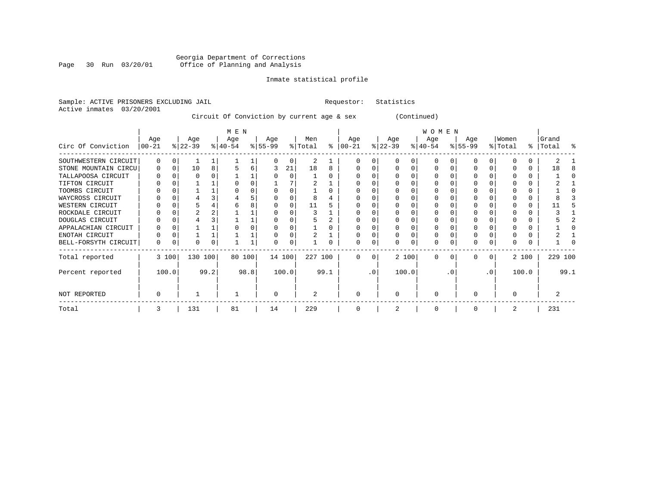# Georgia Department of Corrections Page 30 Run 03/20/01 Office of Planning and Analysis

#### Inmate statistical profile

Sample: ACTIVE PRISONERS EXCLUDING JAIL **Requestor:** Statistics Active inmates 03/20/2001

Circuit Of Conviction by current age & sex (Continued)

|                      |           |          |           |      | M E N     |      |           |       |         |      |           |           |           |       | <b>WOMEN</b> |          |              |           |         |       |           |      |
|----------------------|-----------|----------|-----------|------|-----------|------|-----------|-------|---------|------|-----------|-----------|-----------|-------|--------------|----------|--------------|-----------|---------|-------|-----------|------|
|                      | Age       |          | Age       |      | Age       |      | Age       |       | Men     |      | Age       |           | Age       |       | Age          |          | Age          |           | Women   |       | Grand     |      |
| Circ Of Conviction   | $ 00-21 $ |          | $ 22-39 $ |      | $ 40-54 $ |      | $ 55-99 $ |       | % Total | ⊱    | $ 00-21 $ |           | $ 22-39 $ |       | $ 40-54 $    |          | $8 55-99$    |           | % Total |       | %   Total | ႜ    |
| SOUTHWESTERN CIRCUIT | 0         |          |           |      |           |      |           | O     | 2       |      |           |           |           |       | U            |          |              |           |         |       |           |      |
| STONE MOUNTAIN CIRCU | $\Omega$  | $\Omega$ | 10        | 8    |           | 6    |           | 21    | 18      | 8    |           |           |           |       | $\Omega$     |          |              |           |         | 0     | 18        |      |
| TALLAPOOSA CIRCUIT   |           |          |           |      |           |      |           | O     |         |      |           |           |           |       |              |          |              |           |         |       |           |      |
| TIFTON CIRCUIT       |           |          |           |      |           |      |           |       |         |      |           |           |           |       |              |          |              |           |         |       |           |      |
| TOOMBS CIRCUIT       |           |          |           |      |           |      |           |       |         |      |           |           |           |       |              |          |              |           |         |       |           |      |
| WAYCROSS CIRCUIT     |           |          |           |      |           |      |           |       |         |      |           |           |           |       |              |          |              |           |         |       |           |      |
| WESTERN CIRCUIT      |           |          |           |      |           |      |           |       | 11      |      |           |           |           |       |              |          |              |           |         |       |           |      |
| ROCKDALE CIRCUIT     |           |          |           |      |           |      |           |       |         |      |           |           |           |       |              |          |              |           |         |       |           |      |
| DOUGLAS CIRCUIT      |           |          |           |      |           |      |           |       |         |      |           |           |           |       | U            |          |              |           |         |       |           |      |
| APPALACHIAN CIRCUIT  |           |          |           |      |           |      |           |       |         |      |           |           |           |       |              |          |              |           |         |       |           |      |
| ENOTAH CIRCUIT       |           |          |           |      |           |      |           |       |         |      |           |           |           |       |              |          |              |           |         |       |           |      |
| BELL-FORSYTH CIRCUIT | 0         |          | U         | 0    |           |      | U         | 0     |         | 0    |           |           |           | 0     | 0            |          | $\Omega$     |           |         |       |           |      |
| Total reported       |           | 3 100    | 130 100   |      | 80 100    |      | 14 100    |       | 227 100 |      | $\Omega$  | $\Omega$  |           | 2 100 | $\Omega$     | $\Omega$ | <sup>0</sup> | $\Omega$  |         | 2 100 | 229 100   |      |
| Percent reported     |           | 100.0    |           | 99.2 |           | 98.8 |           | 100.0 |         | 99.1 |           | $\cdot$ 0 |           | 100.0 |              | . 0      |              | $\cdot$ 0 |         | 100.0 |           | 99.1 |
| NOT REPORTED         | O         |          |           |      |           |      | $\Omega$  |       | 2       |      | $\Omega$  |           | $\Omega$  |       | $\Omega$     |          | O            |           |         |       |           |      |
| Total                | 3         |          | 131       |      | 81        |      | 14        |       | 229     |      | 0         |           |           |       | 0            |          |              |           |         |       | 231       |      |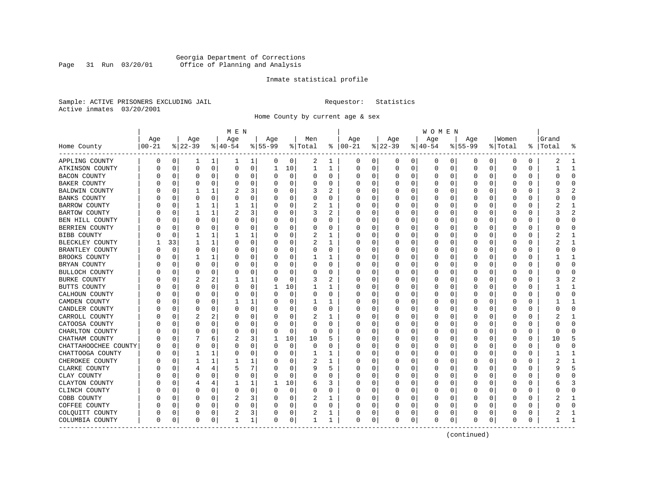### Georgia Department of Corrections Page 31 Run 03/20/01 Office of Planning and Analysis

#### Inmate statistical profile

Sample: ACTIVE PRISONERS EXCLUDING JAIL **Requestor:** Statistics Active inmates 03/20/2001

Home County by current age & sex

|                      |                  |             |                  |          | M E N            |   |                  |             |                            |              |                      |   |                 |          | W O M E N       |          |                  |          |                  |   |                 |                          |
|----------------------|------------------|-------------|------------------|----------|------------------|---|------------------|-------------|----------------------------|--------------|----------------------|---|-----------------|----------|-----------------|----------|------------------|----------|------------------|---|-----------------|--------------------------|
| Home County          | Age<br>$00 - 21$ |             | Age<br>$ 22-39 $ |          | Age<br>$8 40-54$ |   | Age<br>$8 55-99$ |             | Men<br>$\frac{1}{2}$ Total |              | Age<br>$8   00 - 21$ |   | Age<br>$ 22-39$ |          | Age<br>$ 40-54$ |          | Aqe<br>$8 55-99$ |          | Women<br>% Total | % | Grand<br> Total |                          |
| APPLING COUNTY       | 0                | 0           | 1                | 1        | 1                | 1 | 0                | 0           | 2                          | 1            | 0                    | 0 | 0               | 0        | 0               | 0        | 0                | 0        | 0                | 0 | 2               | 1                        |
| ATKINSON COUNTY      | O                | 0           | 0                | 0        | $\Omega$         | 0 | 1                | 10          | 1                          | $\mathbf{1}$ | 0                    | 0 | 0               | 0        | 0               | 0        | $\Omega$         | 0        | 0                | 0 | 1               | $\mathbf{1}$             |
| <b>BACON COUNTY</b>  |                  | 0           | 0                | 0        | 0                | 0 | O                | 0           | 0                          | 0            | 0                    | 0 | 0               | 0        | 0               | C        | 0                | $\Omega$ | 0                | 0 | 0               | $\Omega$                 |
| BAKER COUNTY         |                  | 0           | O                | O        | 0                | 0 |                  | 0           | 0                          | O            | O                    | 0 | O               | $\Omega$ | 0               | 0        |                  | O        | O                | 0 | ი               | $\Omega$                 |
| BALDWIN COUNTY       |                  | 0           |                  | 1        | 2                | 3 |                  | $\Omega$    | 3                          |              | C                    | U | O               | O        | 0               | C        | n                | U        | C                | U |                 |                          |
| <b>BANKS COUNTY</b>  |                  | $\Omega$    | $\Omega$         | $\Omega$ | 0                | 0 |                  | 0           | 0                          | 0            | C                    | O | O               | $\Omega$ | 0               | C        | <sup>0</sup>     | $\Omega$ | O                | 0 | U               | $\Omega$                 |
| <b>BARROW COUNTY</b> |                  | 0           | 1                | 1        |                  | 1 |                  | $\mathbf 0$ | 2                          | 1            | C                    | 0 | 0               | 0        | 0               | $\Omega$ |                  | $\Omega$ | 0                | 0 |                 | $\mathbf{1}$             |
| BARTOW COUNTY        |                  | 0           |                  | 1        | 2                | 3 |                  | 0           | 3                          | 2            | C                    | 0 | O               | $\Omega$ | C               | C        |                  | O        | C                | 0 | 3               | $\overline{\mathcal{L}}$ |
| BEN HILL COUNTY      |                  | 0           | 0                | 0        | 0                | 0 |                  | 0           | 0                          | 0            | $\Omega$             | 0 | $\Omega$        | $\Omega$ | 0               | $\Omega$ | <sup>0</sup>     | $\Omega$ | O                | 0 | በ               | $\Omega$                 |
| BERRIEN COUNTY       |                  | 0           | 0                | 0        | 0                | 0 | $\left($         | 0           | 0                          | 0            | $\Omega$             | 0 | 0               | $\Omega$ | 0               | 0        | 0                | O        | 0                | 0 | ი               | 0                        |
| BIBB COUNTY          |                  | $\Omega$    |                  |          |                  |   |                  | $\Omega$    | 2                          | 1            | 0                    | U | O               | $\Omega$ | 0               | C        | O                | O        | O                | O |                 |                          |
| BLECKLEY COUNTY      |                  | 33          | 1                | 1        | 0                | 0 | O                | 0           | 2                          | -1           | 0                    | 0 | O               | 0        | 0               | C        | O                | $\Omega$ | O                | 0 | 2               | -1                       |
| BRANTLEY COUNTY      |                  | 0           | 0                | 0        | 0                | 0 |                  | 0           | 0                          | 0            | 0                    | 0 | 0               | 0        | C               | $\Omega$ |                  | O        | 0                | 0 | ი               | <sup>0</sup>             |
| BROOKS COUNTY        |                  | $\mathbf 0$ |                  | 1        | 0                | 0 |                  | 0           |                            | 1            | C                    | 0 |                 | $\Omega$ | C               | C        | <sup>0</sup>     | O        | 0                | 0 |                 | $\mathbf{1}$             |
| BRYAN COUNTY         |                  | 0           | O                | 0        | 0                | 0 |                  | 0           | 0                          | 0            | $\Omega$             | 0 | O               | $\Omega$ | O               | C        | O                | $\Omega$ | O                | 0 | ი               | $\Omega$                 |
| BULLOCH COUNTY       |                  | 0           | 0                | 0        | 0                | 0 | ∩                | 0           | 0                          | 0            | $\Omega$             | 0 | O               | $\Omega$ | 0               | C        | O                | O        | O                | 0 | Λ               | <sup>0</sup>             |
| <b>BURKE COUNTY</b>  |                  | C           |                  |          |                  |   |                  | $\mathbf 0$ | 3                          | 2            | C                    | 0 | 0               | $\Omega$ | C               | C        | <sup>0</sup>     | U        | C                | 0 |                 |                          |
| BUTTS COUNTY         |                  | $\Omega$    | 0                | 0        | $\Omega$         | 0 |                  | 10          | 1                          | 1            | 0                    | 0 | 0               | $\Omega$ | 0               | C        | <sup>0</sup>     | $\Omega$ | O                | 0 |                 | -1                       |
| CALHOUN COUNTY       |                  | 0           | O                | 0        | 0                | 0 | $\left($         | $\mathbf 0$ | 0                          | 0            | 0                    | 0 | O               | 0        | $\Omega$        | 0        | O                | $\Omega$ | O                | 0 | U               | <sup>0</sup>             |
| CAMDEN COUNTY        |                  | 0           | 0                | O        |                  | 1 |                  | 0           |                            | 1            | C                    | 0 | 0               | $\Omega$ | C               | C        |                  | O        | 0                | 0 |                 | $\mathbf{1}$             |
| CANDLER COUNTY       |                  | 0           | 0                | 0        | 0                | 0 |                  | 0           | 0                          | 0            | $\Omega$             | 0 | $\Omega$        | $\Omega$ | 0               | $\Omega$ | <sup>0</sup>     | 0        | O                | 0 | በ               | $\Omega$                 |
| CARROLL COUNTY       |                  | 0           | 2                | 2        | 0                | 0 |                  | 0           | 2                          | ı            | $\Omega$             | 0 | O               | $\Omega$ | 0               | 0        | O                | 0        | O                | 0 |                 | -1                       |
| CATOOSA COUNTY       |                  | 0           | O                | 0        | 0                | 0 |                  | $\Omega$    | 0                          | 0            | 0                    | 0 | O               | 0        | 0               | C        | O                | O        | C                | 0 |                 | ∩                        |
| CHARLTON COUNTY      |                  | 0           | O                | O        | $\Omega$         | 0 | O                | 0           | 0                          | O            | $\Omega$             | 0 | $\Omega$        | $\Omega$ | 0               | C        | <sup>0</sup>     | O        | O                | 0 | U               | ſ                        |
| CHATHAM COUNTY       |                  | $\Omega$    |                  | 6        | 2                | 3 |                  | 10          | 10                         | 5            | 0                    | 0 | O               | $\Omega$ | 0               | $\Omega$ | 0                | $\Omega$ | 0                | 0 | 10              | 5                        |
| CHATTAHOOCHEE COUNTY |                  | 0           | 0                | O        | 0                | 0 |                  | $\mathbf 0$ | 0                          | $\Omega$     | C                    | 0 |                 | $\Omega$ | Ω               | C        |                  | O        | 0                | 0 | Ω               | $\Omega$                 |
| CHATTOOGA COUNTY     |                  | 0           | 1                | 1        | 0                | 0 |                  | 0           | 1                          | 1            | $\Omega$             | 0 | O               | $\Omega$ | 0               | C        | <sup>0</sup>     | O        | O                | 0 |                 | -1                       |
| CHEROKEE COUNTY      | U                | 0           | 1                | 1        |                  | 1 |                  | 0           | 2                          | 1            | $\Omega$             | 0 | O               | $\Omega$ | 0               | C        | 0                | $\Omega$ | 0                | 0 | 2               | -1                       |
| CLARKE COUNTY        |                  | 0           |                  | 4        | 5                | 7 |                  | 0           | 9                          | 5            | 0                    | 0 | 0               | $\Omega$ | 0               | C        |                  | O        | C                | 0 | q               | 5                        |
| CLAY COUNTY          |                  | C           | O                | O        | $\Omega$         | 0 |                  | $\Omega$    | 0                          | O            | C                    | U | O               | $\Omega$ | O               | C        | n                | U        | C                | U | U               | $\cap$                   |
| CLAYTON COUNTY       |                  | $\Omega$    | 4                | 4        |                  |   |                  | 10          | 6                          | 3            | 0                    | U | O               | $\Omega$ | 0               | C        | <sup>0</sup>     | $\Omega$ | O                | 0 | 6               | 3                        |
| CLINCH COUNTY        |                  | 0           | 0                | 0        | 0                | 0 |                  | 0           | $\Omega$                   | $\Omega$     | 0                    | 0 | 0               | $\Omega$ | C               | $\Omega$ |                  | 0        | 0                | 0 |                 | O                        |
| COBB COUNTY          |                  | 0           | O                | O        | 2                | 3 |                  | 0           | 2                          | 1            | C                    | 0 |                 | $\Omega$ | C               | C        |                  | O        |                  | 0 |                 | $\mathbf{1}$             |
| COFFEE COUNTY        |                  | 0           | 0                | 0        | 0                | 0 |                  | 0           | 0                          | 0            | $\Omega$             | 0 | $\Omega$        | $\Omega$ | 0               | $\Omega$ | <sup>0</sup>     | $\Omega$ | Ω                | 0 | በ               | $\Omega$                 |
| COLQUITT COUNTY      | 0                | 0           | 0                | 0        | 2                | 3 |                  | 0           | 2                          | 1            | 0                    | 0 | 0               | 0        | 0               | 0        | 0                | 0        | 0                | 0 | 2               |                          |
| COLUMBIA COUNTY      | $\Omega$         | $\mathbf 0$ | $\Omega$         | 0        | $\mathbf{1}$     | 1 | $\Omega$         | 0           | 1                          | 1            | $\Omega$             | 0 | $\Omega$        | 0        | $\Omega$        | 0        | 0                | 0        | 0                | 0 |                 | $\overline{1}$           |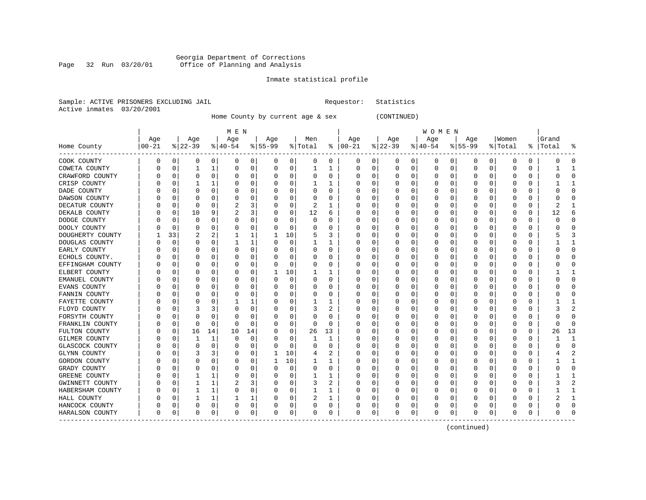# Georgia Department of Corrections<br>Page 32 Run 03/20/01 Office of Planning and Analysis Office of Planning and Analysis

#### Inmate statistical profile

|  |                           | Sample: ACTIVE PRISONERS EXCLUDING JAIL |  |
|--|---------------------------|-----------------------------------------|--|
|  | Active inmates 03/20/2001 |                                         |  |

Home County by current age & sex (CONTINUED)

Requestor: Statistics

|                     |                   |    |          |              | M E N     |          |           |             |              |    |               |             |          |             | W O M E N        |   |           |              |          |   |           |                |
|---------------------|-------------------|----|----------|--------------|-----------|----------|-----------|-------------|--------------|----|---------------|-------------|----------|-------------|------------------|---|-----------|--------------|----------|---|-----------|----------------|
|                     | Age<br>$ 00 - 21$ |    | Age      |              | Age       |          | Age       |             | Men          |    | Age           |             | Age      |             | Age              |   | Age       |              | Women    |   | Grand     |                |
| Home County         |                   |    | $ 22-39$ |              | $ 40-54 $ |          | $8 55-99$ |             | % Total      |    | $8   00 - 21$ |             | $ 22-39$ |             | $ 40-54$         |   | $8 55-99$ |              | % Total  |   | %   Total |                |
| COOK COUNTY         | 0                 | 0  | 0        | 0            | 0         | 0        | 0         | 0           | 0            | 0  | 0             | 0           | O        | 0           | 0                | 0 | 0         | 0            | 0        | 0 | 0         | O              |
| COWETA COUNTY       |                   | 0  | -1       | 1            | $\Omega$  | 0        | 0         | $\mathbf 0$ | $\mathbf{1}$ | 1  | 0             | $\mathbf 0$ | 0        | $\mathbf 0$ | $\Omega$         | 0 | $\Omega$  | $\mathbf 0$  | $\Omega$ | 0 |           | $\overline{1}$ |
| CRAWFORD COUNTY     |                   | 0  | $\Omega$ | $\Omega$     | 0         | 0        |           | 0           | 0            | O  | C             | 0           |          | $\Omega$    | 0                | 0 |           | $\Omega$     | 0        | 0 |           | $\Omega$       |
| CRISP COUNTY        |                   | O  |          | 1            | U         | 0        |           | 0           | 1            | 1  | C             | 0           |          | $\Omega$    | 0                | O | ∩         | 0            | U        | 0 |           | -1             |
| DADE COUNTY         |                   | O  | O        | 0            | O         | 0        |           | 0           | 0            | U  | C             | 0           |          | O           | O                | O | O         | 0            | O        | 0 | C         | $\Omega$       |
| DAWSON COUNTY       |                   | C  |          |              | 0         | 0        |           | 0           | 0            | U  | $\Box$        | 0           |          |             | Ω                | C |           | O            | ſ        | 0 |           | <sup>0</sup>   |
| DECATUR COUNTY      |                   | 0  | $\Omega$ | O            | 2         | 3        |           | 0           | 2            | 1  | O             | 0           |          | $\Omega$    | 0                | O |           | O            | C        | 0 | 2         |                |
| DEKALB COUNTY       |                   | 0  | 10       | 9            | 2         | 3        | 0         | 0           | 12           | 6  | C             | 0           |          | $\Omega$    | 0                | O |           | 0            | 0        | 0 | 12        | 6              |
| DODGE COUNTY        |                   | O  | 0        | $\Omega$     | 0         | 0        |           | 0           | 0            | U  | C             | 0           |          | $\Omega$    | Ω                | O |           | $\Omega$     | 0        | 0 | 0         | <sup>0</sup>   |
| DOOLY COUNTY        |                   | O  |          | $\Omega$     | 0         | 0        |           | $\mathbf 0$ | 0            | 0  | O             | 0           |          | $\Omega$    | 0                | 0 |           | $\Omega$     | 0        | 0 |           | ſ              |
| DOUGHERTY COUNTY    |                   | 33 | 2        | 2            |           | 1        |           | 10          | 5            | 3  | C             | 0           |          | $\Omega$    | 0                | 0 |           | 0            | 0        | 0 | 5         | 3              |
| DOUGLAS COUNTY      |                   | 0  | $\Omega$ | 0            |           | 1        | O         | 0           | 1            | 1  | C             | 0           |          | O           | 0                | 0 | n         | 0            | 0        | 0 |           | 1              |
| EARLY COUNTY        |                   | O  | O        | O            | 0         | 0        |           | 0           | 0            | U  | C             | 0           |          | O           | O                | O |           | U            | ſ        | 0 | 0         | <sup>0</sup>   |
| ECHOLS COUNTY.      |                   | C  |          | O            | 0         | $\Omega$ |           | $\mathbf 0$ | 0            | U  | O             | $\Omega$    |          | O           | 0                | U |           | $\Omega$     | ſ        | 0 |           | $\cap$         |
| EFFINGHAM COUNTY    |                   | U  | O        | O            | O         | 0        |           | 0           | 0            | 0  | C             | 0           |          | O           | 0                | O | n         | 0            | Ω        | 0 | C         | ∩              |
| ELBERT COUNTY       |                   | C  |          | 0            | 0         | 0        |           | 10          |              | 1  | O             | 0           |          | $\Omega$    | 0                | O |           | 0            | 0        | 0 |           |                |
| EMANUEL COUNTY      |                   | N  |          | $\Omega$     | 0         | 0        |           | $\mathbf 0$ | 0            | U  | O             | 0           |          | $\Omega$    | 0                | U |           | $\Omega$     | 0        | 0 |           | $\Omega$       |
| EVANS COUNTY        |                   | C  |          | $\Omega$     | 0         | 0        |           | $\mathbf 0$ | 0            | O  | C             | 0           |          | $\Omega$    | 0                | 0 |           | $\Omega$     | 0        | 0 |           | $\Omega$       |
| FANNIN COUNTY       |                   | O  | n        | 0            | O         | 0        |           | 0           | 0            | 0  | C             | 0           |          | O           | 0                | O | ∩         | 0            | O        | 0 | n         | <sup>0</sup>   |
| FAYETTE COUNTY      |                   | O  | O        | O            |           | 1        |           | 0           | 1            | 1  | O             | 0           |          | O           | O                | O | O         | O            | O        | 0 |           | -1             |
| FLOYD COUNTY        |                   | C  |          | 3            | 0         | 0        |           | 0           | 3            | 2  | C             | 0           |          | $\Omega$    | 0                | C |           | 0            | C        | 0 |           |                |
| FORSYTH COUNTY      |                   | C  | 0        | 0            | 0         | 0        |           | $\mathbf 0$ | 0            | 0  | C             | $\Omega$    |          | $\Omega$    | 0                | O |           | $\Omega$     | C        | 0 |           | $\Omega$       |
| FRANKLIN COUNTY     |                   | 0  | 0        | 0            | O         | 0        |           | 0           | 0            | 0  | C             | 0           |          | O           | 0                | O |           | 0            | 0        | 0 | 0         | $\Omega$       |
| FULTON COUNTY       |                   | 0  | 16       | 14           | 10        | 14       |           | 0           | 26           | 13 | O             | 0           |          | $\Omega$    | $\left( \right)$ | O |           | $\Omega$     | 0        | 0 | 26        | 13             |
| GILMER COUNTY       |                   | 0  |          | $\mathbf{1}$ | $\Omega$  | 0        |           | 0           | $\mathbf{1}$ | 1  | C             | 0           |          | $\Omega$    | 0                | 0 |           | $\Omega$     | 0        | 0 |           | $\mathbf{1}$   |
| GLASCOCK COUNTY     |                   | O  | $\Omega$ | 0            | 0         | 0        | U         | 0           | 0            | 0  | C             | 0           |          | $\Omega$    | U                | U | O         | O            | 0        | 0 | በ         | $\Omega$       |
| <b>GLYNN COUNTY</b> |                   | O  | 3        | 3            | O         | 0        |           | 10          | 4            | 2  | C             | 0           |          | O           | 0                | O | n         | 0            | O        | 0 |           | 2              |
| GORDON COUNTY       |                   | C  | 0        | 0            | 0         | 0        | -1        | 10          | 1            | 1  | O             | 0           |          | O           | 0                | C | $\left($  | O            | O        | 0 |           |                |
| GRADY COUNTY        |                   |    |          | 0            | 0         | 0        | 0         | 0           | 0            | 0  | C             | $\Omega$    |          | $\Omega$    | 0                |   |           | $\Omega$     | C        | 0 |           | $\sqrt{ }$     |
| GREENE COUNTY       |                   | C  |          | 1            | 0         | 0        |           | 0           | $\mathbf{1}$ | 1  | C             | 0           |          | $\Omega$    | 0                | O |           | O            | Ω        | 0 |           |                |
| GWINNETT COUNTY     |                   | O  |          | 1            | 2         | 3        |           | 0           | 3            | 2  | O             | 0           | $\left($ | $\Omega$    | O                | O |           | <sup>0</sup> | Ω        | 0 | 3         |                |
| HABERSHAM COUNTY    |                   | 0  |          | 1            | 0         | 0        |           | 0           | $\mathbf{1}$ | 1  | C             | 0           |          | 0           | 0                | 0 |           | $\Omega$     | 0        | 0 |           |                |
| HALL COUNTY         |                   | C  |          | 1            | 1         | 1        |           | 0           | 2            | 1  | C             | 0           |          | $\Omega$    | 0                | 0 |           | $\Omega$     |          | 0 |           | $\mathbf{1}$   |
| HANCOCK COUNTY      | U                 | 0  | O        | 0            | 0         | 0        |           | 0           | 0            | 0  | C             | 0           |          | $\Omega$    | 0                | 0 |           | 0            |          | 0 | ი         | $\Omega$       |
| HARALSON COUNTY     | 0                 | 0  | $\Omega$ | 0            | O         | 0        | O         | 0           | 0            | 0  | $\Omega$      | 0           | O        | 0           | $\Omega$         | 0 | $\Omega$  | 0            | O        | 0 | O         | ſ              |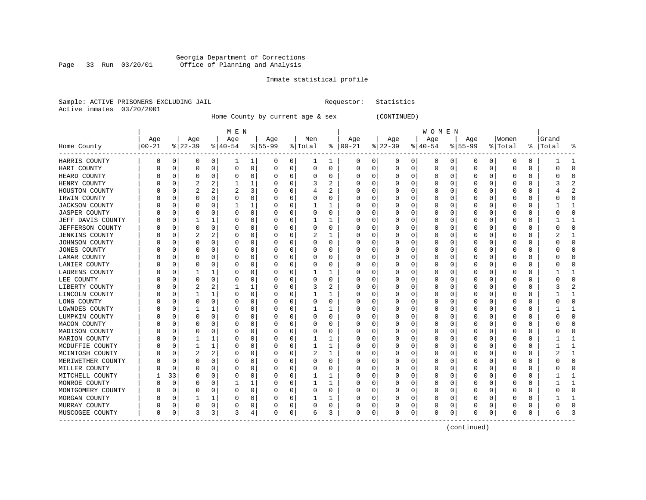# Georgia Department of Corrections<br>Page 33 Run 03/20/01 Office of Planning and Analysis Office of Planning and Analysis

#### Inmate statistical profile

|  | Sample: ACTIVE PRISONERS EXCLUDING JAIL | Requestor: Statistics |  |
|--|-----------------------------------------|-----------------------|--|
|  | Active inmates 03/20/2001               |                       |  |

Home County by current age & sex (CONTINUED)

|                             |           |          |          |          | M E N     |          |             |             |         |   |               |          |           |          | W O M E N |   |           |          |              |          |           |               |
|-----------------------------|-----------|----------|----------|----------|-----------|----------|-------------|-------------|---------|---|---------------|----------|-----------|----------|-----------|---|-----------|----------|--------------|----------|-----------|---------------|
|                             | Age       |          | Age      |          | Age       |          | Age         |             | Men     |   | Age           |          | Age       |          | Age       |   | Age       |          | Women        |          | Grand     |               |
| Home County<br>. <u>.</u> . | $ 00-21 $ |          | $ 22-39$ |          | $ 40-54 $ |          | $8155 - 99$ |             | % Total |   | $8   00 - 21$ |          | $ 22-39 $ |          | $ 40-54$  |   | $8 55-99$ |          | % Total      |          | %   Total | ႜ             |
| HARRIS COUNTY               | 0         | 0        | 0        | 0        | -1        | 1        | 0           | 0           | 1       | 1 | 0             | 0        | 0         | 0        | 0         | 0 | 0         | 0        | 0            | 0        |           | -1            |
| HART COUNTY                 |           | 0        | $\Omega$ | 0        | $\Omega$  | 0        | $\Omega$    | 0           | 0       | 0 | 0             | 0        | $\Omega$  | 0        | $\Omega$  | 0 | 0         | 0        | 0            | O        |           | $\Omega$      |
| HEARD COUNTY                |           | 0        | O        | O        | 0         | 0        | O           | 0           | 0       | 0 | O             | 0        | C         | 0        | 0         | 0 | 0         | O        | 0            | 0        |           | $\Omega$      |
| HENRY COUNTY                |           | $\Omega$ |          |          |           | 1        |             | $\Omega$    | 3       | 2 | C             | $\Omega$ | U         | 0        | O         | 0 | O         | U        | $\Omega$     | U        |           | $\mathcal{D}$ |
| HOUSTON COUNTY              |           | n        | 2        | 2        |           | 3        |             | $\Omega$    | 4       | 2 | O             | $\Omega$ | O         | 0        | O         | 0 | O         | 0        | $\Omega$     | O        |           | $\mathcal{D}$ |
| IRWIN COUNTY                |           | $\Omega$ | O        | 0        | 0         | 0        |             | $\Omega$    | 0       | 0 | O             | $\Omega$ | O         | $\Omega$ | $\left($  | 0 | O         | $\Omega$ | 0            | O        |           |               |
| <b>JACKSON COUNTY</b>       |           | 0        | O        | O        |           | 1        |             | 0           |         | 1 |               | 0        | C         | 0        |           | 0 | 0         | $\Omega$ | 0            | 0        |           |               |
| <b>JASPER COUNTY</b>        |           | 0        | O        | O        | 0         | 0        |             | 0           | 0       | 0 |               | 0        | C         | 0        |           | 0 | 0         | O        | 0            | 0        |           | $\Omega$      |
| JEFF DAVIS COUNTY           |           | 0        | 1        | 1        | 0         | 0        |             | 0           |         | 1 | C             | 0        | 0         | 0        | 0         | 0 | 0         | O        | 0            | 0        |           | -1            |
| JEFFERSON COUNTY            | U         | 0        | O        | 0        | 0         | 0        |             | 0           | 0       | 0 | C             | 0        | 0         | 0        | 0         | 0 | 0         | 0        | 0            | 0        |           | $\Omega$      |
| <b>JENKINS COUNTY</b>       |           | 0        | 2        | 2        | 0         | 0        |             | 0           | 2       |   |               | 0        | C         | 0        | 0         | 0 | 0         | O        | 0            | 0        |           |               |
| JOHNSON COUNTY              |           | C        | U        | U        | 0         | 0        |             | $\Omega$    | U       | O | C             | $\Omega$ | U         | 0        | 0         | 0 | O         | U        | O            | O        |           | $\Omega$      |
| <b>JONES COUNTY</b>         |           | C        | O        | O        | O         | 0        |             | $\Omega$    | U       | U | O             | $\Omega$ | $\Omega$  | 0        | O         | 0 | O         | O        | <sup>0</sup> | O        |           | ∩             |
| LAMAR COUNTY                |           | n        | O        | 0        | O         | 0        |             | $\Omega$    | 0       | 0 | O             | $\Omega$ | $\Omega$  | $\Omega$ | O         | 0 | O         | $\Omega$ | <sup>0</sup> | O        |           |               |
| LANIER COUNTY               |           | 0        | O        | 0        | 0         | 0        |             | 0           | 0       | 0 |               | 0        | C         | $\Omega$ | 0         | 0 | 0         | $\Omega$ | 0            | N        |           |               |
| LAURENS COUNTY              |           | 0        |          |          | 0         | 0        |             | 0           |         | 1 |               | 0        | C         | 0        |           | 0 | 0         | O        | 0            | $\Omega$ |           |               |
| LEE COUNTY                  |           | 0        | $\Omega$ | $\Omega$ | 0         | 0        |             | 0           | 0       | 0 |               | 0        | U         | $\Omega$ | O         | 0 | O         | O        | <sup>0</sup> | 0        |           | $\Omega$      |
| LIBERTY COUNTY              |           | 0        | 2        | 2        |           | 1        |             | 0           | 3       | 2 | n             | 0        | O         | 0        | 0         | 0 | 0         | 0        | O            | 0        |           | $\mathcal{D}$ |
| LINCOLN COUNTY              |           | 0        |          |          | 0         | 0        | $\left($    | 0           |         |   | O             | 0        | O         | $\Omega$ | 0         | 0 | O         | 0        | 0            | 0        |           | -1            |
| LONG COUNTY                 |           | 0        | O        | 0        | 0         | 0        |             | 0           | 0       | 0 |               | 0        | C         | 0        |           | 0 | 0         | O        | 0            | 0        |           |               |
| LOWNDES COUNTY              |           | 0        |          |          | 0         | 0        |             | $\Omega$    |         | 1 | C             | 0        | U         | 0        | O         | 0 | O         | O        | $\Omega$     | O        |           | -1            |
| LUMPKIN COUNTY              |           | $\Omega$ | O        | O        | 0         | 0        |             | O           | 0       | 0 | O             | 0        | O         | 0        | O         | 0 | O         | U        | $\Omega$     | O        |           | ∩             |
| MACON COUNTY                |           | n        | O        | U        | 0         | 0        |             | $\Omega$    | 0       | 0 | O             | $\Omega$ | 0         | 0        | $\left($  | 0 | O         | 0        | 0            | 0        |           | ∩             |
| MADISON COUNTY              |           | 0        | O        | 0        | 0         | 0        |             | $\mathbf 0$ | 0       | 0 |               | 0        | C         | 0        |           | 0 | 0         | 0        | 0            | N        |           |               |
| MARION COUNTY               |           | 0        |          | 1        | 0         | 0        |             | 0           |         | 1 |               | 0        | C         | $\Omega$ |           | 0 | O         | O        | O            | O        |           | $\mathbf{1}$  |
| MCDUFFIE COUNTY             |           | 0        | 1        | 1        | 0         | 0        |             | 0           | 1       | 1 | C             | 0        | 0         | 0        | U         | 0 | 0         | O        | 0            | 0        |           | $\mathbf{1}$  |
| MCINTOSH COUNTY             | U         | 0        | 2        | 2        | 0         | $\Omega$ | ∩           | 0           | 2       | 1 | O             | 0        | 0         | 0        | 0         | 0 | 0         | 0        | 0            | 0        |           | -1            |
| MERIWETHER COUNTY           | U         | 0        | 0        | 0        | 0         | 0        | O           | 0           | 0       | 0 | 0             | 0        | 0         | 0        | 0         | 0 | 0         | 0        | 0            | 0        |           | $\Omega$      |
| MILLER COUNTY               |           | 0        | O        | O        | 0         | 0        |             | 0           | 0       | 0 |               | 0        | C         | 0        | 0         | 0 | 0         | O        | 0            | 0        |           | ∩             |
| MITCHELL COUNTY             |           | 33       | U        | U        | 0         | 0        |             | $\Omega$    |         | 1 |               | $\Omega$ | U         | 0        | O         | 0 | O         | U        | n            | U        |           | -1            |
| MONROE COUNTY               |           | 0        | U        | U        |           | 1        |             | $\Omega$    |         | 1 |               | 0        | O         | 0        | O         | 0 | O         | 0        | O            | O        |           |               |
| MONTGOMERY COUNTY           |           | 0        | O        | 0        | 0         | 0        |             | 0           | 0       | 0 | O             | 0        | O         | 0        | $\left($  | 0 | O         | $\Omega$ | $\Omega$     | O        |           | $\Omega$      |
| MORGAN COUNTY               |           | 0        |          |          | C         | 0        |             | 0           |         | 1 |               | 0        | C         | 0        | 0         | 0 | 0         | 0        | 0            | 0        |           |               |
| MURRAY COUNTY               |           | 0        | 0        | 0        | 0         | 0        |             | 0           | 0       | 0 |               | 0        |           | 0        | 0         | 0 | 0         | 0        | 0            | 0        |           | $\cap$        |
| MUSCOGEE COUNTY             | $\Omega$  | 0        | 3        | 3        | 3         | 4        | $\Omega$    | 0           | 6       | 3 | $\Omega$      | 0        | 0         | 0        | 0         | 0 | 0         | 0        | 0            | 0        |           | 3             |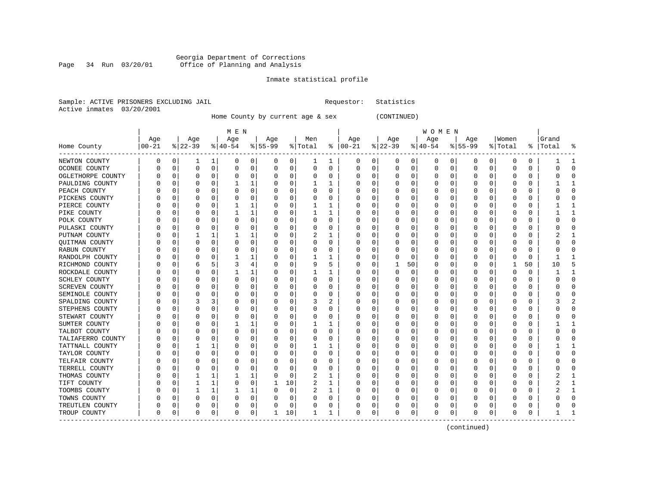#### Georgia Department of Corrections Page 34 Run 03/20/01 Office of Planning and Analysis

# Inmate statistical profile

Requestor: Statistics

|  |                           | Sample: ACTIVE PRISONERS EXCLUDING JAIL |  |
|--|---------------------------|-----------------------------------------|--|
|  | Active inmates 03/20/2001 |                                         |  |

Home County by current age & sex (CONTINUED)

|                       |          |          |           |          | M E N     |          |           |             |          |          |               |          |          |          | W O M E N |          |           |   |              |          |           |              |
|-----------------------|----------|----------|-----------|----------|-----------|----------|-----------|-------------|----------|----------|---------------|----------|----------|----------|-----------|----------|-----------|---|--------------|----------|-----------|--------------|
|                       | Age      |          | Age       |          | Age       |          | Age       |             | Men      |          | Age           |          | Age      |          | Age       |          | Age       |   | Women        |          | Grand     |              |
| Home County           | $ 00-21$ |          | $ 22-39 $ |          | $8 40-54$ |          | $8 55-99$ |             | % Total  |          | $8   00 - 21$ |          | $ 22-39$ |          | $ 40-54$  |          | $ 55-99 $ |   | % Total      |          | %   Total |              |
| NEWTON COUNTY         | 0        | 0        | 1         | 1        | 0         | 0        | 0         | 0           | 1        | 1        | 0             | 0        | 0        | 0        | 0         | 0        | 0         | 0 | 0            | 0        |           | 1            |
| OCONEE COUNTY         | 0        | $\Omega$ | $\Omega$  | 0        | $\Omega$  | 0        | $\Omega$  | $\mathbf 0$ | 0        | 0        | 0             | 0        | $\Omega$ | 0        | 0         | 0        | 0         | 0 | $\Omega$     | $\Omega$ | U         | $\cap$       |
| OGLETHORPE COUNTY     |          | C        | O         | $\Omega$ | 0         | 0        | $\Omega$  | 0           | $\Omega$ | 0        | 0             | 0        | C        | 0        | 0         | $\Omega$ | $\Omega$  | 0 | $\Omega$     | $\Omega$ | U         |              |
| PAULDING COUNTY       |          | C        |           | U        |           | 1        | 0         | 0           | 1        | 1        | 0             | $\Omega$ | O        | $\Omega$ | 0         | $\Omega$ | O         | 0 | O            | $\Omega$ |           |              |
| PEACH COUNTY          |          | C        |           | O        | 0         | 0        |           | 0           | 0        | 0        |               | 0        |          | 0        | 0         | 0        | 0         | 0 | 0            | O        |           |              |
| PICKENS COUNTY        |          | C        |           | U        | 0         | 0        |           | $\mathbf 0$ | 0        | 0        |               | 0        |          | 0        | 0         | 0        | 0         | 0 | 0            | $\Omega$ |           |              |
| PIERCE COUNTY         |          | C        | O         | 0        | 1         | 1        | U         | 0           | 1        | 1        | U             | 0        |          | 0        | 0         | 0        | $\Omega$  | 0 | O            | $\Omega$ |           | -1           |
| PIKE COUNTY           | C        | C        | O         | 0        | 1         | 1        | $\Omega$  | 0           | 1        | 1        | U             | 0        | O        | 0        | 0         | $\Omega$ | $\Omega$  | 0 | 0            | $\Omega$ |           | 1            |
| POLK COUNTY           | C        | C        | O         | O        | 0         | 0        | $\Omega$  | 0           | 0        | $\Omega$ | U             | 0        |          | 0        | 0         | $\Omega$ | $\Omega$  | 0 | 0            | $\Omega$ | U         | <sup>0</sup> |
| PULASKI COUNTY        | C        | C        |           | 0        | C         | 0        | $\Omega$  | 0           | 0        | 0        | 0             | 0        |          | 0        | 0         | 0        | $\Omega$  | 0 | 0            | $\Omega$ |           |              |
| PUTNAM COUNTY         |          | C        |           |          |           | 1        | U         | $\Omega$    |          | 1        | Ω             | U        |          | 0        | 0         | O        | $\Omega$  | 0 | $\Omega$     | $\Omega$ |           |              |
| QUITMAN COUNTY        | O        | C        | n         | O        | O         | $\Omega$ | $\Omega$  | $\Omega$    | 0        | $\Omega$ | U             | 0        |          | $\Omega$ | 0         | 0        | $\Omega$  | 0 | O            | $\Omega$ |           |              |
| RABUN COUNTY          |          | C        |           | O        | O         | 0        | n         | 0           | 0        | 0        | Ω             | 0        |          | 0        | 0         | O        | 0         | 0 | O            | 0        | O         |              |
| RANDOLPH COUNTY       |          | C        |           | O        |           | 1        |           | $\mathbf 0$ | 1        | 1        |               | 0        |          | 0        | 0         | 0        | 0         | 0 |              | 0        |           |              |
| RICHMOND COUNTY       |          | C        | 6         | 5        | 3         | 4        |           | $\mathbf 0$ | 9        | 5        |               | 0        |          | 50       | 0         | 0        | 0         | 0 |              | 50       | 10        |              |
| ROCKDALE COUNTY       |          | C        |           | O        | 1         | 1        | U         | 0           | 1        | 1        | Ω             | 0        | O        | 0        | 0         | $\Omega$ | $\Omega$  | 0 | $\Omega$     | $\Omega$ | 1         | -1           |
| SCHLEY COUNTY         |          | C        | O         | O        | 0         | 0        | 0         | 0           | $\Omega$ | $\Omega$ | U             | 0        | O        | 0        | 0         | $\Omega$ | $\Omega$  | 0 | O            | $\Omega$ | U         | ∩            |
| <b>SCREVEN COUNTY</b> |          | C        |           | O        | 0         | 0        | 0         | 0           | 0        | 0        | U             | 0        |          | 0        | 0         | $\Omega$ | $\Omega$  | 0 | 0            | $\Omega$ |           | C            |
| SEMINOLE COUNTY       |          | C        | O         | O        | 0         | 0        | 0         | $\mathbf 0$ | 0        | 0        | 0             | 0        |          | 0        | 0         | 0        | O         | 0 | $\Omega$     | $\Omega$ |           |              |
| SPALDING COUNTY       |          | C        |           | 3        | 0         | 0        | $\Omega$  | $\Omega$    | 3        | 2        | 0             | 0        | C        | 0        | 0         | 0        | $\Omega$  | 0 | $\Omega$     | $\Omega$ |           |              |
| STEPHENS COUNTY       |          | C        |           | O        | 0         | 0        | 0         | 0           | 0        | 0        | 0             | 0        |          | 0        | 0         | 0        | 0         | 0 | O            | 0        |           |              |
| STEWART COUNTY        |          | C        |           | O        | 0         | 0        | 0         | 0           | 0        | 0        | 0             | 0        |          | 0        | 0         | 0        | 0         | 0 | $\left($     | $\Omega$ | O         |              |
| SUMTER COUNTY         |          | C        |           | O        |           | 1        |           | 0           | 1        | 1        |               | $\Omega$ |          | 0        | 0         | 0        | 0         | 0 | 0            | $\Omega$ |           |              |
| TALBOT COUNTY         |          | C        |           | O        | 0         | 0        |           | $\mathbf 0$ | O        | 0        |               | $\Omega$ |          | 0        | 0         | 0        | O         | 0 | <sup>0</sup> | $\Omega$ | U         | C            |
| TALIAFERRO COUNTY     |          | C        | O         | O        | 0         | 0        | 0         | 0           | 0        | 0        | U             | 0        |          | 0        | 0         | 0        | $\Omega$  | 0 | O            | $\Omega$ |           | ∩            |
| TATTNALL COUNTY       |          | C        |           |          | 0         | 0        | $\Omega$  | 0           |          | 1        | U             | 0        |          | 0        | 0         | $\Omega$ | $\Omega$  | 0 | O            | $\Omega$ |           | -1           |
| TAYLOR COUNTY         | C        | C        |           | 0        | 0         | 0        | 0         | 0           | 0        | 0        | 0             | 0        |          | 0        | 0         | 0        | $\Omega$  | 0 | 0            | $\Omega$ |           |              |
| TELFAIR COUNTY        |          | C        |           | O        | 0         | 0        |           | 0           | 0        | O        | U             | 0        |          | 0        | 0         | 0        | 0         | 0 | O            | $\Omega$ |           |              |
| TERRELL COUNTY        |          | C        |           | O        | 0         | 0        | $\Omega$  | 0           | 0        | 0        | 0             | U        | C        | 0        | 0         | 0        | $\Omega$  | 0 | $\Omega$     | $\Omega$ |           |              |
| THOMAS COUNTY         |          | C        |           |          |           | 1        | 0         | 0           | 2        | 1        | 0             | 0        |          | 0        | 0         | 0        | 0         | 0 | O            | $\Omega$ |           |              |
| TIFT COUNTY           |          | C        |           | 1        | 0         | 0        | 1         | 10          | 2        | 1        |               | 0        |          | 0        | 0         | 0        | 0         | 0 | 0            | $\Omega$ |           |              |
| TOOMBS COUNTY         |          | C        |           | 1        |           | 1        |           | 0           |          | 1        |               | 0        |          | 0        | 0         | 0        | 0         | 0 | 0            | $\Omega$ |           |              |
| TOWNS COUNTY          |          | C        |           | $\Omega$ | $\Omega$  | 0        |           | $\mathbf 0$ | $\Omega$ | $\Omega$ |               | 0        |          | 0        | O         | O        | $\Omega$  | O | $\Omega$     | $\Omega$ |           | $\cap$       |
| TREUTLEN COUNTY       | U        | C        | O         | 0        | U         | 0        |           | $\mathbf 0$ | O        | 0        | U             | 0        |          | 0        | 0         | 0        | $\Omega$  | 0 | O            | $\Omega$ |           | C            |
| TROUP COUNTY          | $\Omega$ | 0        | $\Omega$  | 0        | O         | 0        | ı.        | 10          | 1        | 1        | $\Omega$      | 0        | O        | 0        | $\Omega$  | 0        | $\Omega$  | 0 | $\Omega$     | 0        |           |              |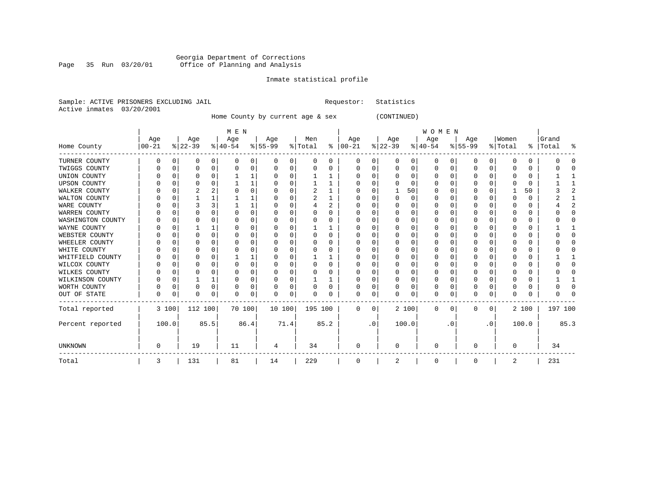#### Georgia Department of Corrections Page 35 Run 03/20/01 Office of Planning and Analysis

# Inmate statistical profile

|  | Sample: ACTIVE PRISONERS EXCLUDING JAIL | Requestor: Statistics |  |
|--|-----------------------------------------|-----------------------|--|
|  | Active inmates 03/20/2001               |                       |  |

Home County by current age & sex (CONTINUED)

|                     |          |       |          |      | M E N     |          |                   |          |         |      |               |           |           |          | <b>WOMEN</b> |           |           |           |          |       |         |      |
|---------------------|----------|-------|----------|------|-----------|----------|-------------------|----------|---------|------|---------------|-----------|-----------|----------|--------------|-----------|-----------|-----------|----------|-------|---------|------|
|                     | Age      |       | Age      |      | Age       |          | Age               |          | Men     |      | Age           |           | Age       |          | Age          |           | Age       |           | Women    |       | Grand   |      |
| Home County         | $ 00-21$ |       | $ 22-39$ |      | $ 40-54 $ |          | $\frac{8}{55-99}$ |          | % Total |      | $8   00 - 21$ |           | $ 22-39 $ |          | $ 40-54 $    |           | $8 55-99$ |           | % Total  | န္    | Total   |      |
| TURNER COUNTY       |          | 0     | 0        | 0    | 0         | 0        | O                 | 0        | 0       | 0    | 0             | 0         | O         | 0        | 0            | 0         | 0         | 0         | $\Omega$ | 0     |         |      |
| TWIGGS COUNTY       |          |       |          | 0    | $\Omega$  | 0        | O                 | 0        | N       |      | 0             | 0         |           | O        | O            |           | $\Omega$  | $\Omega$  |          | 0     |         |      |
| UNION COUNTY        |          |       | U        | U    |           |          |                   | 0        |         |      | 0             | 0         |           |          | U            |           | 0         | U         |          | 0     |         |      |
| <b>UPSON COUNTY</b> |          |       |          | U    |           |          |                   | O        |         |      | <sup>0</sup>  | U         |           |          |              |           | $\Omega$  |           |          | 0     |         |      |
| WALKER COUNTY       |          |       |          |      |           | 0        |                   | 0        | 2       |      | <sup>0</sup>  | 0         |           | 50       |              |           | $\Omega$  | O         |          | 50    |         |      |
| WALTON COUNTY       |          | U     |          |      |           |          |                   | O        | 2       |      | O             | U         |           | $\Omega$ | U            |           | $\Omega$  | 0         |          | 0     |         |      |
| WARE COUNTY         |          |       |          |      |           |          |                   | 0        |         | 2    | n             | 0         |           |          |              |           | 0         |           |          | 0     |         |      |
| WARREN COUNTY       |          |       |          |      |           | 0        |                   | O        |         |      |               | U         |           |          |              |           | 0         |           |          | 0     |         |      |
| WASHINGTON COUNTY   |          |       |          |      | ∩         | N        |                   | O        | U       | 0    | O             | U         |           |          |              |           | 0         |           |          | 0     |         |      |
| WAYNE COUNTY        |          |       |          |      |           | 0        |                   | 0        |         |      | n             | U         |           |          |              |           | $\Omega$  |           |          | 0     |         |      |
| WEBSTER COUNTY      |          |       |          | O    | C         | 0        |                   | $\Omega$ | 0       | 0    |               | U         |           |          |              |           | $\Omega$  |           |          | 0     |         |      |
| WHEELER COUNTY      |          |       |          | U    |           | O        |                   | O        | U       | U    | O             | U         |           |          |              |           | 0         | U         |          | 0     |         |      |
| WHITE COUNTY        |          |       |          |      |           | 0        |                   | O        |         |      |               |           |           |          |              |           | $\Omega$  |           |          | 0     |         |      |
| WHITFIELD COUNTY    |          |       |          |      |           |          |                   | O        |         |      |               | U         |           |          |              |           | $\Omega$  |           |          | 0     |         |      |
| WILCOX COUNTY       |          |       |          | U    | $\Omega$  | $\Omega$ |                   | O        | O       | 0    | $\left($      | U         |           |          |              |           | $\Omega$  | U         |          | 0     |         |      |
| WILKES COUNTY       |          |       |          | U    | $\Omega$  | 0        | U                 | O        | O       | O    | $\Omega$      | U         |           |          |              |           | $\Omega$  | O         |          | 0     |         |      |
| WILKINSON COUNTY    |          | 0     |          | 1    | $\Omega$  | 0        |                   | 0        |         |      | 0             | 0         |           | O        | U            |           | 0         | O         |          | 0     |         |      |
| WORTH COUNTY        |          | 0     | U        | 0    | $\Omega$  | 0        | O                 | 0        | 0       | O    | 0             | 0         |           | n        | O            |           | 0         | 0         | O        | 0     |         |      |
| OUT OF STATE        | O        | 0     | U        | 0    | $\Omega$  | 0        | <sup>0</sup>      | 0        | U       | 0    | $\Omega$      | 0         |           | $\Omega$ | 0            |           | $\Omega$  | 0         | ∩        | 0     |         |      |
| Total reported      |          | 3 100 | 112 100  |      | 70 100    |          | 10 100            |          | 195 100 |      | 0             | 0         |           | 2 100    | 0            | 0         | 0         | 0         |          | 2 100 | 197 100 |      |
| Percent reported    |          | 100.0 |          | 85.5 |           | 86.4     |                   | 71.4     |         | 85.2 |               | $\cdot$ 0 |           | 100.0    |              | $\cdot$ 0 |           | $\cdot$ 0 |          | 100.0 |         | 85.3 |
| UNKNOWN             |          |       | 19       |      | 11        |          | 4                 |          | 34      |      | 0             |           |           |          | $\Omega$     |           | $\Omega$  |           | U        |       | 34      |      |
| Total               | 3        |       | 131      |      | 81        |          | 14                |          | 229     |      | 0             |           | 2         |          | 0            |           | 0         |           | 2        |       | 231     |      |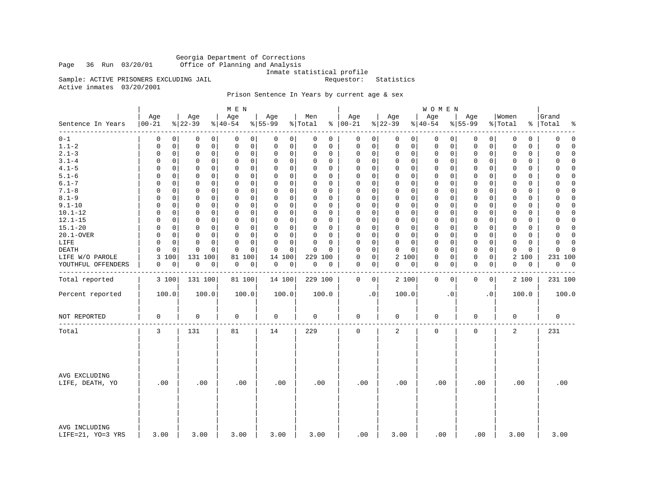Georgia Department of Corrections Office of Planning and Analysis

Inmate statistical profile<br>Requestor: Statistics

Active inmates 03/20/2001

Sample: ACTIVE PRISONERS EXCLUDING JAIL

# Prison Sentence In Years by current age & sex

|                                    |                   |                  | M E N               |                    |                     |                   |                 | WOMEN            |                    |                        |                      |
|------------------------------------|-------------------|------------------|---------------------|--------------------|---------------------|-------------------|-----------------|------------------|--------------------|------------------------|----------------------|
| Sentence In Years<br>--------      | Age<br>$ 00 - 21$ | Age<br>$8 22-39$ | Age<br>$ 40-54$     | Age<br>$8155 - 99$ | Men<br>% Total      | Age<br>$% 100-21$ | Age<br>$ 22-39$ | Age<br>$ 40-54$  | Age<br>$8155 - 99$ | Women<br>% Total<br>နွ | Grand<br>Total<br>٩, |
| $0 - 1$                            | $\Omega$          | 0                | 0                   | 0                  | $\Omega$            | 0                 | 0               | 0                | 0                  | 0                      | $\mathbf 0$          |
|                                    | 0                 | 0                | 0                   | 0                  | 0                   | 0                 | 0               | 0                | 0                  | 0                      | 0                    |
| $1.1 - 2$                          | 0                 | $\mathbf 0$      | $\mathbf 0$         | 0                  | 0                   | 0                 | $\mathbf 0$     | 0                | 0                  | $\mathbf 0$            | 0                    |
|                                    | 0                 | 0                | 0                   | 0                  | 0                   | 0                 | 0               | 0                | 0                  | 0                      | $\Omega$             |
| $2.1 - 3$                          | 0                 | $\mathbf 0$      | $\mathbf 0$         | 0                  | 0                   | 0                 | $\mathbf 0$     | 0                | $\mathbf 0$        | 0                      | $\Omega$             |
|                                    | 0                 | 0                | 0                   | 0                  | 0                   | 0                 | 0               | 0                | 0                  | $\mathbf 0$            | 0                    |
| $3.1 - 4$                          | $\Omega$          | 0                | $\Omega$            | 0                  | $\Omega$            | $\mathbf 0$       | $\mathbf 0$     | 0                | $\mathbf 0$        | $\Omega$               | $\Omega$             |
|                                    | $\Omega$          | 0                | $\Omega$            | 0                  | $\Omega$            | 0                 | $\mathbf 0$     | 0                | 0                  | 0                      | $\Omega$             |
| $4.1 - 5$                          | $\Omega$          | $\mathbf 0$      | $\mathbf 0$         | $\mathbf 0$        | $\Omega$            | 0                 | $\mathbf 0$     | $\mathbf 0$      | $\mathbf 0$        | $\mathbf 0$            | $\Omega$             |
|                                    | 0                 | 0                | $\mathbf 0$         | 0                  | 0                   | 0                 | $\mathbf 0$     | 0                | 0                  | 0                      | 0                    |
| $5.1 - 6$                          | $\Omega$          | 0                | $\Omega$            | 0                  | $\Omega$            | $\mathbf 0$       | $\mathbf 0$     | 0                | $\mathbf 0$        | 0                      | $\Omega$             |
|                                    | $\Omega$          | $\Omega$         | 0                   | 0                  | $\Omega$            | $\Omega$          | 0               | 0                | 0                  | $\Omega$               | 0                    |
| $6.1 - 7$                          | $\Omega$          | $\mathbf 0$      | $\mathbf 0$         | $\Omega$           | $\Omega$            | $\mathbf 0$       | $\Omega$        | $\mathbf 0$      | $\mathbf 0$        | $\mathbf 0$            | $\Omega$             |
|                                    | $\Omega$          | 0                | $\Omega$            | $\mathbf 0$        | 0                   | $\mathbf 0$       | $\mathbf 0$     | $\mathbf 0$      | $\mathbf 0$        | $\mathbf 0$            | $\Omega$             |
| $7.1 - 8$                          | $\Omega$          | 0                | 0                   | 0                  | $\Omega$            | $\mathbf 0$       | $\mathbf 0$     | 0                | $\mathbf 0$        | $\Omega$               | 0                    |
|                                    | $\Omega$          | 0                | 0                   | 0                  | $\Omega$            | $\Omega$          | $\mathbf 0$     | 0                | 0                  | $\Omega$               | $\Omega$             |
| $8.1 - 9$                          | 0                 | $\mathbf 0$      | $\mathbf 0$         | $\Omega$           | 0                   | $\mathbf 0$       | $\mathbf 0$     | 0                | $\mathbf 0$        | $\mathbf 0$            | $\Omega$             |
|                                    | 0                 | 0                | 0                   | 0                  | 0                   | 0                 | 0               | 0                | 0                  | $\mathbf 0$            | 0                    |
| $9.1 - 10$                         | $\Omega$          | 0                | $\mathbf 0$         | 0                  | $\Omega$            | $\mathbf 0$       | $\mathbf 0$     | $\mathbf 0$      | $\mathbf 0$        | $\mathbf 0$            | 0                    |
|                                    | 0                 | 0                | $\Omega$            | $\mathbf 0$        | 0                   | 0                 | $\mathbf 0$     | 0                | 0                  | 0                      | $\Omega$             |
| $10.1 - 12$                        | 0                 | 0                | 0                   | 0                  | $\Omega$            | 0                 | $\mathbf 0$     | 0                | $\mathbf 0$        | 0                      | 0                    |
|                                    | 0                 | 0                | 0                   | 0                  | $\Omega$            | 0                 | $\mathbf 0$     | 0                | 0                  | 0                      | $\Omega$             |
| $12.1 - 15$                        | $\Omega$          | 0                | $\mathbf 0$         | 0                  | $\Omega$            | $\mathbf 0$       | $\mathbf 0$     | 0                | $\mathbf 0$        | 0                      | $\mathbf 0$          |
|                                    | 0                 | 0                | 0                   | 0                  | 0                   | 0                 | $\mathbf 0$     | 0                | 0                  | 0                      | 0                    |
| $15.1 - 20$                        | $\Omega$          | 0                | $\Omega$            | 0                  | $\Omega$            | $\mathbf 0$       | $\mathbf 0$     | $\mathbf 0$      | 0                  | $\mathbf 0$            | $\Omega$             |
|                                    | $\Omega$          | 0                | $\Omega$            | $\mathbf 0$        | $\Omega$            | 0                 | $\mathbf 0$     | 0                | 0                  | 0                      | $\Omega$             |
| 20.1-OVER                          | 0                 | 0                | $\mathbf 0$         | 0                  | 0                   | 0                 | $\mathbf 0$     | 0                | 0                  | $\mathbf 0$            | 0                    |
|                                    | 0                 | 0                | 0                   | 0                  | 0                   | 0                 | $\mathbf 0$     | 0                | 0                  | 0                      | $\Omega$             |
| LIFE                               | $\Omega$          | 0                | $\Omega$            | 0                  | $\Omega$            | 0                 | $\mathbf 0$     | 0                | $\mathbf 0$        | 0                      | $\Omega$             |
|                                    | 0                 | 0                | 0                   | $\mathbf 0$        | $\Omega$            | $\Omega$          | 0               | 0                | 0                  | 0                      | $\Omega$             |
| DEATH                              | $\Omega$          | $\mathbf 0$      | $\Omega$            | $\mathbf 0$        | $\Omega$            | $\Omega$          | $\mathbf 0$     | $\mathbf 0$      | $\mathbf 0$        | $\mathbf 0$            | $\Omega$             |
|                                    | $\Omega$          | 0                | $\Omega$            | 0                  | $\Omega$            | $\mathbf 0$       | $\Omega$        | 0                | 0                  | $\mathbf 0$            | $\Omega$             |
| LIFE W/O PAROLE                    | 3<br>100          | 131 100          | 81<br>100           | 14<br>100          | 229 100             | 0<br>0            | 2 100           | 0<br>0           | 0<br>0             | 2<br>100               | 231 100              |
| YOUTHFUL OFFENDERS                 | 0                 | 0                | $\mathsf{O}\xspace$ | 0                  | $\mathsf{O}\xspace$ | $\mathbf 0$       | 0               | 0                | $\mathbf 0$        | 0                      | 0                    |
|                                    | 0                 | $\mathbf 0$      | 0                   | 0                  | 0                   | 0                 | 0               | 0                | 0                  | 0                      | $\overline{0}$       |
|                                    |                   |                  |                     |                    |                     |                   |                 |                  |                    |                        |                      |
| Total reported                     | 3 100             | 131 100          | 81 100              | 14 100             | 229 100             | 0<br>0            | 2 100           | $\mathbf 0$<br>0 | 0<br>0             | 2 100                  | 231 100              |
| Percent reported                   | 100.0             | 100.0            | 100.0               | 100.0              | 100.0               | $\cdot$ 0         | 100.0           | $\cdot$ 0        | . 0                | 100.0                  | 100.0                |
| NOT REPORTED                       | $\mathbf 0$       | 0                | 0                   | $\mathbf 0$        | $\mathbf 0$         | 0                 | $\mathbf 0$     | 0                | $\mathbf 0$        | 0                      | $\mathbf 0$          |
| Total                              | 3                 | 131              | 81                  | 14                 | 229                 | 0                 | 2               | 0                | $\mathsf 0$        | 2                      | 231                  |
| AVG EXCLUDING<br>LIFE, DEATH, YO   | .00               | .00              | .00                 | .00                | .00                 | .00               | .00             | .00              | .00                | .00                    | .00                  |
| AVG INCLUDING<br>LIFE=21, YO=3 YRS | 3.00              | 3.00             | 3.00                | 3.00               | 3.00                | .00               | 3.00            | .00              | .00                | 3.00                   | 3.00                 |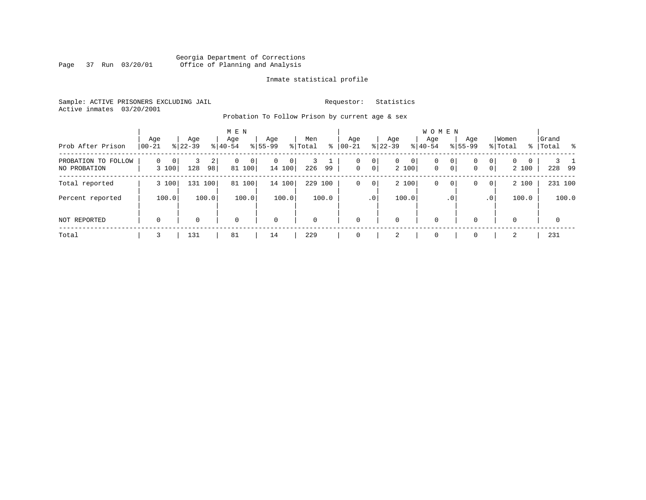# Georgia Department of Corrections Page 37 Run 03/20/01 Office of Planning and Analysis

#### Inmate statistical profile

Sample: ACTIVE PRISONERS EXCLUDING JAIL **Requestor:** Statistics Active inmates 03/20/2001

Probation To Follow Prison by current age & sex

| Prob After Prison                   | Age<br>$ 00-21$ | Age<br>$ 22-39 $ |         | M E N<br>Age<br>$8 40-54$ |                          | Age<br>$8155 - 99$ |              | Men<br>% Total | ႜ     | Age<br>$00 - 21$ |                      | Age<br>$ 22-39 $ |             | <b>WOMEN</b><br>Aqe<br>$8 40-54$ |                                  | Age<br>$8155 - 99$ |                     | Women<br>% Total |                       | Grand<br>%   Total |              | း - မွ |
|-------------------------------------|-----------------|------------------|---------|---------------------------|--------------------------|--------------------|--------------|----------------|-------|------------------|----------------------|------------------|-------------|----------------------------------|----------------------------------|--------------------|---------------------|------------------|-----------------------|--------------------|--------------|--------|
| PROBATION TO FOLLOW<br>NO PROBATION | 0<br>3 100      | 0<br>128         | 2<br>98 | $\Omega$                  | 0 <sup>1</sup><br>81 100 | 0                  | 0 <br>14 100 | 226            | 99    | 0<br>$\mathbf 0$ | $\overline{0}$<br> 0 | $\mathbf{0}$     | 0 <br>2 100 | $\mathbf 0$<br>$\mathbf 0$       | 0 <sup>1</sup><br>0 <sup>1</sup> | 0<br>$\mathbf{0}$  | 0<br>0 <sup>1</sup> | $\mathbf{0}$     | $\mathbf{0}$<br>2 100 |                    | 228 99       |        |
| Total reported                      | 3 100           |                  | 131 100 | 81                        | 100                      |                    | 14 100       | 229            | 100   | 0                | $\circ$              |                  | 2 100       | 0                                | 0 <sup>1</sup>                   | 0                  | 0                   |                  | 2 100                 |                    | 231 100      |        |
| Percent reported                    | 100.0           |                  | 100.0   |                           | 100.0                    |                    | 100.0        |                | 100.0 |                  | .0 <sup>1</sup>      |                  | 100.0       |                                  | .0 <sup>1</sup>                  |                    | $\cdot$ 0           |                  | 100.0                 |                    |              | 100.0  |
| NOT REPORTED                        | $\mathbf 0$     | 0                |         | $\mathbf 0$               |                          | $\mathbf 0$        |              | 0              |       | $\Omega$         |                      | 0                |             | $\mathbf 0$                      |                                  | 0                  |                     | 0                |                       |                    | $\mathbf{0}$ |        |
| Total                               |                 | 131              |         | 81                        |                          | 14                 |              | 229            |       |                  |                      | 2                |             | $\Omega$                         |                                  |                    |                     | 2                |                       |                    | 231          |        |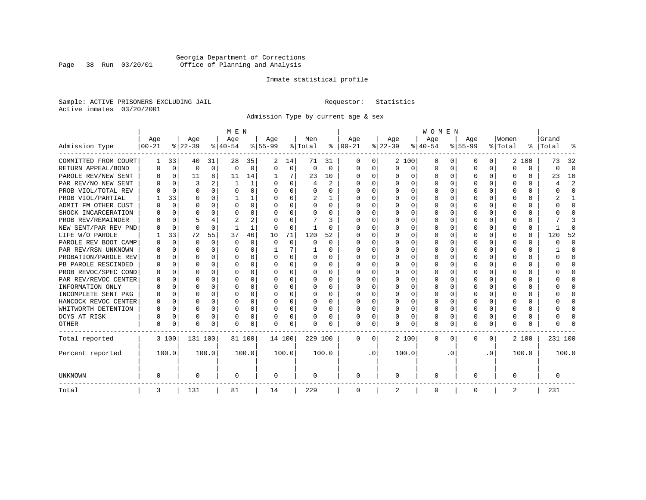# Georgia Department of Corrections Page 38 Run 03/20/01 Office of Planning and Analysis

#### Inmate statistical profile

Sample: ACTIVE PRISONERS EXCLUDING JAIL **Requestor:** Statistics Active inmates 03/20/2001

Admission Type by current age & sex

|                      |           |             |          |              | M E N     |          |           |          |          |              |          |           |          |          | <b>WOMEN</b> |          |              |              |         |          |         |                         |
|----------------------|-----------|-------------|----------|--------------|-----------|----------|-----------|----------|----------|--------------|----------|-----------|----------|----------|--------------|----------|--------------|--------------|---------|----------|---------|-------------------------|
|                      | Age       |             | Age      |              | Age       |          | Aqe       |          | Men      |              | Age      |           | Age      |          | Age          |          | Aqe          |              | Women   |          | Grand   |                         |
| Admission Type       | $00 - 21$ |             | $ 22-39$ |              | $ 40-54 $ |          | $8 55-99$ |          | % Total  | ႜ            | $ 00-21$ |           | $ 22-39$ |          | $ 40-54$     |          | $8 55-99$    |              | % Total | ွေ       | Total   |                         |
| COMMITTED FROM COURT | 1         | 33          | 40       | 31           | 28        | 35       | 2         | 14       | 71       | 31           | 0        | 0         |          | 2 100    | 0            | U        | 0            | 0            |         | 2 100    | 73      | 32                      |
| RETURN APPEAL/BOND   | 0         | $\mathbf 0$ | 0        | $\mathbf 0$  | $\Omega$  | 0        | $\Omega$  | 0        | $\Omega$ | $\Omega$     | 0        | 0         | $\Omega$ | 0        | 0            | $\Omega$ | <sup>0</sup> | $\Omega$     | O       | 0        | U       | $\Omega$                |
| PAROLE REV/NEW SENT  | O         | $\Omega$    | 11       | 8            | 11        | 14       |           |          | 23       | 10           | $\Omega$ | 0         | ∩        | $\Omega$ | 0            | $\Omega$ | $\cap$       | 0            | U       | U        | 23      | 10                      |
| PAR REV/NO NEW SENT  | n         | $\Omega$    | 3        |              |           | 1        |           | $\Omega$ | 4        | $\mathbf{2}$ | $\Omega$ | 0         | ∩        | $\Omega$ | O            | C        | ∩            | <sup>n</sup> | U       | O        |         | $\overline{\mathbf{c}}$ |
| PROB VIOL/TOTAL REV  |           | $\Omega$    | $\Omega$ | $\Omega$     | $\Omega$  | 0        |           | $\Omega$ | $\Omega$ | O            | n        | O         | $\Omega$ | $\Omega$ | 0            | C        | <sup>0</sup> | <sup>n</sup> | O       | O        |         | <sup>0</sup>            |
| PROB VIOL/PARTIAL    |           | 33          | O        | 0            |           | 1        |           | $\Omega$ | 2        |              | O        | 0         | O        | $\Omega$ | O            | C        |              |              |         | U        |         |                         |
| ADMIT FM OTHER CUST  | O         | $\Omega$    | O        | 0            | O         | 0        | O         | $\Omega$ | O        | 0            | $\Omega$ | 0         | O        | $\Omega$ | O            | O        | O            | 0            | O       | U        |         | <sup>0</sup>            |
| SHOCK INCARCERATION  |           | 0           | U        | 0            | O         | 0        | ∩         | $\Omega$ | O        | U            | $\Omega$ | 0         | O        | $\Omega$ | 0            | C        | <sup>0</sup> | 0            | U       | 0        |         | ∩                       |
| PROB REV/REMAINDER   |           | $\mathbf 0$ |          |              | 2         | 2        |           | $\Omega$ | 7        | 3            | $\Omega$ | 0         | $\Omega$ | $\Omega$ | 0            | $\Omega$ | ∩            | $\Omega$     | U       | 0        |         |                         |
| NEW SENT/PAR REV PND |           | $\Omega$    | $\Omega$ | $\Omega$     |           | 1        | $\Omega$  | $\Omega$ |          | U            | $\Omega$ | 0         | $\Omega$ | $\Omega$ | 0            | C        | <sup>0</sup> | 0            |         | $\Omega$ |         | ſ                       |
| LIFE W/O PAROLE      |           | 33          | 72       | 55           | 37        | 46       | 10        | 71       | 120      | 52           |          | O         |          | $\Omega$ | 0            | O        |              | $\Omega$     | O       | $\Omega$ | 120     | 52                      |
| PAROLE REV BOOT CAMP |           | $\Omega$    | $\Omega$ | $\Omega$     | $\Omega$  | $\Omega$ | $\Omega$  | $\Omega$ | 0        | $\Omega$     | 0        | O         |          | $\Omega$ | 0            | $\Omega$ |              |              |         | $\Omega$ | ი       | $\Omega$                |
| PAR REV/RSN UNKNOWN  |           | $\Omega$    | O        | $\Omega$     | O         | 0        |           | 7        |          | 0            | 0        | O         |          | $\Omega$ | 0            | $\Omega$ |              | 0            | O       | 0        |         | <sup>0</sup>            |
| PROBATION/PAROLE REV |           | $\Omega$    | U        | $\Omega$     | O         | 0        |           | $\Omega$ | 0        | 0            | O        | $\Omega$  | O        | $\Omega$ | 0            | $\Omega$ |              | <sup>n</sup> | O       | 0        | U       | ∩                       |
| PB PAROLE RESCINDED  |           | $\Omega$    | U        | $\Omega$     | O         | 0        |           | $\Omega$ | 0        | 0            | n        | 0         | O        | $\Omega$ | 0            | O        | n            | 0            | U       | U        |         | n                       |
| PROB REVOC/SPEC COND | n         | 0           | U        | <sup>n</sup> | n         | U        |           | ∩        | 0        | U            | $\Omega$ | U         | ∩        | ∩        | U            | C        | ∩            | <sup>n</sup> |         | 0        |         | ∩                       |
| PAR REV/REVOC CENTER | O         | 0           | U        | 0            | n         | 0        |           | $\Omega$ | 0        | O            | $\Omega$ | U         | $\Omega$ | $\Omega$ | U            | C        | ∩            | <sup>n</sup> | Λ       | 0        |         | ∩                       |
| INFORMATION ONLY     |           | $\mathbf 0$ | U        | $\Omega$     | O         | 0        |           | $\Omega$ | 0        |              | n        | O         | O        | $\Omega$ | 0            | C        |              | 0            |         | 0        |         | ∩                       |
| INCOMPLETE SENT PKG  | O         | 0           | U        | $\Omega$     | O         | 0        |           | $\Omega$ | 0        | 0            | $\Omega$ | O         |          | $\Omega$ | 0            | O        |              | 0            |         | 0        |         | <sup>0</sup>            |
| HANCOCK REVOC CENTER | 0         | 0           | U        | $\Omega$     | O         | 0        |           | $\Omega$ | 0        | 0            | $\Omega$ | 0         | O        | $\Omega$ | 0            | 0        | O            | 0            | O       | 0        |         | ∩                       |
| WHITWORTH DETENTION  | O         | $\Omega$    | U        | $\Omega$     | O         | 0        | ∩         | $\Omega$ | 0        | 0            | $\Omega$ | 0         | O        | $\Omega$ | 0            | $\Omega$ | ∩            | $\Omega$     | U       | 0        |         | ∩                       |
| DCYS AT RISK         | O         | 0           | O        | $\Omega$     | O         | 0        |           | $\Omega$ | O        | O            | $\Omega$ | 0         | $\Omega$ | $\Omega$ | O            | $\Omega$ | <sup>0</sup> | 0            | Ω       | 0        |         | ſ                       |
| <b>OTHER</b>         | 0         | 0           | $\Omega$ | 0            | O         | 0        | $\Omega$  | 0        | N        | O            | $\Omega$ | 0         | $\Omega$ | 0        | 0            | $\Omega$ | $\Omega$     | 0            | O       | U        |         |                         |
| Total reported       |           | 3 100       | 131 100  |              | 81 100    |          | 14 100    |          | 229 100  |              | 0        | 0         |          | 2 100    | 0            | $\Omega$ | $\Omega$     | 0            |         | 2 100    | 231 100 |                         |
| Percent reported     |           | 100.0       |          | 100.0        |           | 100.0    |           | 100.0    |          | 100.0        |          | $\cdot$ 0 |          | 100.0    |              | . 0      |              | $\cdot$ 0    |         | 100.0    |         | 100.0                   |
| <b>UNKNOWN</b>       | 0         |             | 0        |              | 0         |          | 0         |          | 0        |              | 0        |           | 0        |          | 0            |          | 0            |              | O       |          | 0       |                         |
| Total                | 3         |             | 131      |              | 81        |          | 14        |          | 229      |              | 0        |           | 2        |          | 0            |          | 0            |              | 2       |          | 231     |                         |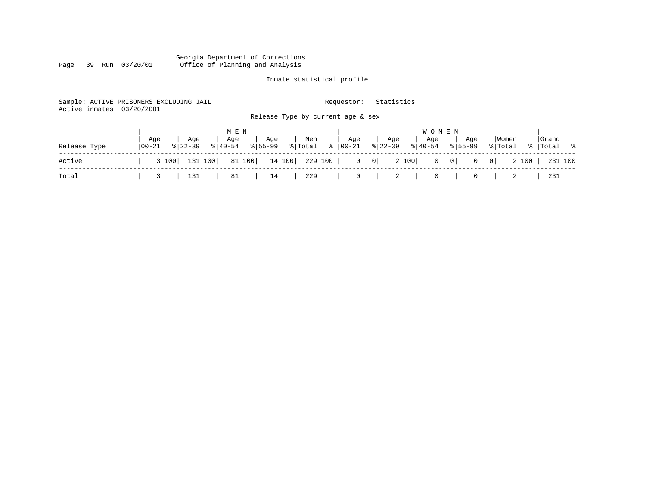#### Georgia Department of Corrections Page 39 Run 03/20/01 Office of Planning and Analysis

# Inmate statistical profile

| Active inmates | Sample: ACTIVE PRISONERS EXCLUDING JAIL<br>03/20/2001 |                                             | Statistics<br>Requestor:                                                                      |                                            |
|----------------|-------------------------------------------------------|---------------------------------------------|-----------------------------------------------------------------------------------------------|--------------------------------------------|
|                |                                                       | Release Type by current age & sex           |                                                                                               |                                            |
|                |                                                       | M E N                                       | W O M E N                                                                                     |                                            |
| Release Type   | Age<br>Age<br>$8122 - 39$<br>  00-21<br>$8140 - 54$   | Age<br>Men<br>Age<br>$8155 - 99$<br>% Total | Age<br>Age<br>Age<br>Aqe<br>$8 22-39$<br>$\frac{1}{6}$ 00-21<br>$8155 - 99$<br>$8 40-54$      | Grand<br>  Women<br>% Total<br>%   Total % |
| Active         | 131 100<br>3 100                                      | 81 100<br>14 100<br>229 100                 | 2 100<br>$\overline{0}$<br>$\begin{array}{c c} 0 \end{array}$<br>$0 \qquad 0$<br>$\mathbf{0}$ | 2 100<br>231 100<br>0 <sup>1</sup>         |
| Total          | 131                                                   | 229<br>81<br>14                             | $\mathbf{0}$<br>2<br>0<br>0                                                                   | 231                                        |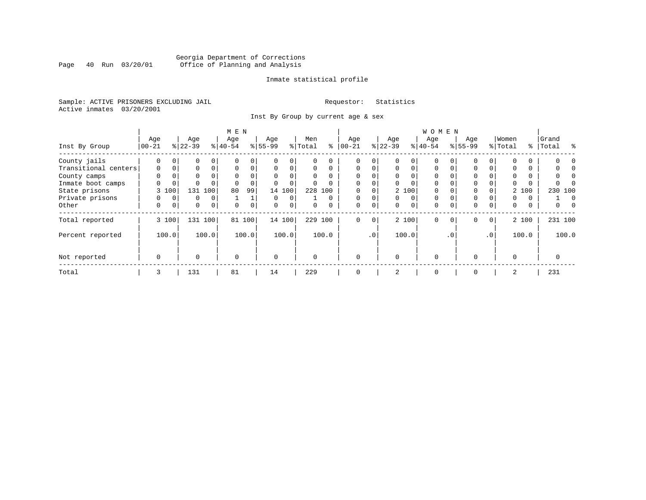# Georgia Department of Corrections<br>Page 40 Run 03/20/01 Office of Planning and Analysis Page 40 Run 03/20/01 Office of Planning and Analysis

#### Inmate statistical profile

Sample: ACTIVE PRISONERS EXCLUDING JAIL **Requestor:** Statistics Active inmates 03/20/2001

Inst By Group by current age & sex

|                      |             |          |             |                | M E N       |             |           |             |          |          |             |             |          |          | <b>WOMEN</b> |          |           |                 |          |       |                 |  |
|----------------------|-------------|----------|-------------|----------------|-------------|-------------|-----------|-------------|----------|----------|-------------|-------------|----------|----------|--------------|----------|-----------|-----------------|----------|-------|-----------------|--|
|                      | Age         |          | Age         |                | Age         |             | Age       |             | Men      |          | Age         |             | Age      |          | Age          |          | Age       |                 | Women    |       | Grand           |  |
| Inst By Group        | $00 - 21$   |          | $ 22-39 $   |                | $8 40-54$   |             | $8 55-99$ |             | % Total  | ႜ        | $ 00 - 21$  |             | $ 22-39$ |          | $8 40-54$    |          | $8 55-99$ |                 | % Total  |       | ွေ<br>%   Total |  |
| County jails         | $\Omega$    | $\Omega$ | 0           | $\Omega$       |             | 0           |           | $\Omega$    |          |          |             | 0           |          | $\Omega$ | $\Omega$     |          |           |                 |          |       |                 |  |
| Transitional centers | $\mathbf 0$ | 0        | 0           | $\Omega$       | $\Omega$    | 0           | $\Omega$  | $\Omega$    | $\Omega$ | $\Omega$ | $\mathbf 0$ | $\Omega$    | $\Omega$ | $\Omega$ | $\Omega$     | $\Omega$ | $\Omega$  |                 |          | 0     |                 |  |
| County camps         | $\Omega$    |          | 0           |                | $\Omega$    | 0           | $\Omega$  |             | $\Omega$ | $\Omega$ |             |             | $\Omega$ |          | $\Omega$     |          | $\Omega$  |                 | $\Omega$ |       |                 |  |
| Inmate boot camps    | 0           | 0        | $\Omega$    |                |             | $\Omega$    |           | $\Omega$    | $\Omega$ |          | $\Omega$    |             | $\Omega$ |          | $\Omega$     |          | $\Omega$  |                 |          |       |                 |  |
| State prisons        |             | 3 100    |             | 131 100        | 80          | 99          |           | 14 100      | 228      | 100      |             |             |          | 2 100    | $\Omega$     |          | 0         |                 |          | 2 100 | 230 100         |  |
| Private prisons      | 0           | $\Omega$ | 0           | 0              |             |             | $\Omega$  | $\Omega$    |          | $\Omega$ | $\mathbf 0$ | $\Omega$    | $\Omega$ | $\Omega$ | $\Omega$     |          | $\Omega$  |                 | 0        | 0     | $\Omega$        |  |
| Other                | 0           | 0        | $\mathbf 0$ | $\overline{0}$ | $\Omega$    | $\mathbf 0$ | $\Omega$  | $\mathbf 0$ | $\Omega$ | $\Omega$ | $\mathbf 0$ | 0           | 0        | 0        | $\mathbf 0$  | $\Omega$ | 0         | $\Omega$        | 0        | 0     | 0               |  |
| Total reported       |             | 3 100    |             | 131 100        | 81          | 100         |           | 14 100      |          | 229 100  | $\mathbf 0$ | $\mathbf 0$ |          | 2 100    | $\Omega$     | $\Omega$ | $\Omega$  | $\circ$         |          | 2 100 | 231 100         |  |
| Percent reported     |             | 100.0    |             | 100.0          |             | 100.0       |           | 100.0       |          | 100.0    |             | $\cdot$ 0   |          | 100.0    |              | . 0      |           | .0 <sup>1</sup> |          | 100.0 | 100.0           |  |
| Not reported         | $\mathbf 0$ |          | $\Omega$    |                | $\mathbf 0$ |             | $\Omega$  |             | $\Omega$ |          | $\Omega$    |             | $\Omega$ |          | $\Omega$     |          | $\Omega$  |                 | $\Omega$ |       | 0               |  |
| Total                | 3           |          | 131         |                | 81          |             | 14        |             | 229      |          | $\Omega$    |             | 2        |          | $\mathbf 0$  |          | $\Omega$  |                 | 2        |       | 231             |  |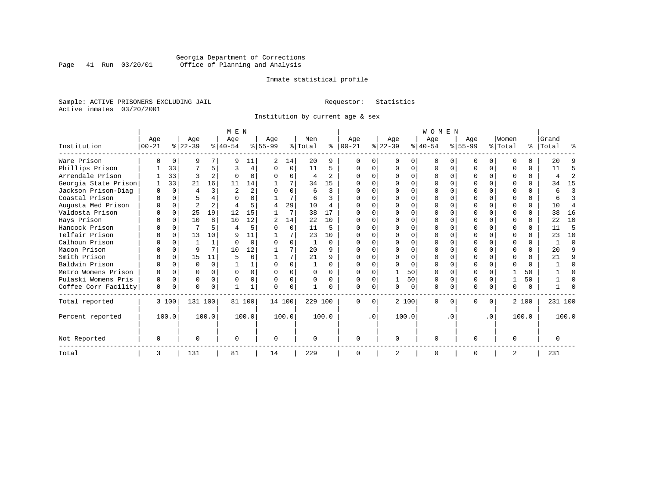# Georgia Department of Corrections<br>Page 41 Run 03/20/01 Office of Planning and Analysis Page 41 Run 03/20/01 Office of Planning and Analysis

#### Inmate statistical profile

Sample: ACTIVE PRISONERS EXCLUDING JAIL **Requestor:** Statistics Active inmates 03/20/2001

Institution by current age & sex

|                      |          |          |                |                | M E N         |                |           |          |                |                |          |           |              |       | <b>WOMEN</b> |              |          |           |          |          |           |                |
|----------------------|----------|----------|----------------|----------------|---------------|----------------|-----------|----------|----------------|----------------|----------|-----------|--------------|-------|--------------|--------------|----------|-----------|----------|----------|-----------|----------------|
|                      | Age      |          | Age            |                | Age           |                | Age       |          | Men            |                | Age      |           | Age          |       | Age          |              | Age      |           | Women    |          | Grand     |                |
| Institution          | $ 00-21$ |          | $ 22-39 $      |                | $8 40-54$     |                | $8 55-99$ |          | % Total        | ွေ             | $ 00-21$ |           | $ 22-39 $    |       | $ 40-54$     |              | $ 55-99$ |           | % Total  |          | %   Total | ႜ              |
| Ware Prison          | U        | $\Omega$ | 9              |                | Q             | 11             | 2         | 14       | 20             | 9              | U        |           | <sup>0</sup> | 0     | $\Omega$     | <sup>0</sup> | U        | $\Omega$  | ∩        | 0        | 20        |                |
| Phillips Prison      |          | 33       |                | 5.             | ₹             | 4              | U         | $\Omega$ | 11             | 5              |          |           |              | 0     |              | $\Omega$     |          | $\Omega$  | $\Omega$ | 0        | 11        |                |
| Arrendale Prison     |          | 33       | ς              | 2              |               | $\Omega$       | U         | O        | $\overline{4}$ | 2              |          |           |              | 0     |              | $\Omega$     | O        | 0         | $\Omega$ | 0        |           |                |
| Georgia State Prison |          | 33       | 21             | 16             | 11            | 14             |           | 7        | 34             | 15             |          |           |              | 0     |              | $\Omega$     |          |           | $\Omega$ | $\Omega$ | 34        | 15             |
| Jackson Prison-Diag  | U        | $\Omega$ | 4              | 3              | $\mathcal{L}$ | $\overline{2}$ | ∩         | U        | 6              | 3              |          |           |              |       |              | $\cap$       |          |           | $\Omega$ | $\Omega$ | 6         | 3              |
| Coastal Prison       |          |          |                |                |               |                |           | 7        | 6              |                |          |           |              |       |              |              |          |           |          | 0        |           | 3              |
| Augusta Med Prison   |          | $\Omega$ | $\overline{2}$ | $\overline{a}$ |               | 5.             |           | 29       | 10             | $\overline{4}$ |          |           |              | 0     |              |              |          |           | $\Omega$ | $\Omega$ | 10        | $\overline{4}$ |
| Valdosta Prison      |          | $\Omega$ | 25             | 19             | 12            | 15             |           | 7        | 38             | 17             |          |           |              | U     |              |              | $\cap$   |           | $\Omega$ | $\Omega$ | 38        | 16             |
| Hays Prison          |          | $\Omega$ | 10             | 8              | 10            | 12             |           | 14       | 22             | 10             |          |           |              | 0     |              | $\Omega$     |          | 0         | $\Omega$ | $\Omega$ | 22        | 10             |
| Hancock Prison       |          | $\cap$   | 7              |                | Δ             | 5              | ∩         | $\Omega$ | 11             | 5              |          |           | ∩            |       |              | $\cap$       |          |           | $\Omega$ | $\Omega$ | 11        | 5              |
| Telfair Prison       |          |          | 13             | 10             | q             | 11             |           |          | 23             | 10             |          |           |              |       |              |              |          |           | $\Omega$ | $\Omega$ | 23        | 10             |
| Calhoun Prison       |          |          |                | 1              | $\cap$        | $\Omega$       |           | 0        |                | $\Omega$       |          |           |              | 0     |              |              |          |           | $\Omega$ | 0        |           | $\Omega$       |
| Macon Prison         |          |          | 9              | 7              | 10            | 12             |           | 7        | 20             | 9              | U        |           | ∩            | 0     |              |              | $\cap$   |           | $\Omega$ | $\Omega$ | 2.0       |                |
| Smith Prison         |          | $\Omega$ | 15             | 11             |               | 6              |           | 7        | 21             | 9              |          |           |              |       |              |              |          |           | $\Omega$ | $\Omega$ | 21        |                |
| Baldwin Prison       |          | $\Omega$ | U              | $\Omega$       |               |                | U         | U        |                | $\Omega$       |          |           |              |       |              | $\Omega$     |          | 0         | $\Omega$ | $\Omega$ |           |                |
| Metro Womens Prison  |          |          |                | 0              |               |                | U         |          | $\Omega$       | $\Omega$       |          |           |              | 50    |              |              |          |           |          | 50       |           |                |
| Pulaski Womens Pris  | $\Omega$ | $\Omega$ |                | $\Omega$       |               | 0              |           | 0        |                | $\Omega$       |          |           |              | 50    |              | $\Omega$     | O        |           |          | 50       |           |                |
| Coffee Corr Facility | 0        | 0        | U              | 0              |               |                | U         | 0        |                |                | $\cap$   |           | <sup>n</sup> | 0     | $\Omega$     | $\Omega$     | $\Omega$ | 0         | $\Omega$ | $\Omega$ |           |                |
| Total reported       |          | 3 100    | 131 100        |                |               | 81 100         | 14 100    |          | 229 100        |                | $\Omega$ | $\Omega$  |              | 2 100 | $\Omega$     | $\Omega$     | $\Omega$ | 0         |          | 2 100    | 231 100   |                |
| Percent reported     |          | 100.0    |                | 100.0          |               | 100.0          |           | 100.0    |                | 100.0          |          | $\cdot$ 0 |              | 100.0 |              | $\cdot$ 0    |          | $\cdot$ 0 |          | 100.0    |           | 100.0          |
| Not Reported         | O        |          | U              |                | $\Omega$      |                | 0         |          | $\Omega$       |                | $\Omega$ |           | $\Omega$     |       | $\Omega$     |              | O        |           | $\Omega$ |          |           |                |
| Total                | 3        |          | 131            |                | 81            |                | 14        |          | 229            |                |          |           | 2            |       | $\Omega$     |              | $\Omega$ |           | 2        |          | 231       |                |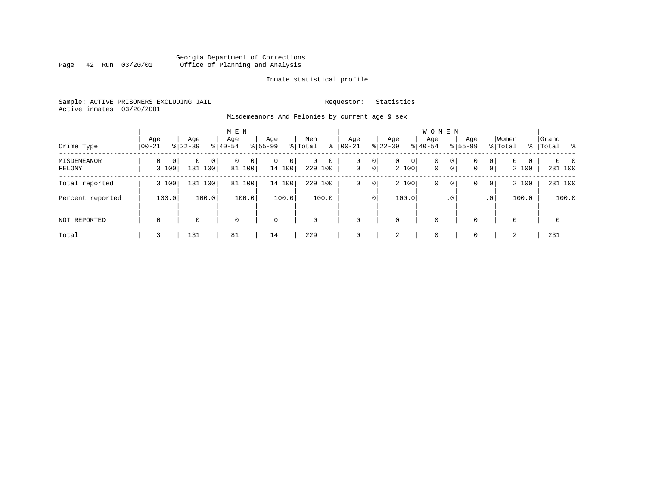### Georgia Department of Corrections Page 42 Run 03/20/01 Office of Planning and Analysis

#### Inmate statistical profile

Sample: ACTIVE PRISONERS EXCLUDING JAIL **Requestor:** Statistics Active inmates 03/20/2001

Misdemeanors And Felonies by current age & sex

| Crime Type                   | Aqe<br>$00 - 21$                 | Age<br>$8 22-39$           | M E N<br>Age<br>$8 40-54$ | Age<br>$8 55-99$            | Men<br>ွေ<br>% Total                | Age<br>$ 00-21$                                      | Age<br>$ 22-39 $             | <b>WOMEN</b><br>Aqe<br>$ 40-54$                     | Age<br>$8155 - 99$ | Women<br>% Total<br>$\frac{1}{6}$                  | Grand<br>Total<br>- 왕           |
|------------------------------|----------------------------------|----------------------------|---------------------------|-----------------------------|-------------------------------------|------------------------------------------------------|------------------------------|-----------------------------------------------------|--------------------|----------------------------------------------------|---------------------------------|
| <b>MISDEMEANOR</b><br>FELONY | $\Omega$<br>$\mathbf 0$<br>3 100 | $\Omega$<br> 0 <br>131 100 | 0 <br>81 100              | $\mathbf{0}$<br>0<br>14 100 | $\Omega$<br>$\mathbf{0}$<br>229 100 | 0 <sup>1</sup><br>0<br>$\mathbf 0$<br>0 <sup>1</sup> | $\overline{0}$<br>0<br>2 100 | $\mathbf{0}$<br>0<br>$\overline{0}$<br>$\mathbf{0}$ | 0<br>0             | 0 <br>$\mathbf{0}$<br>0<br>0 <sup>1</sup><br>2 100 | $\Omega$<br>$\Omega$<br>231 100 |
| Total reported               | 3 100                            | 131 100                    | 100<br>81                 | 14 100                      | 229 100                             | 0 <sup>1</sup><br>$\circ$                            | 2 100                        | 0<br>0                                              | 0                  | 2 100<br>0 <sup>1</sup>                            | 231 100                         |
| Percent reported             | 100.0                            | 100.0                      | 100.0                     | 100.0                       | 100.0                               | .0 <sup>1</sup>                                      | 100.0                        | . 0                                                 |                    | 100.0<br>.0 <sup>1</sup>                           | 100.0                           |
| NOT REPORTED                 | $\mathbf 0$                      | $\Omega$                   | $\Omega$                  | $\mathsf{O}$                | $\mathbf 0$                         | $\Omega$                                             | $\mathbf 0$                  | 0                                                   | $\mathbf 0$        | $\mathbf 0$                                        | $\mathbf{0}$                    |
| Total                        | 3                                | 131                        | 81                        | 14                          | 229                                 |                                                      | 2                            | 0                                                   | $\mathbf 0$        | $\overline{2}$                                     | 231                             |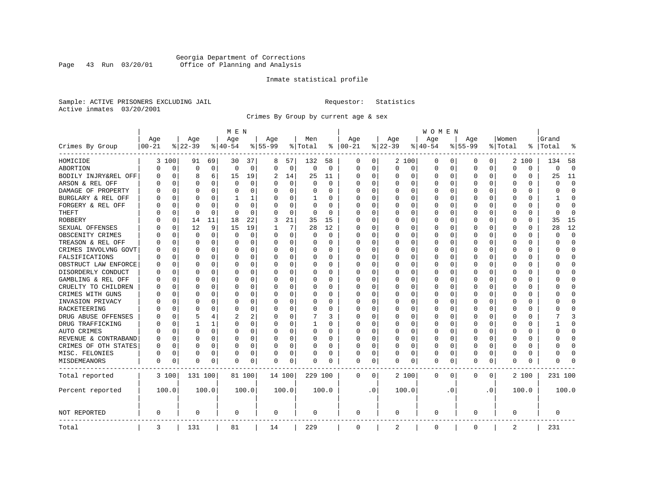# Georgia Department of Corrections<br>Page 43 Run 03/20/01 Office of Planning and Analysis Page 43 Run 03/20/01 Office of Planning and Analysis

#### Inmate statistical profile

Sample: ACTIVE PRISONERS EXCLUDING JAIL **Requestor:** Statistics Active inmates 03/20/2001

Crimes By Group by current age & sex

|                      | M E N      |             |          |              |             |          |           |             |             |          |              | W O M E N |             |          |              |             |           |           |          |          |                |             |  |  |  |
|----------------------|------------|-------------|----------|--------------|-------------|----------|-----------|-------------|-------------|----------|--------------|-----------|-------------|----------|--------------|-------------|-----------|-----------|----------|----------|----------------|-------------|--|--|--|
|                      | Age        |             | Age      |              | Age         |          | Age       |             | Men         |          | Age          |           | Age         |          | Age          |             | Age       |           | Women    |          | Grand          |             |  |  |  |
| Crimes By Group      | $ 00 - 21$ |             | $ 22-39$ |              | $ 40-54$    |          | $8 55-99$ |             | % Total     | ႜ        | $ 00-21$     |           | $ 22-39$    |          | $ 40-54 $    |             | $8 55-99$ |           | % Total  | ⊱        | Total          | 읏           |  |  |  |
| HOMICIDE             |            | 3 100       | 91       | 69           | 30          | 37       | 8         | 57          | 132         | 58       | 0            | 0         |             | 2 100    | 0            | 0           | 0         | 0         |          | 2 100    | 134            | 58          |  |  |  |
| ABORTION             | O          | 0           | $\Omega$ | $\mathbf 0$  | $\mathbf 0$ | 0        | $\Omega$  | $\mathbf 0$ | $\mathbf 0$ | 0        | $\mathbf 0$  | 0         | $\mathbf 0$ | 0        | 0            | 0           | $\Omega$  | 0         | $\Omega$ | 0        | $\Omega$       | $\mathbf 0$ |  |  |  |
| BODILY INJRY&REL OFF | 0          | 0           | 8        | 6            | 15          | 19       | 2         | 14          | 25          | 11       | 0            | 0         | 0           | 0        | 0            | 0           | $\Omega$  | 0         | O        | 0        | 25             | 11          |  |  |  |
| ARSON & REL OFF      | U          | $\Omega$    | $\Omega$ | $\Omega$     | $\Omega$    | 0        |           | $\Omega$    | $\Omega$    | $\Omega$ | $\Omega$     | $\Omega$  | 0           | $\Omega$ | $\Omega$     | $\Omega$    | $\Omega$  | $\Omega$  | C        | O        | $\Omega$       | $\Omega$    |  |  |  |
| DAMAGE OF PROPERTY   | U          | $\Omega$    | $\Omega$ | 0            | $\Omega$    | 0        | $\Omega$  | 0           | 0           | 0        | $\Omega$     | $\Omega$  | $\Omega$    | $\Omega$ | $\Omega$     | 0           | $\Omega$  | $\Omega$  | C        | 0        | $\Omega$       | $\Omega$    |  |  |  |
| BURGLARY & REL OFF   | 0          | $\mathbf 0$ | $\Omega$ | 0            | 1           | 1        |           | 0           | 1           | 0        | $\Omega$     | 0         | 0           | 0        | 0            | $\mathbf 0$ | $\Omega$  | 0         | O        | 0        | 1              | $\mathbf 0$ |  |  |  |
| FORGERY & REL OFF    |            | $\Omega$    | $\Omega$ | $\Omega$     | $\Omega$    | 0        |           | 0           | $\Omega$    | $\Omega$ | $\Omega$     | $\Omega$  | $\Omega$    | $\Omega$ | 0            | $\Omega$    | $\Omega$  | $\Omega$  | O        | 0        | $\overline{0}$ | $\Omega$    |  |  |  |
| THEFT                | U          | $\Omega$    | $\Omega$ | $\Omega$     | $\Omega$    | $\Omega$ | ∩         | $\Omega$    | 0           | $\Omega$ | $\Omega$     | $\Omega$  | 0           | 0        | 0            | $\Omega$    | $\Omega$  | $\Omega$  | C        | 0        | $\Omega$       | $\Omega$    |  |  |  |
| <b>ROBBERY</b>       | O          | 0           | 14       | 11           | 18          | 22       | 3         | 21          | 35          | 15       | $\Omega$     | $\Omega$  | $\Omega$    | $\Omega$ | 0            | 0           | $\Omega$  | $\Omega$  | O        | 0        | 35             | 15          |  |  |  |
| SEXUAL OFFENSES      | U          | $\Omega$    | 12       | 9            | 15          | 19       |           | 7           | 28          | 12       | $\Omega$     | $\Omega$  | U           | $\Omega$ | $\Omega$     | $\Omega$    | $\Omega$  | $\Omega$  | C        | 0        | 28             | 12          |  |  |  |
| OBSCENITY CRIMES     |            | $\Omega$    | $\Omega$ | $\Omega$     | $\Omega$    | 0        | $\Omega$  | 0           | 0           | $\Omega$ | $\Omega$     | $\Omega$  | O           | $\Omega$ | 0            | $\Omega$    | $\Omega$  | $\Omega$  | C        | 0        | <sup>0</sup>   | $\mathbf 0$ |  |  |  |
| TREASON & REL OFF    |            | $\mathbf 0$ | $\Omega$ | $\Omega$     | 0           | 0        | $\Omega$  | $\mathbf 0$ | 0           | 0        | $\Omega$     | $\Omega$  | 0           | 0        | Ω            | 0           | $\Omega$  | $\Omega$  | O        | 0        | O              | $\mathbf 0$ |  |  |  |
| CRIMES INVOLVNG GOVT | O          | $\Omega$    | $\Omega$ | 0            | $\Omega$    | 0        |           | $\Omega$    | 0           | $\Omega$ | $\Omega$     | $\Omega$  | O           | $\Omega$ | U            | $\Omega$    | $\Omega$  | $\Omega$  | C        | $\Omega$ | O              | $\Omega$    |  |  |  |
| FALSIFICATIONS       | O          | $\Omega$    | $\Omega$ | 0            | $\Omega$    | 0        |           | 0           | 0           | 0        | $\Omega$     | $\Omega$  | $\Omega$    | 0        | 0            | 0           | $\Omega$  | $\Omega$  | O        | 0        | U              | $\mathbf 0$ |  |  |  |
| OBSTRUCT LAW ENFORCE | U          | $\Omega$    | $\Omega$ | <sup>0</sup> | $\Omega$    | 0        |           | $\Omega$    | 0           | 0        | $\Omega$     | 0         | U           | $\Omega$ | U            | $\Omega$    | $\Omega$  | $\Omega$  | O        | U        |                | $\bigcap$   |  |  |  |
| DISORDERLY CONDUCT   | U          | $\Omega$    | ∩        | <sup>0</sup> | $\Omega$    | 0        |           | $\Omega$    | 0           | O        | $\Omega$     | 0         | U           | O        | U            | $\Omega$    | $\Omega$  | $\Omega$  | C        | 0        |                | $\Omega$    |  |  |  |
| GAMBLING & REL OFF   | O          | $\Omega$    | $\Omega$ | $\Omega$     | $\Omega$    | 0        |           | 0           | 0           | 0        | $\Omega$     | $\Omega$  | U           | $\Omega$ | 0            | O           | $\Omega$  | $\Omega$  | C        | 0        |                | $\Omega$    |  |  |  |
| CRUELTY TO CHILDREN  | Ω          | $\Omega$    | $\Omega$ | $\Omega$     | 0           | 0        |           | $\mathbf 0$ | 0           | 0        | $\Omega$     | 0         | 0           | 0        | 0            | 0           | $\Omega$  | 0         | O        | 0        |                | $\bigcap$   |  |  |  |
| CRIMES WITH GUNS     | U          | $\Omega$    | $\Omega$ | 0            | $\Omega$    | 0        |           | 0           | 0           | 0        | $\Omega$     | 0         | 0           | 0        | 0            | $\Omega$    | $\Omega$  | $\Omega$  | C        | 0        |                | $\Omega$    |  |  |  |
| INVASION PRIVACY     | U          | 0           | $\Omega$ | 0            | 0           | 0        |           | 0           | 0           | 0        | $\Omega$     | 0         | 0           | 0        | 0            | 0           | $\Omega$  | $\Omega$  | O        | 0        |                | $\Omega$    |  |  |  |
| RACKETEERING         | U          | $\Omega$    | $\Omega$ | 0            | $\Omega$    | 0        |           | 0           | $\Omega$    | O        | $\Omega$     | $\Omega$  | U           | $\Omega$ | $\Omega$     | $\Omega$    | $\Omega$  | $\Omega$  | C        | 0        |                | $\cap$      |  |  |  |
| DRUG ABUSE OFFENSES  | O          | $\Omega$    | 5        | 4            | 2           | 2        |           | 0           | 7           | 3        | $\Omega$     | $\Omega$  | U           | $\Omega$ | $\Omega$     | $\Omega$    | $\Omega$  | $\Omega$  | C        | 0        |                | ₹           |  |  |  |
| DRUG TRAFFICKING     | Ω          | $\Omega$    |          |              | $\Omega$    | 0        | $\Omega$  | $\Omega$    | 1           | 0        | $\Omega$     | $\Omega$  | 0           | $\Omega$ | 0            | $\Omega$    | $\Omega$  | $\Omega$  | O        | 0        |                | $\Omega$    |  |  |  |
| AUTO CRIMES          |            | $\Omega$    | $\Omega$ | $\Omega$     | $\Omega$    | 0        |           | $\Omega$    | $\Omega$    | $\Omega$ | $\Omega$     | $\Omega$  | 0           | $\Omega$ | 0            | $\Omega$    | $\Omega$  | $\Omega$  | O        | 0        | U              | $\Omega$    |  |  |  |
| REVENUE & CONTRABAND | 0          | $\Omega$    | $\Omega$ | $\Omega$     | $\Omega$    | 0        | $\Omega$  | $\Omega$    | 0           | 0        | $\Omega$     | $\Omega$  | 0           | $\Omega$ | 0            | $\Omega$    | $\Omega$  | $\Omega$  | O        | 0        | O              | $\Omega$    |  |  |  |
| CRIMES OF OTH STATES | 0          | $\mathbf 0$ | $\Omega$ | 0            | $\Omega$    | 0        | $\Omega$  | $\Omega$    | 0           | 0        | $\Omega$     | $\Omega$  | 0           | $\Omega$ | 0            | 0           | $\Omega$  | $\Omega$  | 0        | 0        | O              | $\Omega$    |  |  |  |
| MISC. FELONIES       | 0          | $\Omega$    | $\Omega$ | 0            | 0           | 0        |           | $\Omega$    | 0           | 0        | $\Omega$     | 0         | U           | $\Omega$ | 0            | $\Omega$    | $\Omega$  | $\Omega$  | O        | 0        |                | $\cap$      |  |  |  |
| MISDEMEANORS         | 0          | $\Omega$    | $\Omega$ | 0            | n           | 0        | $\Omega$  | 0           | 0           | O        | $\mathbf 0$  | 0         | U           | 0        | $\Omega$     | 0           | $\Omega$  | 0         | $\Omega$ | 0        | O              |             |  |  |  |
| Total reported       |            | 3 100       | 131 100  |              |             | 81 100   | 14 100    |             | 229 100     |          | $\mathbf{0}$ | 0         |             | 2 100    | $\mathbf{0}$ | 0           | $\Omega$  | 0         |          | 2 100    | 231 100        |             |  |  |  |
| Percent reported     |            | 100.0       |          | 100.0        |             | 100.0    |           | 100.0       |             | 100.0    |              | $\cdot$ 0 |             | 100.0    |              | . 0         |           | $\cdot$ 0 |          | 100.0    |                | 100.0       |  |  |  |
| <b>NOT REPORTED</b>  | 0          |             | 0        |              | 0           |          | 0         |             | 0           |          | 0            |           | 0           |          | 0            |             | 0         |           | 0        |          | 0              |             |  |  |  |
| Total                | 3          |             | 131      |              | 81          |          | 14        |             | 229         |          | $\mathbf 0$  |           | 2           |          | 0            |             | 0         |           | 2        |          | 231            |             |  |  |  |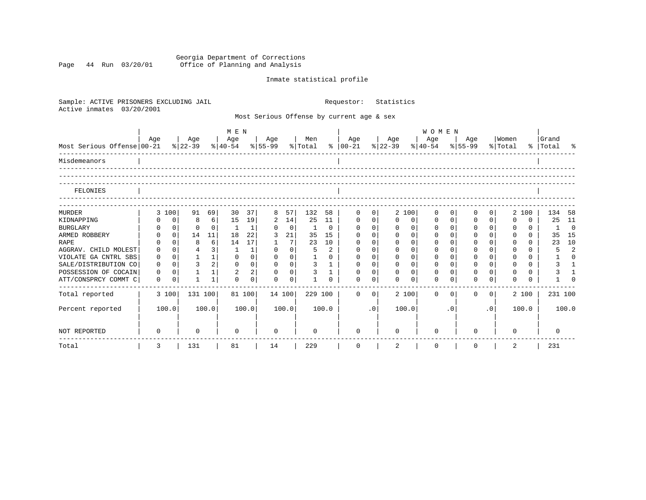Georgia Department of Corrections Page 44 Run 03/20/01 Office of Planning and Analysis

# Inmate statistical profile

| Sample: ACTIVE PRISONERS EXCLUDING JAIL<br>Active inmates<br>03/20/2001 |             |                |                |          |                                     |                |             |                |                |                | Requestor:                                |                | Statistics       |              |                                            |             |              |           |                  |          |                    |                |
|-------------------------------------------------------------------------|-------------|----------------|----------------|----------|-------------------------------------|----------------|-------------|----------------|----------------|----------------|-------------------------------------------|----------------|------------------|--------------|--------------------------------------------|-------------|--------------|-----------|------------------|----------|--------------------|----------------|
|                                                                         |             |                |                |          |                                     |                |             |                |                |                | Most Serious Offense by current age & sex |                |                  |              |                                            |             |              |           |                  |          |                    |                |
|                                                                         | M E N       |                |                |          |                                     |                |             |                |                |                |                                           |                |                  |              | <b>WOMEN</b>                               |             |              |           |                  |          |                    |                |
| Most Serious Offense 00-21                                              | Age         |                | Age<br>% 22-39 |          | Age<br>$ 40-54 \t  55-99 \t  Total$ |                | Age         |                | Men            |                | Age<br>$8   00 - 21$                      |                | Age<br>$ 22-39 $ |              | Age<br>$\frac{8}{40-54}$ $\frac{8}{55-99}$ |             | Age          |           | Women<br>% Total |          | Grand<br>% Total % |                |
| Misdemeanors                                                            |             |                |                |          |                                     |                |             |                |                |                |                                           |                |                  |              |                                            |             |              |           |                  |          |                    |                |
| FELONIES                                                                |             |                |                |          |                                     |                |             |                |                |                |                                           |                |                  |              |                                            |             |              |           |                  |          |                    |                |
| <b>MURDER</b>                                                           |             | 3 100          | 91             | 69       | 30                                  | 37             | 8           | 57             | 132            | 58             | $\mathbf{0}$                              | 0              |                  | 2 100        | 0                                          | 0           | 0            | 0         |                  | 2 100    | 134                | 58             |
| KIDNAPPING                                                              | 0           | $\mathbf 0$    | 8              | $6 \mid$ | 15                                  | 19             | 2           | 14             | 25             | 11             | $\mathbf{0}$                              | $\mathbf 0$    | $\mathbf 0$      | $\mathbf 0$  | $\mathbf 0$                                | $\mathbf 0$ | $\mathbf{0}$ | $\Omega$  | $\Omega$         | $\Omega$ | 25                 | - 11           |
| <b>BURGLARY</b>                                                         | 0           | $\mathbf 0$    | $\Omega$       | $\Omega$ | <sup>1</sup>                        | $\mathbf{1}$   | $\Omega$    | $\mathbf 0$    | $\mathbf{1}$   | $\Omega$       | $\Omega$                                  | $\Omega$       | $\Omega$         | $\mathbf 0$  | $\Omega$                                   | $\Omega$    | $\Omega$     | $\Omega$  | $\Omega$         | $\Omega$ | 1                  | $\Omega$       |
| ARMED ROBBERY                                                           | $\Omega$    | $\Omega$       | 14             | 11       | 18                                  | 22             | 3           | 21             | 35             | 15             | $\Omega$                                  | $\Omega$       | $\Omega$         | $\Omega$     | $\Omega$                                   | $\Omega$    | $\Omega$     | $\Omega$  | $\Omega$         | $\Omega$ | 35                 | 15             |
| <b>RAPE</b>                                                             |             | $\Omega$       | 8              | $6 \mid$ | 14                                  | 17             | 1           | 7              | 23             | 10             | $\Omega$                                  | $\Omega$       | $\Omega$         | $\Omega$     | $\Omega$                                   | $\Omega$    | $\Omega$     | $\Omega$  | $\Omega$         | $\Omega$ | 23                 | 10             |
| AGGRAV. CHILD MOLEST                                                    | 0           | $\Omega$       | $\overline{4}$ | 3        | $\mathbf{1}$                        | $\mathbf{1}$   | $\Omega$    | $\mathbf 0$    | 5              | $\overline{2}$ | $\mathbf 0$                               | $\Omega$       | $\mathbf 0$      | $\mathbf 0$  | $\Omega$                                   | $\Omega$    | $\mathbf{0}$ | $\Omega$  | $\Omega$         | $\cap$   | 5                  | $\mathfrak{D}$ |
| VIOLATE GA CNTRL SBS                                                    | 0           | 0 <sup>1</sup> | $\mathbf{1}$   | 1        | $\mathbf{0}$                        | $\mathbf 0$    | $\mathbf 0$ | 0 <sup>1</sup> |                | $\Omega$       | $\mathbf 0$                               | $\mathbf 0$    | $\mathbf 0$      | $\mathbf 0$  | 0                                          | $\Omega$    | $\mathbf 0$  | $\Omega$  | $\Omega$         | $\Omega$ | $\mathbf{1}$       | $\Omega$       |
| SALE/DISTRIBUTION CO                                                    | $\mathbf 0$ | $\Omega$       | $\overline{3}$ | 2        | $\Omega$                            | $\mathbf 0$    | $\mathbf 0$ | 0 <sup>1</sup> | $\overline{3}$ | $\mathbf{1}$   | $\mathbf{0}$                              | $\Omega$       | $\mathbf 0$      | $\mathbf{0}$ | 0                                          | $\Omega$    | $\mathbf 0$  | $\Omega$  | $\Omega$         | $\Omega$ | 3                  | $\overline{1}$ |
| POSSESSION OF COCAIN                                                    | $\mathbf 0$ | $\mathbf 0$    | $\mathbf{1}$   | 1        | 2                                   | $\overline{a}$ | $\mathbf 0$ | $\overline{0}$ | $\overline{3}$ | $\mathbf{1}$   | $\Omega$                                  | $\Omega$       | $\Omega$         | $\Omega$     | $\Omega$                                   | $\Omega$    | $\Omega$     | $\Omega$  | $\Omega$         | $\Omega$ | 3                  | $\overline{1}$ |
| ATT/CONSPRCY COMMT C                                                    | $\mathbf 0$ | $\mathbf 0$    |                | 1        | $\Omega$                            | $\mathbf 0$    | $\Omega$    | $\overline{0}$ |                | $\Omega$       | $\Omega$                                  | 0              | $\Omega$         | $\mathbf 0$  | $\Omega$                                   |             | $\Omega$     | $\Omega$  | $\Omega$         | $\Omega$ |                    | $\Omega$       |
| Total reported                                                          |             | 3 100          | 131 100        |          |                                     | 81 100         | 14 100      |                |                | 229 100        | $\Omega$                                  | $\overline{0}$ |                  | 2 100        | $\Omega$                                   | $\Omega$    | $\Omega$     | $\circ$   |                  | 2 100    | 231 100            |                |
| Percent reported                                                        |             | 100.0          |                | 100.0    |                                     | 100.0          |             | 100.0          |                | 100.0          |                                           | .0             |                  | 100.0        |                                            | $\cdot$ 0   |              | $\cdot$ 0 |                  | 100.0    |                    | 100.0          |
| NOT REPORTED                                                            | $\Omega$    |                | $\Omega$       |          | $\Omega$                            |                | 0           |                | $\Omega$       |                | $\Omega$                                  |                | $\Omega$         |              | $\Omega$                                   |             | $\cap$       |           | $\Omega$         |          | $\Omega$           |                |
| Total                                                                   | 3           |                | 131            |          | 81                                  |                | 14          |                | 229            |                | 0                                         |                | 2                |              | 0                                          |             | $\mathbf 0$  |           | 2                |          | 231                |                |